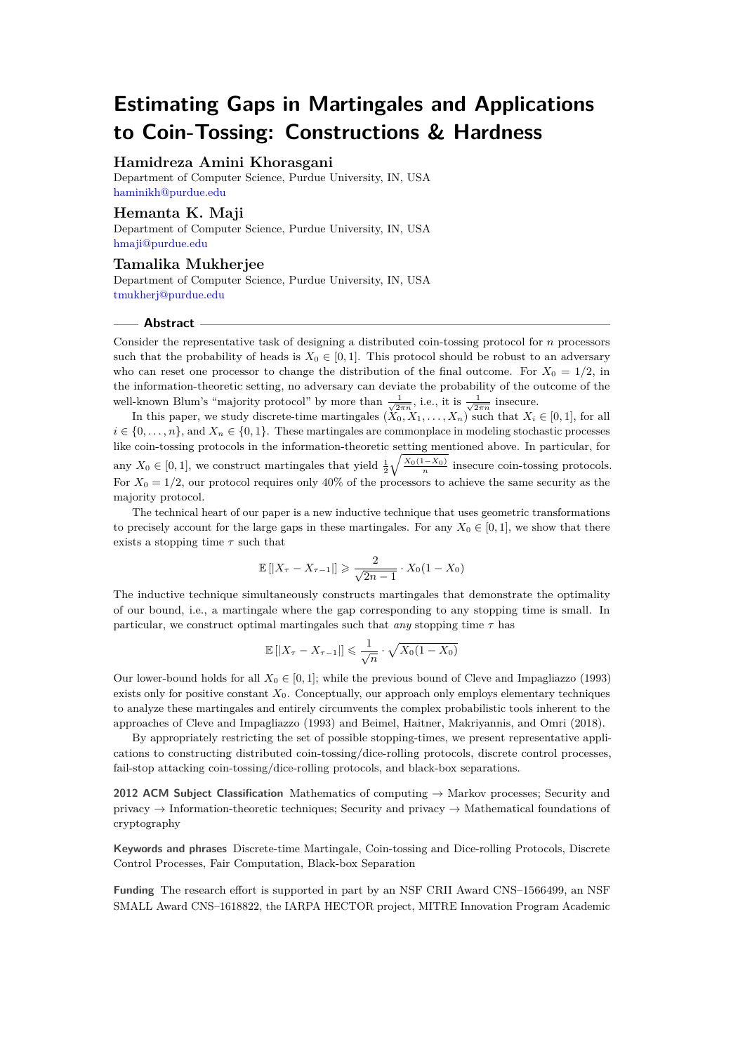## **Hamidreza Amini Khorasgani**

Department of Computer Science, Purdue University, IN, USA [haminikh@purdue.edu](mailto:haminikh@purdue.edu)

## **Hemanta K. Maji**

Department of Computer Science, Purdue University, IN, USA [hmaji@purdue.edu](mailto:hmaji@purdue.edu)

**Tamalika Mukherjee** Department of Computer Science, Purdue University, IN, USA [tmukherj@purdue.edu](mailto:tmukherj@purdue.edu)

#### **Abstract**

Consider the representative task of designing a distributed coin-tossing protocol for *n* processors such that the probability of heads is  $X_0 \in [0,1]$ . This protocol should be robust to an adversary who can reset one processor to change the distribution of the final outcome. For  $X_0 = 1/2$ , in the information-theoretic setting, no adversary can deviate the probability of the outcome of the well-known Blum's "majority protocol" by more than  $\frac{1}{\sqrt{2\pi n}}$ , i.e., it is  $\frac{1}{\sqrt{2\pi n}}$  insecure.

In this paper, we study discrete-time martingales  $(X_0, X_1, \ldots, X_n)$  such that  $X_i \in [0,1]$ , for all  $i \in \{0, \ldots, n\}$ , and  $X_n \in \{0, 1\}$ . These martingales are commonplace in modeling stochastic processes like coin-tossing protocols in the information-theoretic setting mentioned above. In particular, for any  $X_0 \in [0,1]$ , we construct martingales that yield  $\frac{1}{2} \sqrt{\frac{X_0(1-X_0)}{n}}$  insecure coin-tossing protocols. For  $X_0 = 1/2$ , our protocol requires only 40% of the processors to achieve the same security as the majority protocol.

The technical heart of our paper is a new inductive technique that uses geometric transformations to precisely account for the large gaps in these martingales. For any  $X_0 \in [0,1]$ , we show that there exists a stopping time *τ* such that

$$
\mathbb{E}\left[\left|X_{\tau}-X_{\tau-1}\right|\right] \geqslant \frac{2}{\sqrt{2n-1}} \cdot X_0(1-X_0)
$$

The inductive technique simultaneously constructs martingales that demonstrate the optimality of our bound, i.e., a martingale where the gap corresponding to any stopping time is small. In particular, we construct optimal martingales such that *any* stopping time  $\tau$  has

$$
\mathbb{E}\left[|X_{\tau}-X_{\tau-1}|\right] \leq \frac{1}{\sqrt{n}} \cdot \sqrt{X_0(1-X_0)}
$$

Our lower-bound holds for all  $X_0 \in [0,1]$ ; while the previous bound of Cleve and Impagliazzo (1993) exists only for positive constant  $X_0$ . Conceptually, our approach only employs elementary techniques to analyze these martingales and entirely circumvents the complex probabilistic tools inherent to the approaches of Cleve and Impagliazzo (1993) and Beimel, Haitner, Makriyannis, and Omri (2018).

By appropriately restricting the set of possible stopping-times, we present representative applications to constructing distributed coin-tossing/dice-rolling protocols, discrete control processes, fail-stop attacking coin-tossing/dice-rolling protocols, and black-box separations.

**2012 ACM Subject Classification** Mathematics of computing → Markov processes; Security and privacy → Information-theoretic techniques; Security and privacy → Mathematical foundations of cryptography

**Keywords and phrases** Discrete-time Martingale, Coin-tossing and Dice-rolling Protocols, Discrete Control Processes, Fair Computation, Black-box Separation

**Funding** The research effort is supported in part by an NSF CRII Award CNS–1566499, an NSF SMALL Award CNS–1618822, the IARPA HECTOR project, MITRE Innovation Program Academic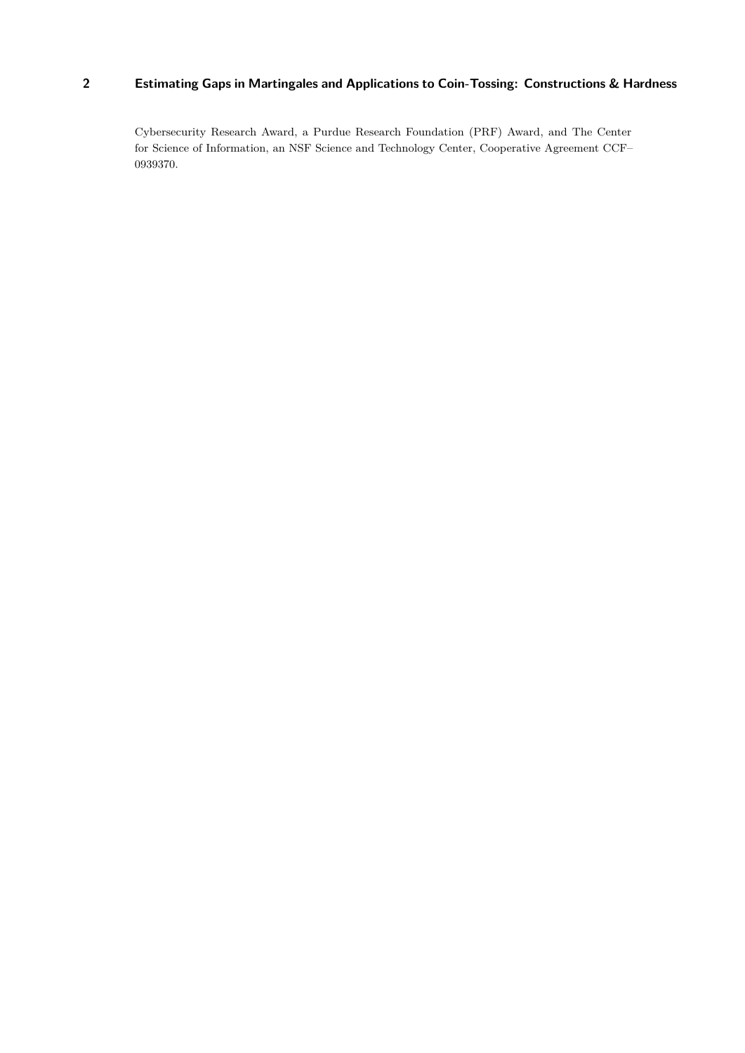Cybersecurity Research Award, a Purdue Research Foundation (PRF) Award, and The Center for Science of Information, an NSF Science and Technology Center, Cooperative Agreement CCF– 0939370.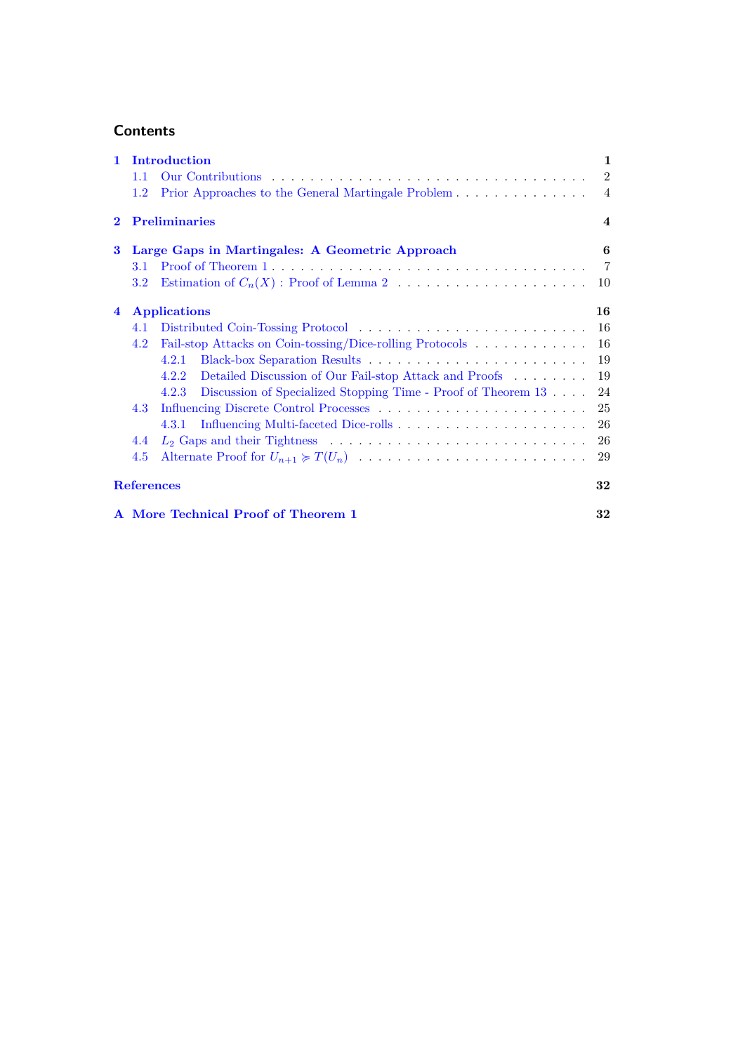## **Contents**

| $\mathbf{1}$   | Introduction        |                                                                        | $\mathbf{1}$            |
|----------------|---------------------|------------------------------------------------------------------------|-------------------------|
|                | 1.1                 |                                                                        | $\overline{2}$          |
|                | $1.2\,$             | Prior Approaches to the General Martingale Problem 4                   |                         |
| $\bf{2}$       |                     | <b>Preliminaries</b>                                                   | $\overline{\mathbf{4}}$ |
| 3              |                     | Large Gaps in Martingales: A Geometric Approach                        | 6                       |
|                | 3.1                 |                                                                        | $\overline{7}$          |
|                | 3.2                 |                                                                        | 10                      |
| $\overline{4}$ | <b>Applications</b> |                                                                        | 16                      |
|                | 4.1                 |                                                                        | 16                      |
|                | 4.2                 | Fail-stop Attacks on Coin-tossing/Dice-rolling Protocols               | 16                      |
|                |                     | 4.2.1                                                                  | 19                      |
|                |                     | Detailed Discussion of Our Fail-stop Attack and Proofs<br>4.2.2        | 19                      |
|                |                     | Discussion of Specialized Stopping Time - Proof of Theorem 13<br>4.2.3 | 24                      |
|                | 4.3                 |                                                                        | 25                      |
|                |                     | 4.3.1                                                                  | 26                      |
|                | 4.4                 |                                                                        | 26                      |
|                | 4.5                 |                                                                        | 29                      |
|                | <b>References</b>   |                                                                        | 32                      |
|                |                     | A More Technical Proof of Theorem 1                                    | 32                      |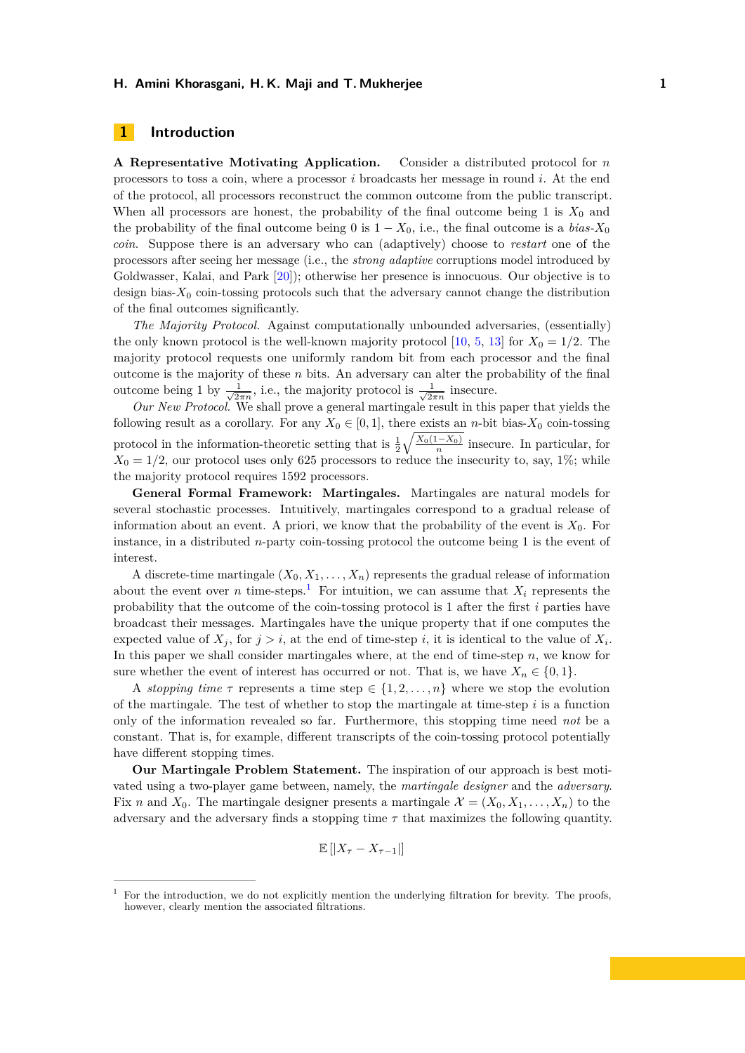## <span id="page-3-0"></span>**1 Introduction**

**A Representative Motivating Application.** Consider a distributed protocol for *n* processors to toss a coin, where a processor *i* broadcasts her message in round *i*. At the end of the protocol, all processors reconstruct the common outcome from the public transcript. When all processors are honest, the probability of the final outcome being 1 is  $X_0$  and the probability of the final outcome being 0 is  $1 - X_0$ , i.e., the final outcome is a *bias-X*<sub>0</sub> *coin*. Suppose there is an adversary who can (adaptively) choose to *restart* one of the processors after seeing her message (i.e., the *strong adaptive* corruptions model introduced by Goldwasser, Kalai, and Park [\[20\]](#page-33-0)); otherwise her presence is innocuous. Our objective is to design bias- $X_0$  coin-tossing protocols such that the adversary cannot change the distribution of the final outcomes significantly.

*The Majority Protocol.* Against computationally unbounded adversaries, (essentially) the only known protocol is the well-known majority protocol [\[10,](#page-32-0) [5,](#page-32-1) [13\]](#page-32-2) for  $X_0 = 1/2$ . The majority protocol requests one uniformly random bit from each processor and the final outcome is the majority of these *n* bits. An adversary can alter the probability of the final outcome being 1 by  $\frac{1}{\sqrt{2}}$  $\frac{1}{2\pi n}$ , i.e., the majority protocol is  $\frac{1}{\sqrt{2n}}$  $\frac{1}{2\pi n}$  insecure.

*Our New Protocol.* We shall prove a general martingale result in this paper that yields the following result as a corollary. For any  $X_0 \in [0,1]$ , there exists an *n*-bit bias- $X_0$  coin-tossing protocol in the information-theoretic setting that is  $\frac{1}{2}\sqrt{\frac{X_0(1-X_0)}{n}}$  insecure. In particular, for  $X_0 = 1/2$ , our protocol uses only 625 processors to reduce the insecurity to, say, 1%; while the majority protocol requires 1592 processors.

**General Formal Framework: Martingales.** Martingales are natural models for several stochastic processes. Intuitively, martingales correspond to a gradual release of information about an event. A priori, we know that the probability of the event is  $X_0$ . For instance, in a distributed *n*-party coin-tossing protocol the outcome being 1 is the event of interest.

A discrete-time martingale  $(X_0, X_1, \ldots, X_n)$  represents the gradual release of information about the event over *n* time-steps.<sup>[1](#page-3-1)</sup> For intuition, we can assume that  $X_i$  represents the probability that the outcome of the coin-tossing protocol is 1 after the first *i* parties have broadcast their messages. Martingales have the unique property that if one computes the expected value of  $X_j$ , for  $j > i$ , at the end of time-step *i*, it is identical to the value of  $X_i$ . In this paper we shall consider martingales where, at the end of time-step *n*, we know for sure whether the event of interest has occurred or not. That is, we have  $X_n \in \{0,1\}$ .

A *stopping time*  $\tau$  represents a time step  $\in \{1, 2, ..., n\}$  where we stop the evolution of the martingale. The test of whether to stop the martingale at time-step  $i$  is a function only of the information revealed so far. Furthermore, this stopping time need *not* be a constant. That is, for example, different transcripts of the coin-tossing protocol potentially have different stopping times.

**Our Martingale Problem Statement.** The inspiration of our approach is best motivated using a two-player game between, namely, the *martingale designer* and the *adversary*. Fix *n* and  $X_0$ . The martingale designer presents a martingale  $\mathcal{X} = (X_0, X_1, \ldots, X_n)$  to the adversary and the adversary finds a stopping time *τ* that maximizes the following quantity.

$$
\mathbb{E}\left[|X_{\tau}-X_{\tau-1}|\right]
$$

<span id="page-3-1"></span><sup>1</sup> For the introduction, we do not explicitly mention the underlying filtration for brevity. The proofs, however, clearly mention the associated filtrations.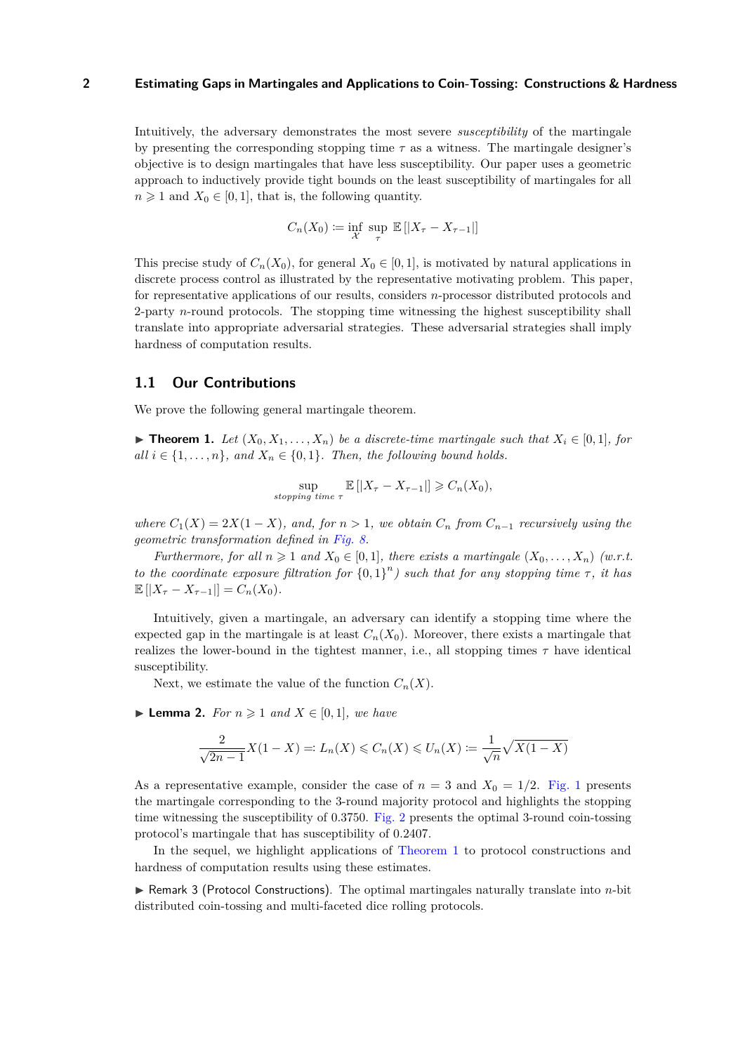Intuitively, the adversary demonstrates the most severe *susceptibility* of the martingale by presenting the corresponding stopping time  $\tau$  as a witness. The martingale designer's objective is to design martingales that have less susceptibility. Our paper uses a geometric approach to inductively provide tight bounds on the least susceptibility of martingales for all  $n \geq 1$  and  $X_0 \in [0,1]$ , that is, the following quantity.

$$
C_n(X_0) \coloneqq \inf_{\mathcal{X}} \sup_{\tau} \mathbb{E}[|X_{\tau} - X_{\tau-1}|]
$$

This precise study of  $C_n(X_0)$ , for general  $X_0 \in [0,1]$ , is motivated by natural applications in discrete process control as illustrated by the representative motivating problem. This paper, for representative applications of our results, considers *n*-processor distributed protocols and 2-party *n*-round protocols. The stopping time witnessing the highest susceptibility shall translate into appropriate adversarial strategies. These adversarial strategies shall imply hardness of computation results.

## <span id="page-4-0"></span>**1.1 Our Contributions**

We prove the following general martingale theorem.

<span id="page-4-1"></span>▶ **Theorem 1.** *Let*  $(X_0, X_1, \ldots, X_n)$  *be a discrete-time martingale such that*  $X_i \in [0,1]$ *, for all*  $i \in \{1, \ldots, n\}$ *, and*  $X_n \in \{0, 1\}$ *. Then, the following bound holds.* 

$$
\sup_{stopping\ time\ \tau} \mathbb{E}\left[|X_{\tau}-X_{\tau-1}|\right] \geqslant C_n(X_0),
$$

*where*  $C_1(X) = 2X(1-X)$ *, and, for*  $n > 1$ *, we obtain*  $C_n$  *from*  $C_{n-1}$  *recursively using the geometric transformation defined in [Fig. 8.](#page-11-0)*

*Furthermore, for all*  $n \geq 1$  *and*  $X_0 \in [0,1]$ *, there exists a martingale*  $(X_0, \ldots, X_n)$  *(w.r.t.*) *to the coordinate exposure filtration for*  $\{0,1\}^n$  *such that for any stopping time*  $\tau$ *, it has*  $\mathbb{E}[|X_{\tau}-X_{\tau-1}|] = C_n(X_0).$ 

Intuitively, given a martingale, an adversary can identify a stopping time where the expected gap in the martingale is at least  $C_n(X_0)$ . Moreover, there exists a martingale that realizes the lower-bound in the tightest manner, i.e., all stopping times  $\tau$  have identical susceptibility.

Next, we estimate the value of the function  $C_n(X)$ .

<span id="page-4-2"></span>▶ **Lemma 2.** *For*  $n \ge 1$  *and*  $X \in [0,1]$ *, we have* 

$$
\frac{2}{\sqrt{2n-1}}X(1-X)=:L_n(X)\leqslant C_n(X)\leqslant U_n(X):=\frac{1}{\sqrt{n}}\sqrt{X(1-X)}
$$

As a representative example, consider the case of  $n = 3$  and  $X_0 = 1/2$ . [Fig. 1](#page-5-0) presents the martingale corresponding to the 3-round majority protocol and highlights the stopping time witnessing the susceptibility of 0.3750. [Fig. 2](#page-5-1) presents the optimal 3-round coin-tossing protocol's martingale that has susceptibility of 0.2407.

In the sequel, we highlight applications of [Theorem 1](#page-4-1) to protocol constructions and hardness of computation results using these estimates.

▶ Remark 3 (Protocol Constructions). The optimal martingales naturally translate into *n*-bit distributed coin-tossing and multi-faceted dice rolling protocols.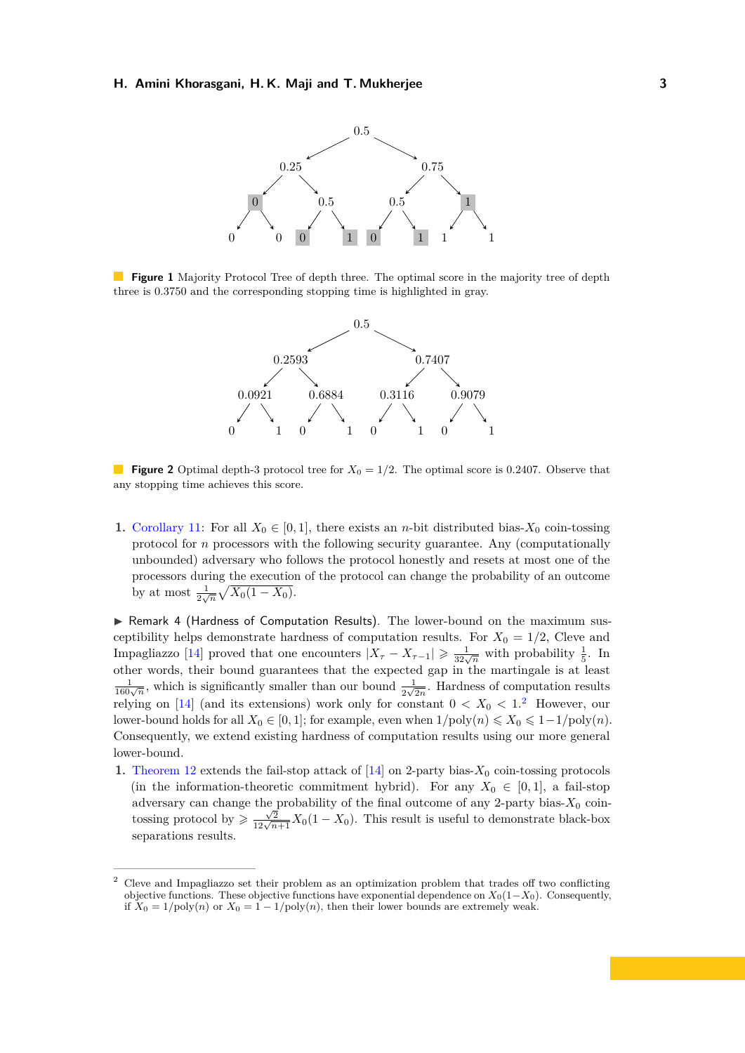<span id="page-5-0"></span>

<span id="page-5-1"></span>**Figure 1** Majority Protocol Tree of depth three. The optimal score in the majority tree of depth three is 0*.*3750 and the corresponding stopping time is highlighted in gray.



**Figure 2** Optimal depth-3 protocol tree for  $X_0 = 1/2$ . The optimal score is 0.2407. Observe that any stopping time achieves this score.

**1.** [Corollary 11:](#page-18-3) For all  $X_0 \in [0,1]$ , there exists an *n*-bit distributed bias- $X_0$  coin-tossing protocol for *n* processors with the following security guarantee. Any (computationally unbounded) adversary who follows the protocol honestly and resets at most one of the processors during the execution of the protocol can change the probability of an outcome by at most  $\frac{1}{2\sqrt{n}}\sqrt{X_0(1-X_0)}$ .

 $\triangleright$  Remark 4 (Hardness of Computation Results). The lower-bound on the maximum susceptibility helps demonstrate hardness of computation results. For  $X_0 = 1/2$ , Cleve and Impagliazzo [\[14\]](#page-33-1) proved that one encounters  $|X_\tau - X_{\tau-1}| \geqslant \frac{1}{32\sqrt{n}}$  with probability  $\frac{1}{5}$ . In other words, their bound guarantees that the expected gap in the martingale is at least  $\frac{1}{160\sqrt{n}}$ , which is significantly smaller than our bound  $\frac{1}{2\sqrt{2n}}$ . Hardness of computation results relying on  $[14]$  (and its extensions) work only for constant  $0 < X_0 < 1$ .<sup>[2](#page-5-2)</sup> However, our lower-bound holds for all  $X_0 \in [0,1]$ ; for example, even when  $1/\text{poly}(n) \leq X_0 \leq 1-1/\text{poly}(n)$ . Consequently, we extend existing hardness of computation results using our more general lower-bound.

**1.** [Theorem 12](#page-19-0) extends the fail-stop attack of  $[14]$  on 2-party bias- $X_0$  coin-tossing protocols (in the information-theoretic commitment hybrid). For any  $X_0 \in [0,1]$ , a fail-stop adversary can change the probability of the final outcome of any  $2$ -party bias- $X_0$  coin- $\frac{\sqrt{2}}{\sqrt{2\sqrt{n+1}}}X_0(1-X_0)$ . This result is useful to demonstrate black-box separations results.

<span id="page-5-2"></span><sup>2</sup> Cleve and Impagliazzo set their problem as an optimization problem that trades off two conflicting objective functions. These objective functions have exponential dependence on  $X_0(1-X_0)$ . Consequently, if  $X_0 = 1/\text{poly}(n)$  or  $X_0 = 1 - 1/\text{poly}(n)$ , then their lower bounds are extremely weak.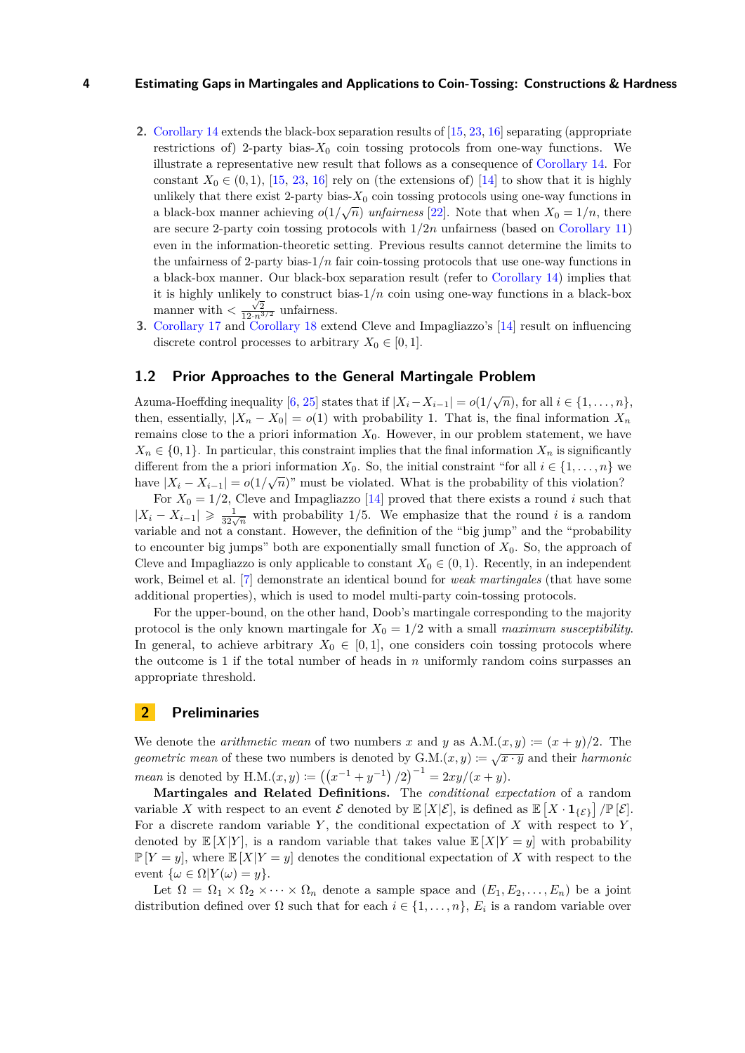- **2.** [Corollary 14](#page-21-2) extends the black-box separation results of [\[15,](#page-33-2) [23,](#page-33-3) [16\]](#page-33-4) separating (appropriate restrictions of) 2-party bias- $X_0$  coin tossing protocols from one-way functions. We illustrate a representative new result that follows as a consequence of [Corollary 14.](#page-21-2) For constant  $X_0 \in (0,1)$ , [\[15,](#page-33-2) [23,](#page-33-3) [16\]](#page-33-4) rely on (the extensions of) [\[14\]](#page-33-1) to show that it is highly unlikely that there exist 2-party bias- $X_0$  coin tossing protocols using one-way functions in a black-box manner achieving  $o(1/\sqrt{n})$  *unfairness* [\[22\]](#page-33-5). Note that when  $X_0 = 1/n$ , there are secure 2-party coin tossing protocols with 1*/*2*n* unfairness (based on [Corollary 11\)](#page-18-3) even in the information-theoretic setting. Previous results cannot determine the limits to the unfairness of 2-party bias-1*/n* fair coin-tossing protocols that use one-way functions in a black-box manner. Our black-box separation result (refer to [Corollary 14\)](#page-21-2) implies that it is highly unlikely to construct bias- $1/n$  coin using one-way functions in a black-box manner with  $\frac{\sqrt{2}}{12 \cdot n^{3/2}}$  unfairness.
- **3.** [Corollary 17](#page-28-2) and [Corollary 18](#page-28-3) extend Cleve and Impagliazzo's [\[14\]](#page-33-1) result on influencing discrete control processes to arbitrary  $X_0 \in [0,1]$ .

## <span id="page-6-0"></span>**1.2 Prior Approaches to the General Martingale Problem**

Azuma-Hoeffding inequality [\[6,](#page-32-3) [25\]](#page-33-6) states that if  $|X_i - X_{i-1}| = o(1/\sqrt{n})$ , for all  $i \in \{1, ..., n\}$ , then, essentially,  $|X_n - X_0| = o(1)$  with probability 1. That is, the final information  $X_n$ remains close to the a priori information  $X_0$ . However, in our problem statement, we have  $X_n \in \{0,1\}$ . In particular, this constraint implies that the final information  $X_n$  is significantly different from the a priori information  $X_0$ . So, the initial constraint "for all  $i \in \{1, \ldots, n\}$  we have  $|X_i - X_{i-1}| = o(1/\sqrt{n})$ " must be violated. What is the probability of this violation?

For  $X_0 = 1/2$ , Cleve and Impagliazzo [\[14\]](#page-33-1) proved that there exists a round *i* such that  $|X_i - X_{i-1}| \geqslant \frac{1}{32\sqrt{n}}$  with probability 1/5. We emphasize that the round *i* is a random variable and not a constant. However, the definition of the "big jump" and the "probability to encounter big jumps" both are exponentially small function of *X*0. So, the approach of Cleve and Impagliazzo is only applicable to constant  $X_0 \in (0,1)$ . Recently, in an independent work, Beimel et al. [\[7\]](#page-32-4) demonstrate an identical bound for *weak martingales* (that have some additional properties), which is used to model multi-party coin-tossing protocols.

For the upper-bound, on the other hand, Doob's martingale corresponding to the majority protocol is the only known martingale for  $X_0 = 1/2$  with a small *maximum susceptibility*. In general, to achieve arbitrary  $X_0 \in [0,1]$ , one considers coin tossing protocols where the outcome is 1 if the total number of heads in *n* uniformly random coins surpasses an appropriate threshold.

## <span id="page-6-1"></span>**2 Preliminaries**

We denote the *arithmetic mean* of two numbers x and y as  $A.M.(x, y) := (x + y)/2$ . The *geometric mean* of these two numbers is denoted by  $G.M.(x, y) := \sqrt{x \cdot y}$  and their *harmonic mean* is denoted by H.M. $(x, y) := ((x^{-1} + y^{-1})/2)^{-1} = 2xy/(x + y)$ .

**Martingales and Related Definitions.** The *conditional expectation* of a random variable X with respect to an event  $\mathcal{E}$  denoted by  $\mathbb{E}[X|\mathcal{E}]$ , is defined as  $\mathbb{E}[X \cdot \mathbf{1}_{\{\mathcal{E}\}}] / \mathbb{P}[\mathcal{E}]$ . For a discrete random variable *Y* , the conditional expectation of *X* with respect to *Y* , denoted by  $\mathbb{E}[X|Y]$ , is a random variable that takes value  $\mathbb{E}[X|Y=y]$  with probability  $\mathbb{P}[Y = y]$ , where  $\mathbb{E}[X|Y = y]$  denotes the conditional expectation of X with respect to the event  $\{\omega \in \Omega | Y(\omega) = y\}.$ 

Let  $\Omega = \Omega_1 \times \Omega_2 \times \cdots \times \Omega_n$  denote a sample space and  $(E_1, E_2, \ldots, E_n)$  be a joint distribution defined over  $\Omega$  such that for each  $i \in \{1, \ldots, n\}$ ,  $E_i$  is a random variable over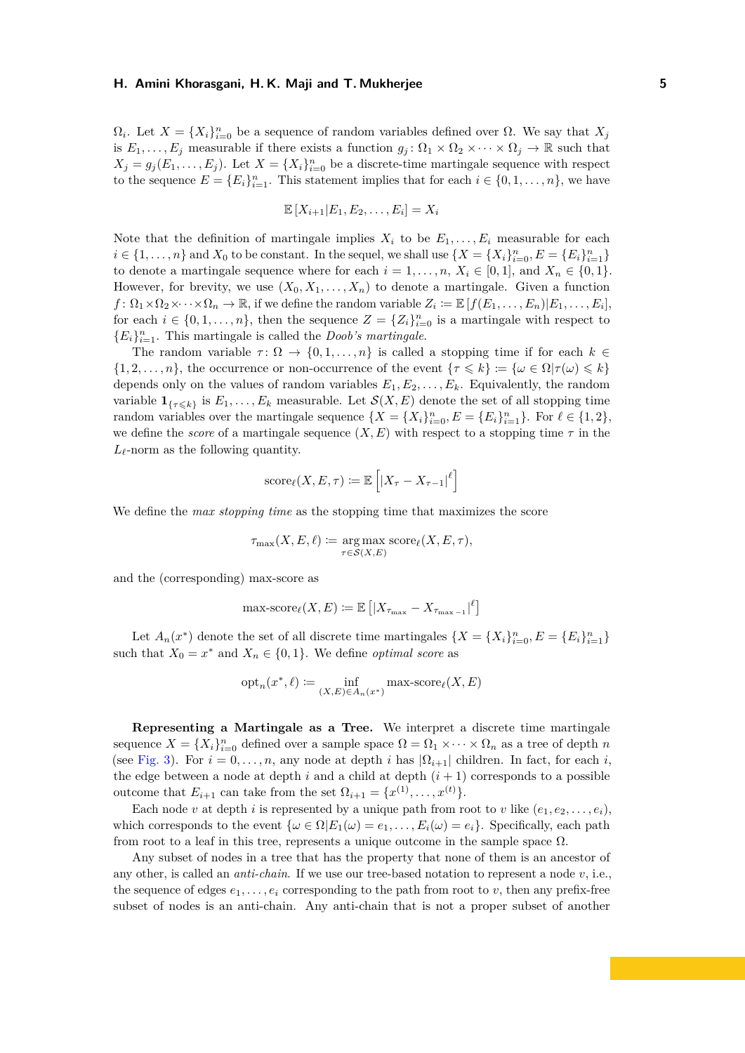$\Omega_i$ . Let  $X = \{X_i\}_{i=0}^n$  be a sequence of random variables defined over  $\Omega$ . We say that  $X_j$ is  $E_1, \ldots, E_j$  measurable if there exists a function  $g_j : \Omega_1 \times \Omega_2 \times \cdots \times \Omega_j \to \mathbb{R}$  such that  $X_j = g_j(E_1, \ldots, E_j)$ . Let  $X = \{X_i\}_{i=0}^n$  be a discrete-time martingale sequence with respect to the sequence  $E = \{E_i\}_{i=1}^n$ . This statement implies that for each  $i \in \{0, 1, \ldots, n\}$ , we have

$$
\mathbb{E}[X_{i+1}|E_1,E_2,\ldots,E_i]=X_i
$$

Note that the definition of martingale implies  $X_i$  to be  $E_1, \ldots, E_i$  measurable for each *i* ∈ {1, ..., *n*} and *X*<sub>0</sub> to be constant. In the sequel, we shall use {*X* = {*X<sub>i</sub>*} $_{i=0}^{n}$ , *E* = {*E<sub>i</sub>*} $_{i=1}^{n}$ } to denote a martingale sequence where for each  $i = 1, \ldots, n$ ,  $X_i \in [0, 1]$ , and  $X_n \in \{0, 1\}$ . However, for brevity, we use  $(X_0, X_1, \ldots, X_n)$  to denote a martingale. Given a function  $f: \Omega_1 \times \Omega_2 \times \cdots \times \Omega_n \to \mathbb{R}$ , if we define the random variable  $Z_i \coloneqq \mathbb{E}[f(E_1, \ldots, E_n)|E_1, \ldots, E_i]$ , for each  $i \in \{0, 1, \ldots, n\}$ , then the sequence  $Z = \{Z_i\}_{i=0}^n$  is a martingale with respect to  ${E_i}_{i=1}^n$ . This martingale is called the *Doob's martingale*.

The random variable  $\tau \colon \Omega \to \{0, 1, \ldots, n\}$  is called a stopping time if for each  $k \in$  $\{1, 2, \ldots, n\}$ , the occurrence or non-occurrence of the event  $\{\tau \leq k\} := \{\omega \in \Omega | \tau(\omega) \leq k\}$ depends only on the values of random variables  $E_1, E_2, \ldots, E_k$ . Equivalently, the random variable  $\mathbf{1}_{\{\tau \leq k\}}$  is  $E_1, \ldots, E_k$  measurable. Let  $\mathcal{S}(X, E)$  denote the set of all stopping time random variables over the martingale sequence  $\{X = \{X_i\}_{i=0}^n, E = \{E_i\}_{i=1}^n\}$ . For  $\ell \in \{1, 2\}$ , we define the *score* of a martingale sequence  $(X, E)$  with respect to a stopping time  $\tau$  in the  $L_{\ell}$ -norm as the following quantity.

score<sub>l</sub>
$$
(X, E, \tau) := \mathbb{E}\left[|X_{\tau} - X_{\tau-1}|^{\ell}\right]
$$

We define the *max stopping time* as the stopping time that maximizes the score

$$
\tau_{\max}(X, E, \ell) := \underset{\tau \in \mathcal{S}(X, E)}{\arg \max} \ \text{score}_{\ell}(X, E, \tau),
$$

and the (corresponding) max-score as

$$
\max\text{-score}_{\ell}(X,E) := \mathbb{E}\left[|X_{\tau_{\max}} - X_{\tau_{\max}-1}|^{\ell}\right]
$$

Let  $A_n(x^*)$  denote the set of all discrete time martingales  $\{X = \{X_i\}_{i=0}^n, E = \{E_i\}_{i=1}^n\}$ such that  $X_0 = x^*$  and  $X_n \in \{0, 1\}$ . We define *optimal score* as

$$
\operatorname{opt}_n(x^*, \ell) \coloneqq \inf_{(X, E) \in A_n(x^*)} \max\text{-score}_\ell(X, E)
$$

**Representing a Martingale as a Tree.** We interpret a discrete time martingale sequence  $X = \{X_i\}_{i=0}^n$  defined over a sample space  $\Omega = \Omega_1 \times \cdots \times \Omega_n$  as a tree of depth *n* (see [Fig. 3\)](#page-8-1). For  $i = 0, \ldots, n$ , any node at depth *i* has  $|\Omega_{i+1}|$  children. In fact, for each *i*, the edge between a node at depth  $i$  and a child at depth  $(i + 1)$  corresponds to a possible outcome that  $E_{i+1}$  can take from the set  $\Omega_{i+1} = \{x^{(1)}, \ldots, x^{(t)}\}.$ 

Each node *v* at depth *i* is represented by a unique path from root to *v* like  $(e_1, e_2, \ldots, e_i)$ . which corresponds to the event  $\{\omega \in \Omega | E_1(\omega) = e_1, \ldots, E_i(\omega) = e_i\}$ . Specifically, each path from root to a leaf in this tree, represents a unique outcome in the sample space  $\Omega$ .

Any subset of nodes in a tree that has the property that none of them is an ancestor of any other, is called an *anti-chain*. If we use our tree-based notation to represent a node *v*, i.e., the sequence of edges  $e_1, \ldots, e_i$  corresponding to the path from root to *v*, then any prefix-free subset of nodes is an anti-chain. Any anti-chain that is not a proper subset of another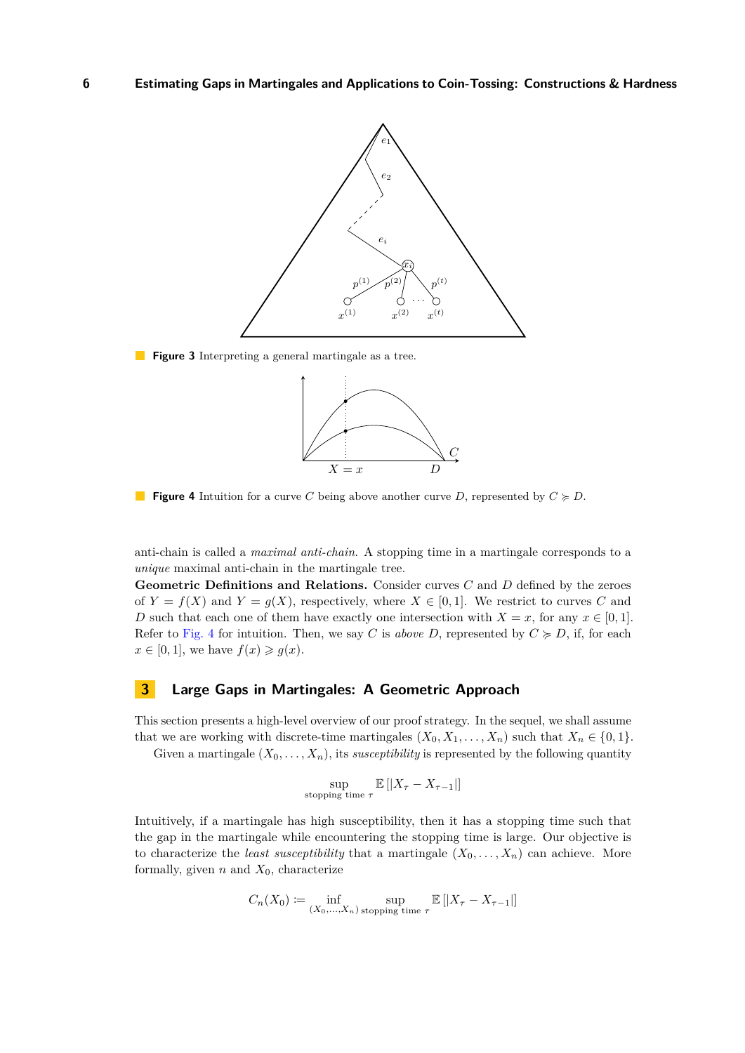<span id="page-8-1"></span>

<span id="page-8-2"></span>**Figure 3** Interpreting a general martingale as a tree.



**Figure 4** Intuition for a curve *C* being above another curve *D*, represented by  $C \ge D$ .

anti-chain is called a *maximal anti-chain*. A stopping time in a martingale corresponds to a *unique* maximal anti-chain in the martingale tree.

**Geometric Definitions and Relations.** Consider curves *C* and *D* defined by the zeroes of  $Y = f(X)$  and  $Y = g(X)$ , respectively, where  $X \in [0,1]$ . We restrict to curves C and *D* such that each one of them have exactly one intersection with  $X = x$ , for any  $x \in [0, 1]$ . Refer to [Fig. 4](#page-8-2) for intuition. Then, we say *C* is *above D*, represented by  $C \ge D$ , if, for each  $x \in [0, 1]$ , we have  $f(x) \geq g(x)$ .

## <span id="page-8-0"></span>**3 Large Gaps in Martingales: A Geometric Approach**

This section presents a high-level overview of our proof strategy. In the sequel, we shall assume that we are working with discrete-time martingales  $(X_0, X_1, \ldots, X_n)$  such that  $X_n \in \{0, 1\}.$ 

Given a martingale  $(X_0, \ldots, X_n)$ , its *susceptibility* is represented by the following quantity

$$
\sup_{\text{stopping time }\tau} \mathbb{E}\left[|X_{\tau} - X_{\tau-1}|\right]
$$

Intuitively, if a martingale has high susceptibility, then it has a stopping time such that the gap in the martingale while encountering the stopping time is large. Our objective is to characterize the *least susceptibility* that a martingale  $(X_0, \ldots, X_n)$  can achieve. More formally, given  $n$  and  $X_0$ , characterize

$$
C_n(X_0) \coloneqq \inf_{(X_0, ..., X_n) \text{ stopping time } \tau} \mathbb{E}\left[|X_{\tau} - X_{\tau-1}|\right]
$$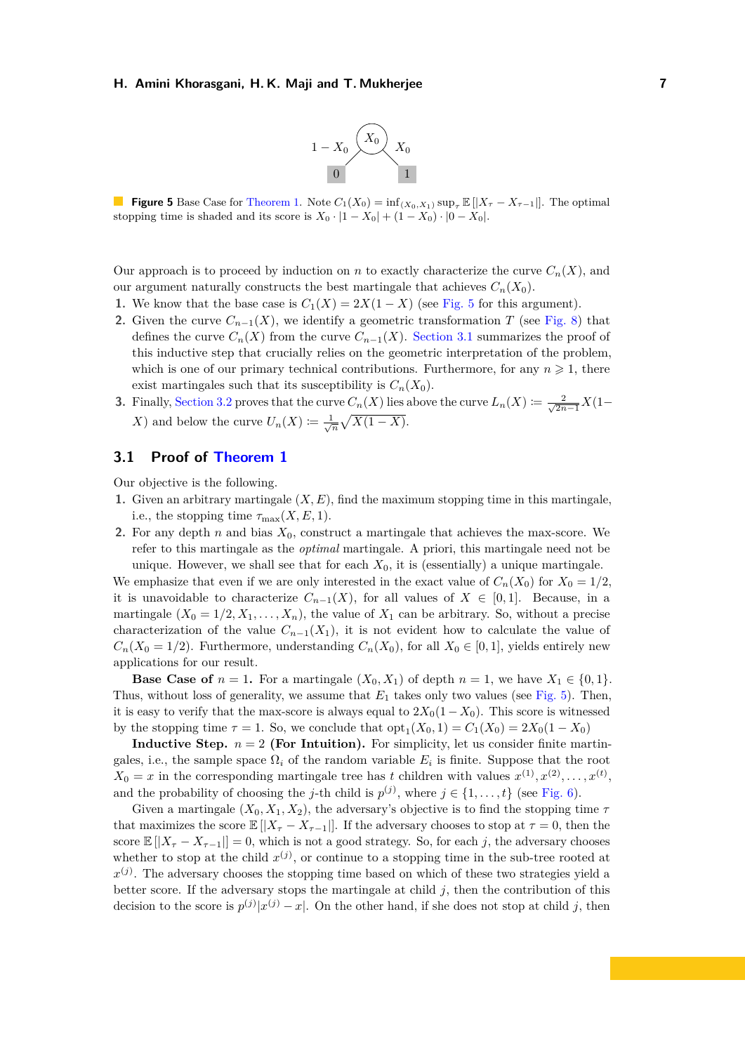

<span id="page-9-1"></span>**Figure 5** Base Case for [Theorem 1.](#page-4-1) Note  $C_1(X_0) = \inf_{(X_0, X_1)} \sup_{\tau} \mathbb{E}[|X_{\tau} - X_{\tau-1}|]$ . The optimal stopping time is shaded and its score is  $X_0 \cdot |1 - X_0| + (1 - X_0) \cdot |0 - X_0|$ .

Our approach is to proceed by induction on *n* to exactly characterize the curve  $C_n(X)$ , and our argument naturally constructs the best martingale that achieves  $C_n(X_0)$ .

- **1.** We know that the base case is  $C_1(X) = 2X(1 X)$  (see [Fig. 5](#page-9-1) for this argument).
- **2.** Given the curve  $C_{n-1}(X)$ , we identify a geometric transformation *T* (see [Fig. 8\)](#page-11-0) that defines the curve  $C_n(X)$  from the curve  $C_{n-1}(X)$ . [Section 3.1](#page-9-0) summarizes the proof of this inductive step that crucially relies on the geometric interpretation of the problem, which is one of our primary technical contributions. Furthermore, for any  $n \geq 1$ , there exist martingales such that its susceptibility is  $C_n(X_0)$ .
- **3.** Finally, [Section 3.2](#page-12-0) proves that the curve  $C_n(X)$  lies above the curve  $L_n(X) \coloneqq \frac{2}{\sqrt{2n}}$  $\frac{2}{2n-1}X(1-\right)$ *X*) and below the curve  $U_n(X) := \frac{1}{\sqrt{n}} \sqrt{X(1-X)}$ .

## <span id="page-9-0"></span>**3.1 Proof of [Theorem 1](#page-4-1)**

Our objective is the following.

- **1.** Given an arbitrary martingale (*X, E*), find the maximum stopping time in this martingale, i.e., the stopping time  $\tau_{\text{max}}(X, E, 1)$ .
- **2.** For any depth *n* and bias *X*0, construct a martingale that achieves the max-score. We refer to this martingale as the *optimal* martingale. A priori, this martingale need not be unique. However, we shall see that for each  $X_0$ , it is (essentially) a unique martingale.

We emphasize that even if we are only interested in the exact value of  $C_n(X_0)$  for  $X_0 = 1/2$ . it is unavoidable to characterize  $C_{n-1}(X)$ , for all values of  $X \in [0,1]$ . Because, in a martingale  $(X_0 = 1/2, X_1, \ldots, X_n)$ , the value of  $X_1$  can be arbitrary. So, without a precise characterization of the value  $C_{n-1}(X_1)$ , it is not evident how to calculate the value of  $C_n(X_0 = 1/2)$ . Furthermore, understanding  $C_n(X_0)$ , for all  $X_0 \in [0,1]$ , yields entirely new applications for our result.

**Base Case of**  $n = 1$ . For a martingale  $(X_0, X_1)$  of depth  $n = 1$ , we have  $X_1 \in \{0, 1\}$ . Thus, without loss of generality, we assume that  $E_1$  takes only two values (see [Fig. 5\)](#page-9-1). Then, it is easy to verify that the max-score is always equal to  $2X_0(1 - X_0)$ . This score is witnessed by the stopping time  $\tau = 1$ . So, we conclude that  $opt_1(X_0, 1) = C_1(X_0) = 2X_0(1 - X_0)$ 

**Inductive Step.**  $n = 2$  (For Intuition). For simplicity, let us consider finite martingales, i.e., the sample space  $\Omega_i$  of the random variable  $E_i$  is finite. Suppose that the root  $X_0 = x$  in the corresponding martingale tree has *t* children with values  $x^{(1)}, x^{(2)}, \ldots, x^{(t)}$ , and the probability of choosing the *j*-th child is  $p^{(j)}$ , where  $j \in \{1, ..., t\}$  (see [Fig. 6\)](#page-10-0).

Given a martingale  $(X_0, X_1, X_2)$ , the adversary's objective is to find the stopping time  $\tau$ that maximizes the score  $\mathbb{E}[|X_{\tau}-X_{\tau-1}|]$ . If the adversary chooses to stop at  $\tau=0$ , then the score  $\mathbb{E}[|X_{\tau}-X_{\tau-1}||=0$ , which is not a good strategy. So, for each *j*, the adversary chooses whether to stop at the child  $x^{(j)}$ , or continue to a stopping time in the sub-tree rooted at  $x^{(j)}$ . The adversary chooses the stopping time based on which of these two strategies yield a better score. If the adversary stops the martingale at child *j*, then the contribution of this decision to the score is  $p^{(j)}|x^{(j)} - x|$ . On the other hand, if she does not stop at child *j*, then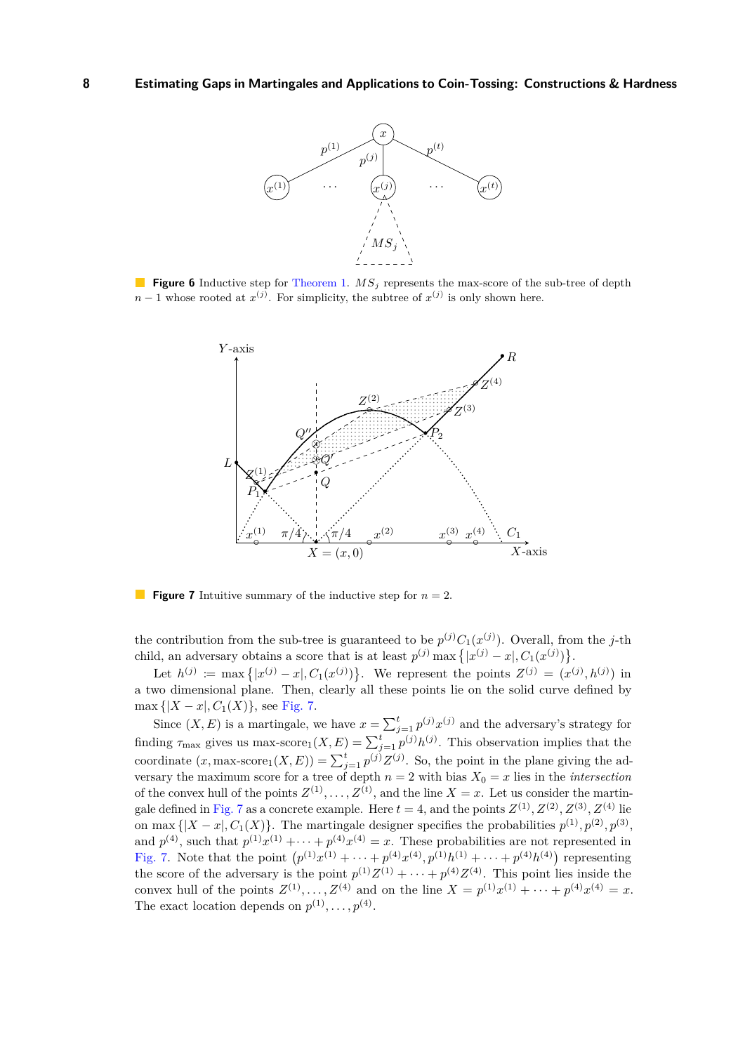<span id="page-10-0"></span>

<span id="page-10-1"></span>**Figure 6** Inductive step for [Theorem 1.](#page-4-1)  $MS<sub>j</sub>$  represents the max-score of the sub-tree of depth  $n-1$  whose rooted at  $x^{(j)}$ . For simplicity, the subtree of  $x^{(j)}$  is only shown here.



**Figure 7** Intuitive summary of the inductive step for *n* = 2.

the contribution from the sub-tree is guaranteed to be  $p^{(j)}C_1(x^{(j)})$ . Overall, from the *j*-th child, an adversary obtains a score that is at least  $p^{(j)}$  max  $\{|x^{(j)} - x|, C_1(x^{(j)})\}$ .

Let  $h^{(j)} := \max\{|x^{(j)} - x|, C_1(x^{(j)})\}$ . We represent the points  $Z^{(j)} = (x^{(j)}, h^{(j)})$  in a two dimensional plane. Then, clearly all these points lie on the solid curve defined by  $\max \{|X-x|, C_1(X)\},$  see [Fig. 7.](#page-10-1)

Since  $(X, E)$  is a martingale, we have  $x = \sum_{j=1}^{t} p^{(j)} x^{(j)}$  and the adversary's strategy for finding  $\tau_{\text{max}}$  gives us max-score<sub>1</sub> $(X, E) = \sum_{j=1}^{t} p^{(j)} h^{(j)}$ . This observation implies that the coordinate  $(x, \text{max-score}_1(X, E)) = \sum_{j=1}^t p^{(j)} Z^{(j)}$ . So, the point in the plane giving the adversary the maximum score for a tree of depth  $n = 2$  with bias  $X_0 = x$  lies in the *intersection* of the convex hull of the points  $Z^{(1)}, \ldots, Z^{(t)}$ , and the line  $X = x$ . Let us consider the martin-gale defined in [Fig. 7](#page-10-1) as a concrete example. Here  $t = 4$ , and the points  $Z^{(1)}$ ,  $Z^{(2)}$ ,  $Z^{(3)}$ ,  $Z^{(4)}$  lie on max  $\{|X-x|, C_1(X)\}$ . The martingale designer specifies the probabilities  $p^{(1)}, p^{(2)}, p^{(3)}$ , and  $p^{(4)}$ , such that  $p^{(1)}x^{(1)} + \cdots + p^{(4)}x^{(4)} = x$ . These probabilities are not represented in [Fig. 7.](#page-10-1) Note that the point  $(p^{(1)}x^{(1)} + \cdots + p^{(4)}x^{(4)}, p^{(1)}h^{(1)} + \cdots + p^{(4)}h^{(4)})$  representing the score of the adversary is the point  $p^{(1)}Z^{(1)} + \cdots + p^{(4)}Z^{(4)}$ . This point lies inside the convex hull of the points  $Z^{(1)}, \ldots, Z^{(4)}$  and on the line  $X = p^{(1)}x^{(1)} + \cdots + p^{(4)}x^{(4)} = x$ . The exact location depends on  $p^{(1)}, \ldots, p^{(4)}$ .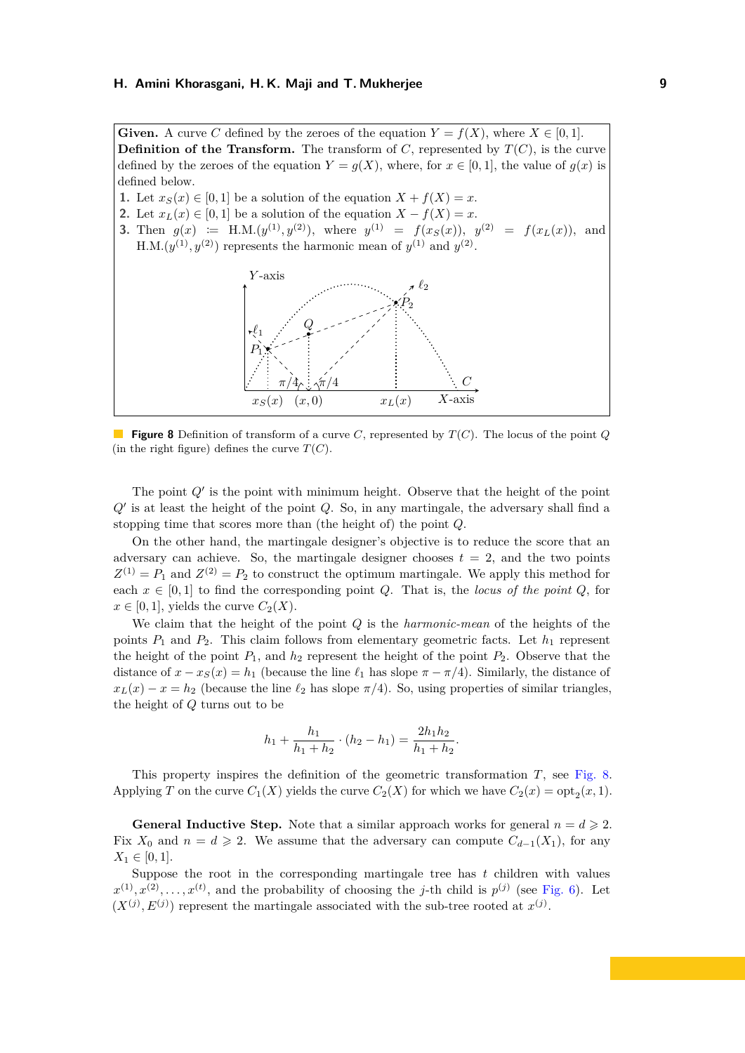<span id="page-11-0"></span>**Given.** A curve C defined by the zeroes of the equation  $Y = f(X)$ , where  $X \in [0, 1]$ . **Definition of the Transform.** The transform of  $C$ , represented by  $T(C)$ , is the curve defined by the zeroes of the equation  $Y = g(X)$ , where, for  $x \in [0,1]$ , the value of  $g(x)$  is defined below.

- **1.** Let  $x_S(x) \in [0,1]$  be a solution of the equation  $X + f(X) = x$ .
- **2.** Let  $x_L(x) \in [0,1]$  be a solution of the equation  $X f(X) = x$ .
- **3.** Then  $g(x) := H.M.(y^{(1)}, y^{(2)})$ , where  $y^{(1)} = f(x_S(x))$ ,  $y^{(2)} = f(x_L(x))$ , and  $H.M.(y^{(1)}, y^{(2)})$  represents the harmonic mean of  $y^{(1)}$  and  $y^{(2)}$ .



**Figure 8** Definition of transform of a curve *C*, represented by *T*(*C*). The locus of the point *Q* (in the right figure) defines the curve  $T(C)$ .

The point  $Q'$  is the point with minimum height. Observe that the height of the point *Q*0 is at least the height of the point *Q*. So, in any martingale, the adversary shall find a stopping time that scores more than (the height of) the point *Q*.

On the other hand, the martingale designer's objective is to reduce the score that an adversary can achieve. So, the martingale designer chooses  $t = 2$ , and the two points  $Z^{(1)} = P_1$  and  $Z^{(2)} = P_2$  to construct the optimum martingale. We apply this method for each  $x \in [0,1]$  to find the corresponding point *Q*. That is, the *locus of the point Q*, for  $x \in [0, 1]$ , yields the curve  $C_2(X)$ .

We claim that the height of the point *Q* is the *harmonic-mean* of the heights of the points  $P_1$  and  $P_2$ . This claim follows from elementary geometric facts. Let  $h_1$  represent the height of the point  $P_1$ , and  $h_2$  represent the height of the point  $P_2$ . Observe that the distance of  $x - x_S(x) = h_1$  (because the line  $\ell_1$  has slope  $\pi - \pi/4$ ). Similarly, the distance of  $x_L(x) - x = h_2$  (because the line  $\ell_2$  has slope  $\pi/4$ ). So, using properties of similar triangles, the height of *Q* turns out to be

$$
h_1 + \frac{h_1}{h_1 + h_2} \cdot (h_2 - h_1) = \frac{2h_1h_2}{h_1 + h_2}.
$$

This property inspires the definition of the geometric transformation *T*, see [Fig. 8.](#page-11-0) Applying *T* on the curve  $C_1(X)$  yields the curve  $C_2(X)$  for which we have  $C_2(x) = \text{opt}_2(x, 1)$ .

**General Inductive Step.** Note that a similar approach works for general  $n = d \geqslant 2$ . Fix  $X_0$  and  $n = d \geqslant 2$ . We assume that the adversary can compute  $C_{d-1}(X_1)$ , for any  $X_1 \in [0, 1].$ 

Suppose the root in the corresponding martingale tree has *t* children with values  $x^{(1)}, x^{(2)}, \ldots, x^{(t)}$ , and the probability of choosing the *j*-th child is  $p^{(j)}$  (see [Fig. 6\)](#page-10-0). Let  $(X^{(j)}, E^{(j)})$  represent the martingale associated with the sub-tree rooted at  $x^{(j)}$ .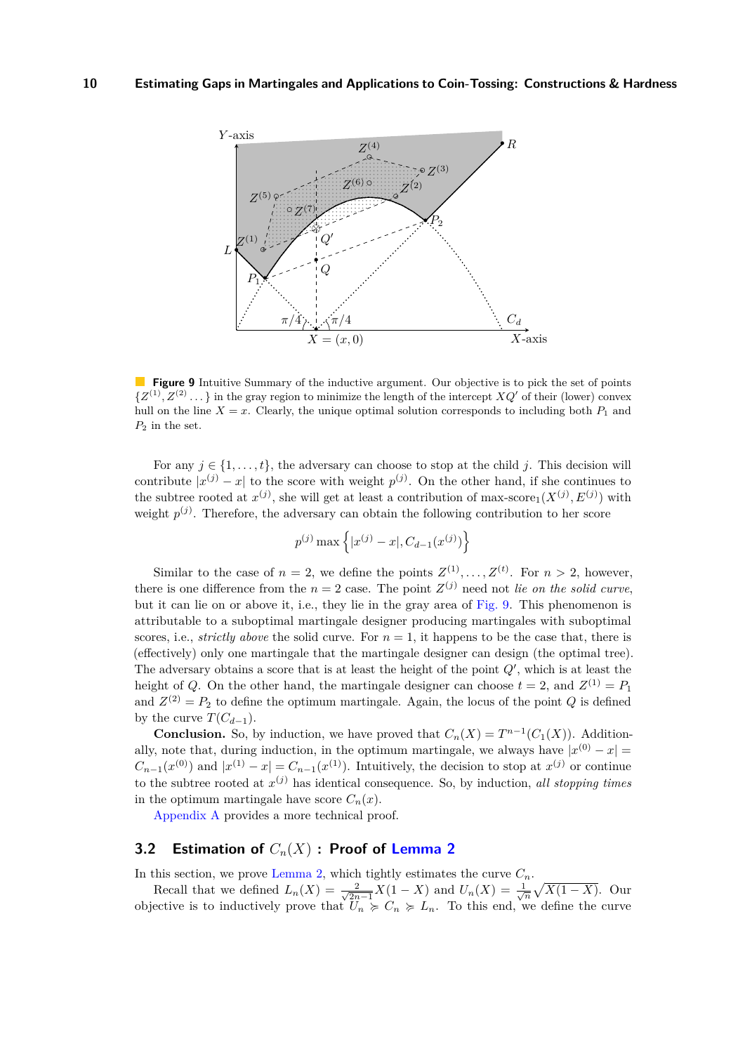<span id="page-12-1"></span>

**Figure 9** Intuitive Summary of the inductive argument. Our objective is to pick the set of points  $\{Z^{(1)}, Z^{(2)}\ldots\}$  in the gray region to minimize the length of the intercept  $XQ'$  of their (lower) convex hull on the line  $X = x$ . Clearly, the unique optimal solution corresponds to including both  $P_1$  and  $P_2$  in the set.

For any  $j \in \{1, \ldots, t\}$ , the adversary can choose to stop at the child *j*. This decision will contribute  $|x^{(j)} - x|$  to the score with weight  $p^{(j)}$ . On the other hand, if she continues to the subtree rooted at  $x^{(j)}$ , she will get at least a contribution of max-score<sub>1</sub>( $X^{(j)}, E^{(j)}$ ) with weight  $p^{(j)}$ . Therefore, the adversary can obtain the following contribution to her score

$$
p^{(j)}\max\left\{|x^{(j)}-x|,C_{d-1}(x^{(j)})\right\}
$$

Similar to the case of  $n = 2$ , we define the points  $Z^{(1)}, \ldots, Z^{(t)}$ . For  $n > 2$ , however, there is one difference from the  $n = 2$  case. The point  $Z^{(j)}$  need not *lie on the solid curve*, but it can lie on or above it, i.e., they lie in the gray area of [Fig. 9.](#page-12-1) This phenomenon is attributable to a suboptimal martingale designer producing martingales with suboptimal scores, i.e., *strictly above* the solid curve. For  $n = 1$ , it happens to be the case that, there is (effectively) only one martingale that the martingale designer can design (the optimal tree). The adversary obtains a score that is at least the height of the point  $Q'$ , which is at least the height of *Q*. On the other hand, the martingale designer can choose  $t = 2$ , and  $Z^{(1)} = P_1$ and  $Z^{(2)} = P_2$  to define the optimum martingale. Again, the locus of the point *Q* is defined by the curve  $T(C_{d-1})$ .

**Conclusion.** So, by induction, we have proved that  $C_n(X) = T^{n-1}(C_1(X))$ . Additionally, note that, during induction, in the optimum martingale, we always have  $|x^{(0)} - x|$  $C_{n-1}(x^{(0)})$  and  $|x^{(1)} - x| = C_{n-1}(x^{(1)})$ . Intuitively, the decision to stop at  $x^{(j)}$  or continue to the subtree rooted at  $x^{(j)}$  has identical consequence. So, by induction, *all stopping times* in the optimum martingale have score  $C_n(x)$ .

[Appendix A](#page-34-0) provides a more technical proof.

## <span id="page-12-0"></span>**3.2 Estimation of** *Cn*(*X*) **: Proof of [Lemma 2](#page-4-2)**

In this section, we prove [Lemma 2,](#page-4-2) which tightly estimates the curve  $C_n$ .

Recall that we defined  $L_n(X) = \frac{2}{\sqrt{2n}}$  $\frac{2}{2n-1}X(1-X)$  and  $U_n(X) = \frac{1}{\sqrt{n}}\sqrt{X(1-X)}$ . Our objective is to inductively prove that  $U_n \geq C_n \geq L_n$ . To this end, we define the curve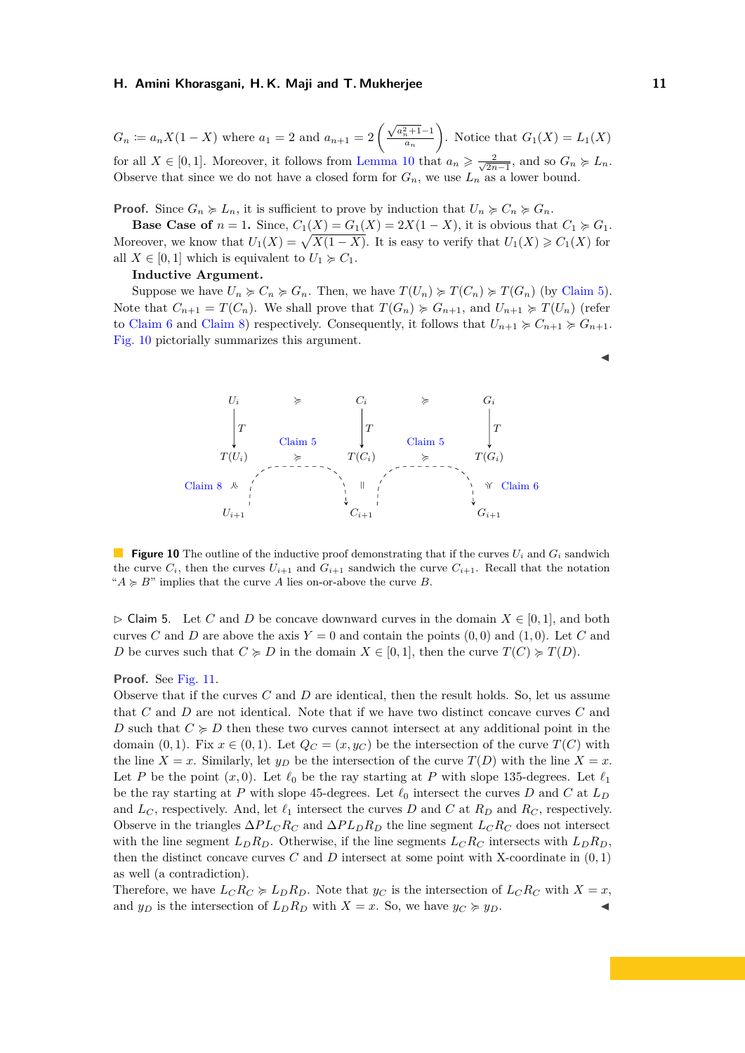$G_n := a_n X(1 - X)$  where  $a_1 = 2$  and  $a_{n+1} = 2 \left( \frac{\sqrt{a_n^2 + 1} - 1}{a_n} \right)$ *a<sup>n</sup>* ). Notice that  $G_1(X) = L_1(X)$ for all  $X \in [0,1]$ . Moreover, it follows from [Lemma 10](#page-17-0) that  $a_n \geqslant \frac{2}{\sqrt{2n}}$  $\frac{2}{2n-1}$ , and so  $G_n \succcurlyeq L_n$ . Observe that since we do not have a closed form for  $G_n$ , we use  $L_n$  as a lower bound.

**Proof.** Since  $G_n \geq L_n$ , it is sufficient to prove by induction that  $U_n \geq C_n \geq G_n$ .

**Base Case of**  $n = 1$ . Since,  $C_1(X) = G_1(X) = 2X(1 - X)$ , it is obvious that  $C_1 \succcurlyeq G_1$ . Moreover, we know that  $U_1(X) = \sqrt{X(1 - X)}$ . It is easy to verify that  $U_1(X) \geq C_1(X)$  for all  $X \in [0, 1]$  which is equivalent to  $U_1 \succcurlyeq C_1$ .

#### **Inductive Argument.**

Suppose we have  $U_n \succcurlyeq C_n \succcurlyeq G_n$ . Then, we have  $T(U_n) \succcurlyeq T(C_n) \succcurlyeq T(G_n)$  (by [Claim 5\)](#page-13-0). Note that  $C_{n+1} = T(C_n)$ . We shall prove that  $T(G_n) \geq G_{n+1}$ , and  $U_{n+1} \geq T(U_n)$  (refer to [Claim 6](#page-14-0) and [Claim 8\)](#page-16-0) respectively. Consequently, it follows that  $U_{n+1} \geq C_{n+1} \geq G_{n+1}$ . [Fig. 10](#page-13-1) pictorially summarizes this argument.

<span id="page-13-1"></span>

**Figure 10** The outline of the inductive proof demonstrating that if the curves  $U_i$  and  $G_i$  sandwich the curve  $C_i$ , then the curves  $U_{i+1}$  and  $G_{i+1}$  sandwich the curve  $C_{i+1}$ . Recall that the notation " $A \ge B$ " implies that the curve A lies on-or-above the curve B.

<span id="page-13-0"></span> $\triangleright$  Claim 5. Let *C* and *D* be concave downward curves in the domain  $X \in [0,1]$ , and both curves *C* and *D* are above the axis  $Y = 0$  and contain the points  $(0,0)$  and  $(1,0)$ . Let *C* and *D* be curves such that  $C \ge D$  in the domain  $X \in [0,1]$ , then the curve  $T(C) \ge T(D)$ .

#### **Proof.** See [Fig. 11.](#page-14-1)

Observe that if the curves *C* and *D* are identical, then the result holds. So, let us assume that *C* and *D* are not identical. Note that if we have two distinct concave curves *C* and *D* such that  $C \ge D$  then these two curves cannot intersect at any additional point in the domain (0, 1). Fix  $x \in (0,1)$ . Let  $Q_C = (x, y_C)$  be the intersection of the curve  $T(C)$  with the line  $X = x$ . Similarly, let  $y_D$  be the intersection of the curve  $T(D)$  with the line  $X = x$ . Let *P* be the point  $(x, 0)$ . Let  $\ell_0$  be the ray starting at *P* with slope 135-degrees. Let  $\ell_1$ be the ray starting at *P* with slope 45-degrees. Let  $\ell_0$  intersect the curves *D* and *C* at  $L_D$ and  $L_C$ , respectively. And, let  $\ell_1$  intersect the curves *D* and *C* at  $R_D$  and  $R_C$ , respectively. Observe in the triangles  $\Delta PL_C R_C$  and  $\Delta PL_D R_D$  the line segment  $L_C R_C$  does not intersect with the line segment  $L_D R_D$ . Otherwise, if the line segments  $L_C R_C$  intersects with  $L_D R_D$ . then the distinct concave curves  $C$  and  $D$  intersect at some point with X-coordinate in  $(0,1)$ as well (a contradiction).

Therefore, we have  $L_C R_C \geq L_D R_D$ . Note that  $y_C$  is the intersection of  $L_C R_C$  with  $X = x$ , and  $y_D$  is the intersection of  $L_D R_D$  with  $X = x$ . So, we have  $y_C \ge y_D$ .

 $\blacktriangleleft$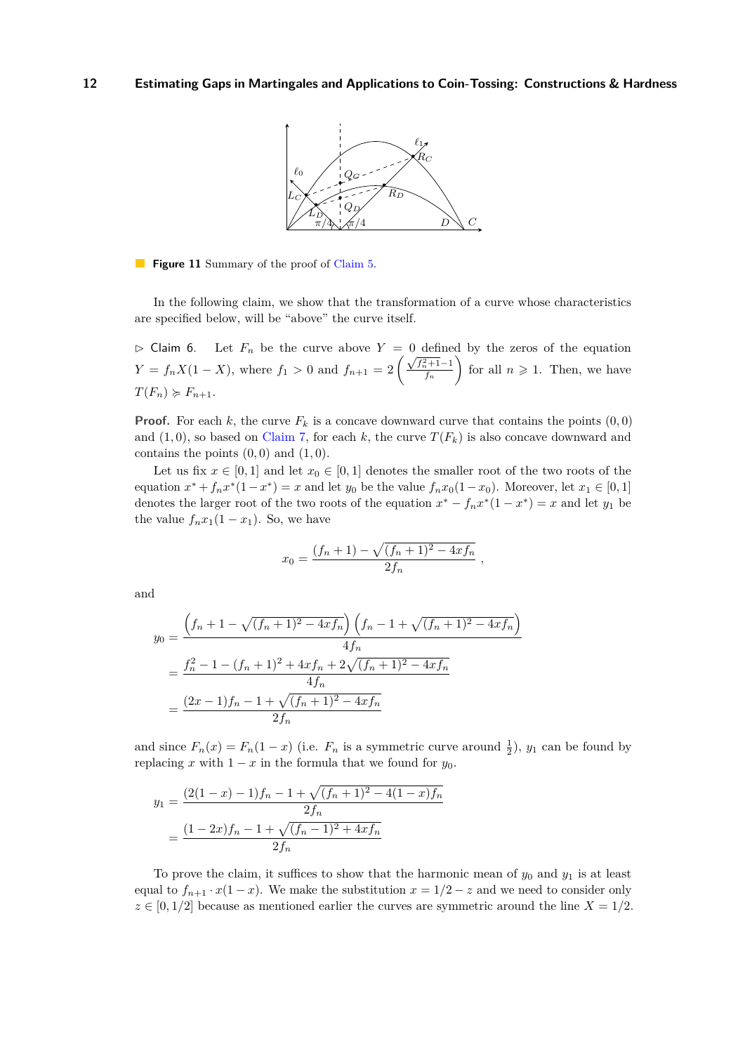<span id="page-14-1"></span>

**Figure 11** Summary of the proof of [Claim 5.](#page-13-0)

In the following claim, we show that the transformation of a curve whose characteristics are specified below, will be "above" the curve itself.

<span id="page-14-0"></span> $\triangleright$  Claim 6. Let  $F_n$  be the curve above  $Y = 0$  defined by the zeros of the equation *Y* = *f<sub>n</sub>X*(1 − *X*), where *f*<sub>1</sub> > 0 and *f*<sub>*n*+1</sub> = 2  $\frac{\sqrt{f_n^2+1}-1}{f_n}$ *f<sup>n</sup>* for all  $n \geqslant 1$ . Then, we have  $T(F_n) \geq F_{n+1}$ .

**Proof.** For each *k*, the curve  $F_k$  is a concave downward curve that contains the points  $(0,0)$ and  $(1,0)$ , so based on [Claim 7,](#page-15-0) for each k, the curve  $T(F_k)$  is also concave downward and contains the points  $(0,0)$  and  $(1,0)$ .

Let us fix  $x \in [0,1]$  and let  $x_0 \in [0,1]$  denotes the smaller root of the two roots of the equation  $x^* + f_n x^* (1 - x^*) = x$  and let  $y_0$  be the value  $f_n x_0 (1 - x_0)$ . Moreover, let  $x_1 \in [0, 1]$ denotes the larger root of the two roots of the equation  $x^* - f_n x^*(1 - x^*) = x$  and let  $y_1$  be the value  $f_n x_1(1-x_1)$ . So, we have

$$
x_0 = \frac{(f_n + 1) - \sqrt{(f_n + 1)^2 - 4xf_n}}{2f_n}
$$

*,*

and

$$
y_0 = \frac{\left(f_n + 1 - \sqrt{(f_n + 1)^2 - 4xf_n}\right)\left(f_n - 1 + \sqrt{(f_n + 1)^2 - 4xf_n}\right)}{4f_n}
$$
  
= 
$$
\frac{f_n^2 - 1 - (f_n + 1)^2 + 4xf_n + 2\sqrt{(f_n + 1)^2 - 4xf_n}}{4f_n}
$$
  
= 
$$
\frac{(2x - 1)f_n - 1 + \sqrt{(f_n + 1)^2 - 4xf_n}}{2f_n}
$$

and since  $F_n(x) = F_n(1-x)$  (i.e.  $F_n$  is a symmetric curve around  $\frac{1}{2}$ ),  $y_1$  can be found by replacing *x* with  $1 - x$  in the formula that we found for  $y_0$ .

$$
y_1 = \frac{(2(1-x)-1)f_n - 1 + \sqrt{(f_n+1)^2 - 4(1-x)f_n}}{2f_n}
$$

$$
= \frac{(1-2x)f_n - 1 + \sqrt{(f_n-1)^2 + 4xf_n}}{2f_n}
$$

To prove the claim, it suffices to show that the harmonic mean of  $y_0$  and  $y_1$  is at least equal to  $f_{n+1} \cdot x(1-x)$ . We make the substitution  $x = 1/2 - z$  and we need to consider only  $z \in [0, 1/2]$  because as mentioned earlier the curves are symmetric around the line  $X = 1/2$ .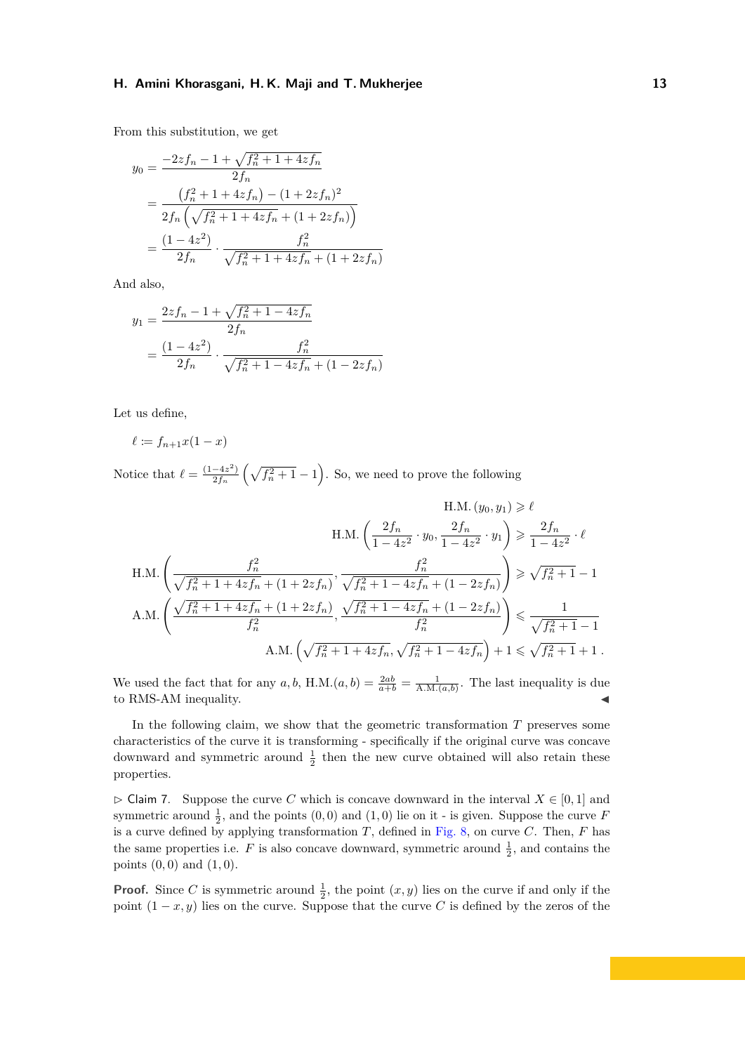From this substitution, we get

$$
y_0 = \frac{-2zf_n - 1 + \sqrt{f_n^2 + 1 + 4zf_n}}{2f_n}
$$
  
= 
$$
\frac{(f_n^2 + 1 + 4zf_n) - (1 + 2zf_n)^2}{2f_n(\sqrt{f_n^2 + 1 + 4zf_n} + (1 + 2zf_n))}
$$
  
= 
$$
\frac{(1 - 4z^2)}{2f_n} \cdot \frac{f_n^2}{\sqrt{f_n^2 + 1 + 4zf_n} + (1 + 2zf_n)}
$$

And also,

$$
y_1 = \frac{2zf_n - 1 + \sqrt{f_n^2 + 1 - 4zf_n}}{2f_n}
$$
  
= 
$$
\frac{(1 - 4z^2)}{2f_n} \cdot \frac{f_n^2}{\sqrt{f_n^2 + 1 - 4zf_n} + (1 - 2zf_n)}
$$

Let us define,

$$
\ell := f_{n+1}x(1-x)
$$

Notice that  $\ell = \frac{(1-4z^2)}{2f}$  $\frac{-4z^2}{2f_n}\left(\sqrt{f_n^2+1}-1\right)$ . So, we need to prove the following

$$
\begin{array}{c} \mathrm{H.M.} \left( y_0, y_1 \right) \geqslant \ell \\ \mathrm{H.M.} \left( \dfrac{2f_n}{1-4z^2} \cdot y_0, \dfrac{2f_n}{1-4z^2} \cdot y_1 \right) \geqslant \dfrac{2f_n}{1-4z^2} \cdot \ell \\ \mathrm{H.M.} \left( \dfrac{f_n^2}{\sqrt{f_n^2+1+4zf_n}+(1+2zf_n)}, \dfrac{f_n^2}{\sqrt{f_n^2+1-4zf_n}+(1-2zf_n)} \right) \geqslant \sqrt{f_n^2+1}-1 \\ \mathrm{A.M.} \left( \dfrac{\sqrt{f_n^2+1+4zf_n}+(1+2zf_n)}{f_n^2}, \dfrac{\sqrt{f_n^2+1-4zf_n}+(1-2zf_n)}{f_n^2} \right) \leqslant \dfrac{1}{\sqrt{f_n^2+1}-1} \\ \mathrm{A.M.} \left( \sqrt{f_n^2+1+4zf_n}, \sqrt{f_n^2+1-4zf_n} \right) +1 \leqslant \sqrt{f_n^2+1}+1 \ . \end{array}
$$

We used the fact that for any  $a, b$ , H.M. $(a, b) = \frac{2ab}{a+b} = \frac{1}{A.M.(a,b)}$ . The last inequality is due to RMS-AM inequality.

In the following claim, we show that the geometric transformation *T* preserves some characteristics of the curve it is transforming - specifically if the original curve was concave downward and symmetric around  $\frac{1}{2}$  then the new curve obtained will also retain these properties.

<span id="page-15-0"></span> $\triangleright$  Claim 7. Suppose the curve *C* which is concave downward in the interval  $X \in [0,1]$  and symmetric around  $\frac{1}{2}$ , and the points  $(0,0)$  and  $(1,0)$  lie on it - is given. Suppose the curve *F* is a curve defined by applying transformation *T*, defined in [Fig. 8,](#page-11-0) on curve *C*. Then, *F* has the same properties i.e.  $F$  is also concave downward, symmetric around  $\frac{1}{2}$ , and contains the points (0*,* 0) and (1*,* 0).

**Proof.** Since *C* is symmetric around  $\frac{1}{2}$ , the point  $(x, y)$  lies on the curve if and only if the point  $(1-x, y)$  lies on the curve. Suppose that the curve *C* is defined by the zeros of the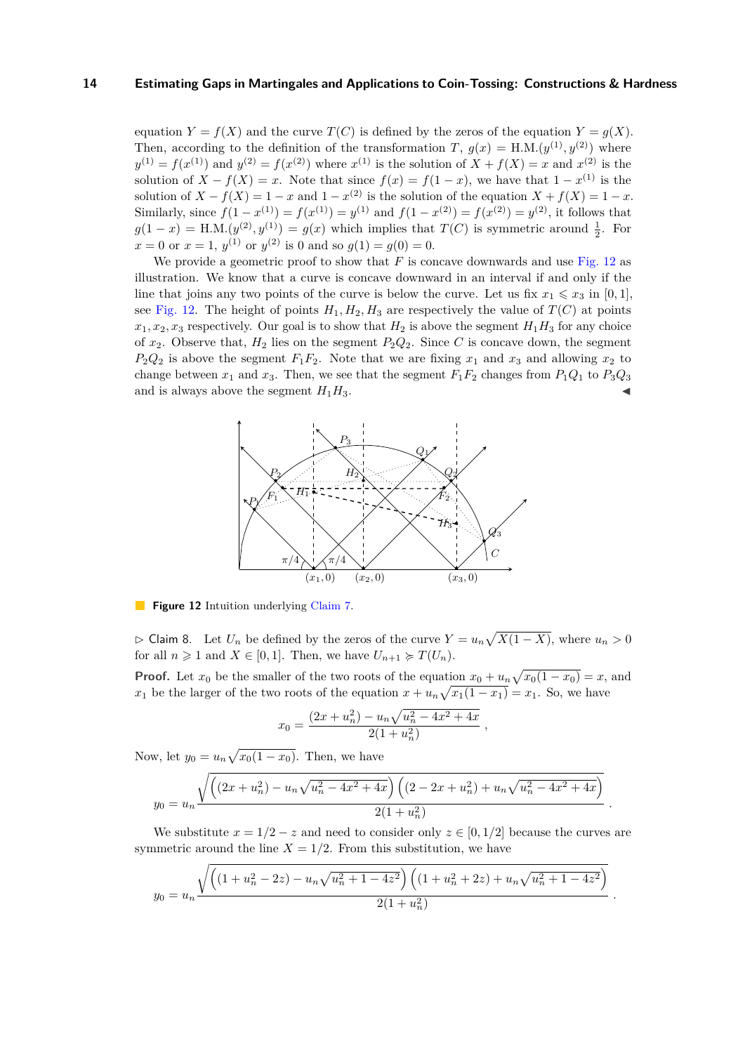equation  $Y = f(X)$  and the curve  $T(C)$  is defined by the zeros of the equation  $Y = g(X)$ . Then, according to the definition of the transformation *T*,  $g(x) = H.M.(y^{(1)}, y^{(2)})$  where  $y^{(1)} = f(x^{(1)})$  and  $y^{(2)} = f(x^{(2)})$  where  $x^{(1)}$  is the solution of  $X + f(X) = x$  and  $x^{(2)}$  is the solution of  $X - f(X) = x$ . Note that since  $f(x) = f(1-x)$ , we have that  $1 - x^{(1)}$  is the solution of  $X - f(X) = 1 - x$  and  $1 - x^{(2)}$  is the solution of the equation  $X + f(X) = 1 - x$ . Similarly, since  $f(1 - x^{(1)}) = f(x^{(1)}) = y^{(1)}$  and  $f(1 - x^{(2)}) = f(x^{(2)}) = y^{(2)}$ , it follows that  $g(1-x) = H.M.(y^{(2)}, y^{(1)}) = g(x)$  which implies that  $T(C)$  is symmetric around  $\frac{1}{2}$ . For  $x = 0$  or  $x = 1$ ,  $y^{(1)}$  or  $y^{(2)}$  is 0 and so  $g(1) = g(0) = 0$ .

We provide a geometric proof to show that *F* is concave downwards and use [Fig. 12](#page-16-1) as illustration. We know that a curve is concave downward in an interval if and only if the line that joins any two points of the curve is below the curve. Let us fix  $x_1 \leq x_3$  in [0, 1], see [Fig. 12.](#page-16-1) The height of points  $H_1, H_2, H_3$  are respectively the value of  $T(C)$  at points  $x_1, x_2, x_3$  respectively. Our goal is to show that  $H_2$  is above the segment  $H_1H_3$  for any choice of  $x_2$ . Observe that,  $H_2$  lies on the segment  $P_2Q_2$ . Since *C* is concave down, the segment  $P_2Q_2$  is above the segment  $F_1F_2$ . Note that we are fixing  $x_1$  and  $x_3$  and allowing  $x_2$  to change between  $x_1$  and  $x_3$ . Then, we see that the segment  $F_1F_2$  changes from  $P_1Q_1$  to  $P_3Q_3$ and is always above the segment  $H_1H_3$ .

<span id="page-16-1"></span>

**Figure 12** Intuition underlying [Claim 7.](#page-15-0)

<span id="page-16-0"></span> $\triangleright$  Claim 8. Let  $U_n$  be defined by the zeros of the curve  $Y = u_n \sqrt{X(1 - X)}$ , where  $u_n > 0$ for all  $n \geq 1$  and  $X \in [0,1]$ . Then, we have  $U_{n+1} \geq T(U_n)$ .

**Proof.** Let  $x_0$  be the smaller of the two roots of the equation  $x_0 + u_n \sqrt{x_0(1 - x_0)} = x$ , and *x*<sub>1</sub> be the larger of the two roots of the equation  $x + u_n \sqrt{x_1(1 - x_1)} = x_1$ . So, we have

$$
x_0 = \frac{(2x + u_n^2) - u_n \sqrt{u_n^2 - 4x^2 + 4x}}{2(1 + u_n^2)},
$$

Now, let  $y_0 = u_n \sqrt{x_0(1-x_0)}$ . Then, we have

$$
y_0 = u_n \frac{\sqrt{\left( (2x + u_n^2) - u_n \sqrt{u_n^2 - 4x^2 + 4x} \right) \left( (2 - 2x + u_n^2) + u_n \sqrt{u_n^2 - 4x^2 + 4x} \right)}}{2(1 + u_n^2)}
$$

*.*

We substitute  $x = 1/2 - z$  and need to consider only  $z \in [0, 1/2]$  because the curves are symmetric around the line  $X = 1/2$ . From this substitution, we have

$$
y_0 = u_n \frac{\sqrt{\left((1+u_n^2-2z) - u_n\sqrt{u_n^2+1-4z^2}\right)\left((1+u_n^2+2z) + u_n\sqrt{u_n^2+1-4z^2}\right)}}{2(1+u_n^2)}.
$$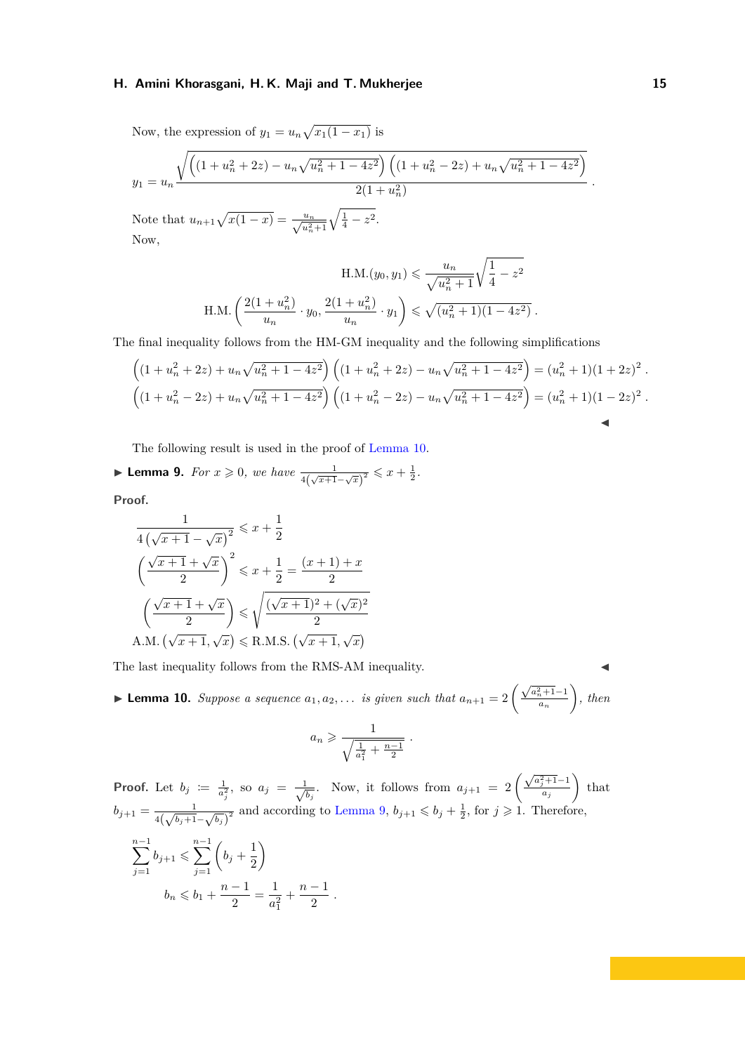Now, the expression of  $y_1 = u_n \sqrt{x_1(1-x_1)}$  is

$$
y_1 = u_n \frac{\sqrt{\left( (1 + u_n^2 + 2z) - u_n \sqrt{u_n^2 + 1 - 4z^2} \right) \left( (1 + u_n^2 - 2z) + u_n \sqrt{u_n^2 + 1 - 4z^2} \right)}}{2(1 + u_n^2)}
$$

Note that  $u_{n+1}\sqrt{x(1-x)} = \frac{u_n}{\sqrt{u_n^2+1}}\sqrt{\frac{1}{4}-z^2}$ . Now,

$$
\text{H.M.}(y_0, y_1) \leqslant \frac{u_n}{\sqrt{u_n^2 + 1}} \sqrt{\frac{1}{4} - z^2}
$$
  

$$
\text{H.M.}\left(\frac{2(1+u_n^2)}{u_n} \cdot y_0, \frac{2(1+u_n^2)}{u_n} \cdot y_1\right) \leqslant \sqrt{(u_n^2 + 1)(1 - 4z^2)}.
$$

The final inequality follows from the HM-GM inequality and the following simplifications

$$
\left( (1+u_n^2+2z)+u_n\sqrt{u_n^2+1-4z^2} \right) \left( (1+u_n^2+2z)-u_n\sqrt{u_n^2+1-4z^2} \right) = (u_n^2+1)(1+2z)^2.
$$
  

$$
\left( (1+u_n^2-2z)+u_n\sqrt{u_n^2+1-4z^2} \right) \left( (1+u_n^2-2z)-u_n\sqrt{u_n^2+1-4z^2} \right) = (u_n^2+1)(1-2z)^2.
$$

The following result is used in the proof of [Lemma 10.](#page-17-0)

<span id="page-17-1"></span>► **Lemma 9.** *For*  $x \ge 0$ *, we have*  $\frac{1}{4(\sqrt{x+1}-\sqrt{x})^2} \le x + \frac{1}{2}$ *.* 

**Proof.**

$$
\frac{1}{4(\sqrt{x+1}-\sqrt{x})^2} \leq x + \frac{1}{2}
$$

$$
\left(\frac{\sqrt{x+1}+\sqrt{x}}{2}\right)^2 \leq x + \frac{1}{2} = \frac{(x+1)+x}{2}
$$

$$
\left(\frac{\sqrt{x+1}+\sqrt{x}}{2}\right) \leq \sqrt{\frac{(\sqrt{x+1})^2+(\sqrt{x})^2}{2}}
$$
A.M.  $(\sqrt{x+1}, \sqrt{x}) \leq R.M.S. (\sqrt{x+1}, \sqrt{x})$ 

The last inequality follows from the RMS-AM inequality.

<span id="page-17-0"></span>**► Lemma 10.** Suppose a sequence  $a_1, a_2, \ldots$  is given such that  $a_{n+1} = 2 \left( \frac{\sqrt{a_n^2 + 1} - 1}{a_n} \right)$ *a<sup>n</sup> , then*

$$
a_n \geqslant \frac{1}{\sqrt{\frac{1}{a_1^2} + \frac{n-1}{2}}}
$$

*.*

**Proof.** Let  $b_j := \frac{1}{a_j^2}$ , so  $a_j = \frac{1}{\sqrt{a_j^2}}$ *b*<sub>*j*</sub></sub>. Now, it follows from  $a_{j+1} = 2\left(\frac{\sqrt{a_j^2+1}-1}{a_j}\right)$ *aj*  $\Big)$  that  $b_{j+1} = \frac{1}{\sqrt{1-1}}$  $\frac{1}{4(\sqrt{b_j+1}-\sqrt{b_j})^2}$  and according to [Lemma 9,](#page-17-1)  $b_{j+1} \leq b_j + \frac{1}{2}$ , for  $j \geq 1$ . Therefore, n<sup>-1</sup> *j*=1  $b_{j+1} \leqslant \sum^{n-1}$ *j*=1  $\left(b_{j} + \frac{1}{2}\right)$ 2  $\setminus$  $b_n \leqslant b_1 + \frac{n-1}{2}$  $\frac{-1}{2} = \frac{1}{a_1^2}$  $a_1^2$  $+\frac{n-1}{2}$  $\frac{1}{2}$ .

*.*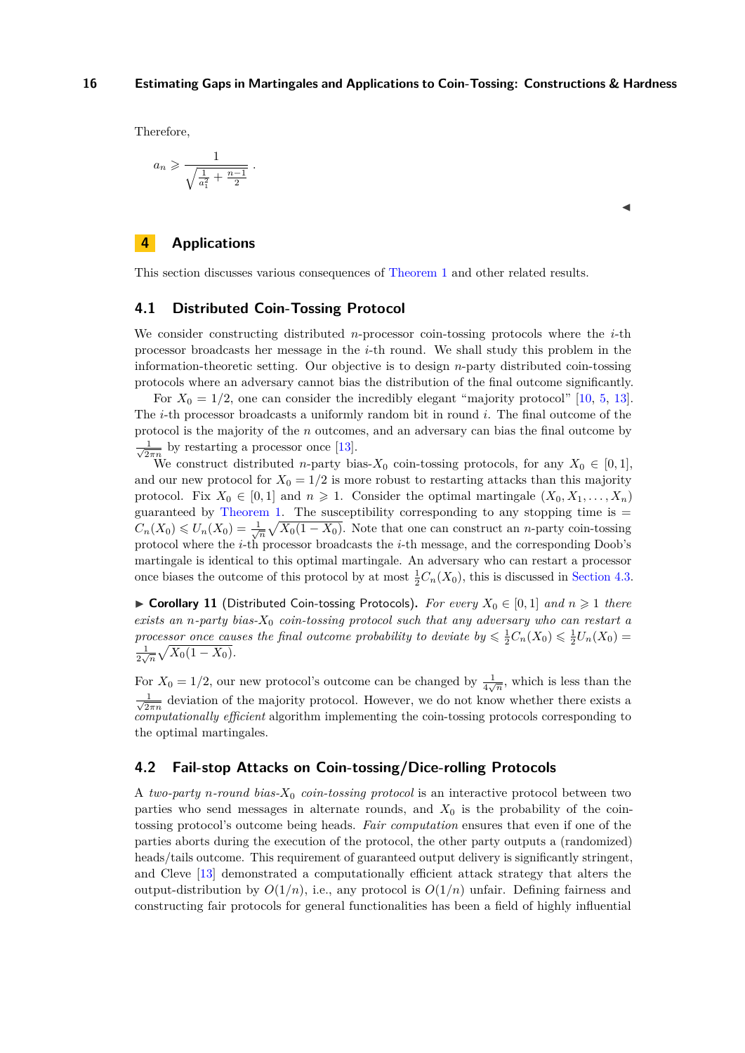Therefore,

$$
a_n \geqslant \frac{1}{\sqrt{\frac{1}{a_1^2} + \frac{n-1}{2}}}
$$

 $\blacktriangleleft$ 

## <span id="page-18-0"></span>**4 Applications**

This section discusses various consequences of [Theorem 1](#page-4-1) and other related results.

### <span id="page-18-1"></span>**4.1 Distributed Coin-Tossing Protocol**

*.*

We consider constructing distributed *n*-processor coin-tossing protocols where the *i*-th processor broadcasts her message in the *i*-th round. We shall study this problem in the information-theoretic setting. Our objective is to design *n*-party distributed coin-tossing protocols where an adversary cannot bias the distribution of the final outcome significantly.

For  $X_0 = 1/2$ , one can consider the incredibly elegant "majority protocol" [\[10,](#page-32-0) [5,](#page-32-1) [13\]](#page-32-2). The *i*-th processor broadcasts a uniformly random bit in round *i*. The final outcome of the protocol is the majority of the *n* outcomes, and an adversary can bias the final outcome by  $\frac{1}{\sqrt{2}}$  $\frac{1}{2\pi n}$  by restarting a processor once [\[13\]](#page-32-2).

We construct distributed *n*-party bias- $X_0$  coin-tossing protocols, for any  $X_0 \in [0,1]$ , and our new protocol for  $X_0 = 1/2$  is more robust to restarting attacks than this majority protocol. Fix  $X_0 \in [0,1]$  and  $n \geq 1$ . Consider the optimal martingale  $(X_0, X_1, \ldots, X_n)$ guaranteed by [Theorem 1.](#page-4-1) The susceptibility corresponding to any stopping time is  $=$  $C_n(X_0) \leq U_n(X_0) = \frac{1}{\sqrt{n}} \sqrt{X_0(1 - X_0)}$ . Note that one can construct an *n*-party coin-tossing protocol where the *i*-th processor broadcasts the *i*-th message, and the corresponding Doob's martingale is identical to this optimal martingale. An adversary who can restart a processor once biases the outcome of this protocol by at most  $\frac{1}{2}C_n(X_0)$ , this is discussed in [Section 4.3.](#page-27-0)

<span id="page-18-3"></span>▶ **Corollary 11** (Distributed Coin-tossing Protocols). For every  $X_0 \in [0,1]$  and  $n \ge 1$  there *exists an n-party bias-X*<sup>0</sup> *coin-tossing protocol such that any adversary who can restart a processor once causes the final outcome probability to deviate by*  $\leq \frac{1}{2}C_n(X_0) \leq \frac{1}{2}U_n(X_0)$  $\frac{1}{2\sqrt{n}}\sqrt{X_0(1-X_0)}$ .

For  $X_0 = 1/2$ , our new protocol's outcome can be changed by  $\frac{1}{4\sqrt{n}}$ , which is less than the  $\frac{1}{\sqrt{2}}$  $\frac{1}{2\pi n}$  deviation of the majority protocol. However, we do not know whether there exists a *computationally efficient* algorithm implementing the coin-tossing protocols corresponding to the optimal martingales.

## <span id="page-18-2"></span>**4.2 Fail-stop Attacks on Coin-tossing/Dice-rolling Protocols**

A *two-party n-round bias-X*<sup>0</sup> *coin-tossing protocol* is an interactive protocol between two parties who send messages in alternate rounds, and  $X_0$  is the probability of the cointossing protocol's outcome being heads. *Fair computation* ensures that even if one of the parties aborts during the execution of the protocol, the other party outputs a (randomized) heads/tails outcome. This requirement of guaranteed output delivery is significantly stringent, and Cleve [\[13\]](#page-32-2) demonstrated a computationally efficient attack strategy that alters the output-distribution by  $O(1/n)$ , i.e., any protocol is  $O(1/n)$  unfair. Defining fairness and constructing fair protocols for general functionalities has been a field of highly influential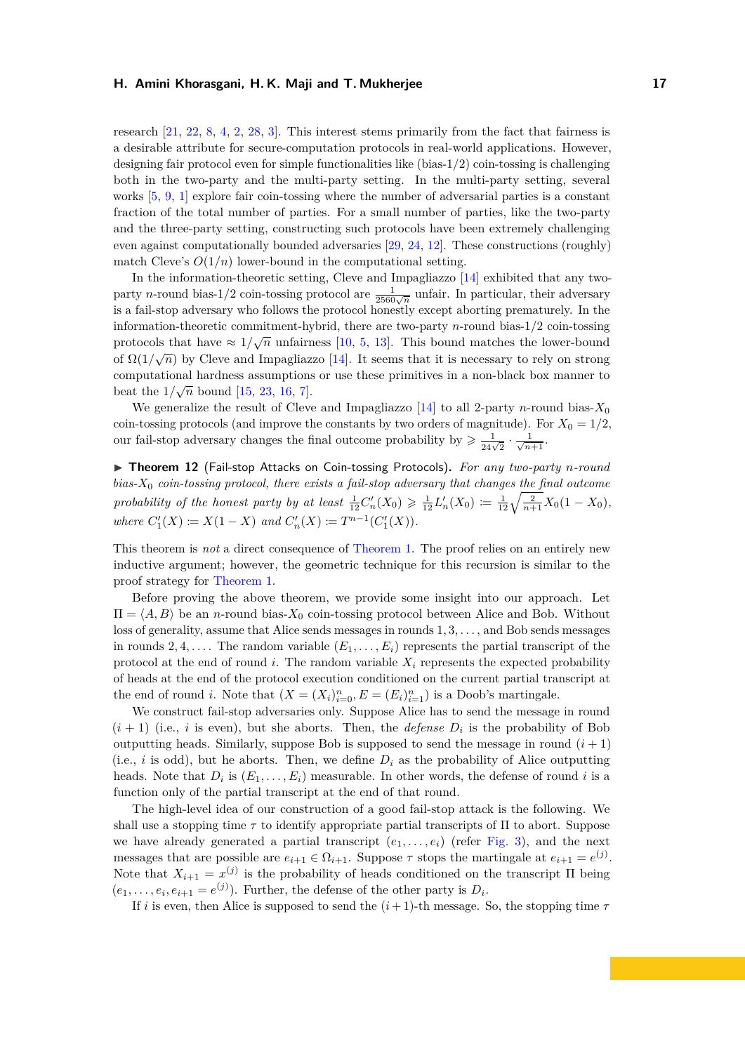research [\[21,](#page-33-7) [22,](#page-33-5) [8,](#page-32-5) [4,](#page-32-6) [2,](#page-32-7) [28,](#page-34-1) [3\]](#page-32-8). This interest stems primarily from the fact that fairness is a desirable attribute for secure-computation protocols in real-world applications. However, designing fair protocol even for simple functionalities like (bias-1*/*2) coin-tossing is challenging both in the two-party and the multi-party setting. In the multi-party setting, several works [\[5,](#page-32-1) [9,](#page-32-9) [1\]](#page-32-10) explore fair coin-tossing where the number of adversarial parties is a constant fraction of the total number of parties. For a small number of parties, like the two-party and the three-party setting, constructing such protocols have been extremely challenging even against computationally bounded adversaries [\[29,](#page-34-2) [24,](#page-33-8) [12\]](#page-32-11). These constructions (roughly) match Cleve's  $O(1/n)$  lower-bound in the computational setting.

In the information-theoretic setting, Cleve and Impagliazzo [\[14\]](#page-33-1) exhibited that any twoparty *n*-round bias-1/2 coin-tossing protocol are  $\frac{1}{2560\sqrt{n}}$  unfair. In particular, their adversary is a fail-stop adversary who follows the protocol honestly except aborting prematurely. In the information-theoretic commitment-hybrid, there are two-party *n*-round bias-1/2 coin-tossing protocols that have  $\approx 1/\sqrt{n}$  unfairness [\[10,](#page-32-0) [5,](#page-32-1) [13\]](#page-32-2). This bound matches the lower-bound of  $\Omega(1/\sqrt{n})$  by Cleve and Impagliazzo [\[14\]](#page-33-1). It seems that it is necessary to rely on strong computational hardness assumptions or use these primitives in a non-black box manner to beat the  $1/\sqrt{n}$  bound [\[15,](#page-33-2) [23,](#page-33-3) [16,](#page-33-4) [7\]](#page-32-4).

We generalize the result of Cleve and Impagliazzo  $[14]$  to all 2-party *n*-round bias- $X_0$ coin-tossing protocols (and improve the constants by two orders of magnitude). For  $X_0 = 1/2$ , our fail-stop adversary changes the final outcome probability by  $\geq \frac{1}{24\sqrt{2}} \cdot \frac{1}{\sqrt{n+1}}$ .

<span id="page-19-0"></span>▶ Theorem 12 (Fail-stop Attacks on Coin-tossing Protocols). For any two-party n-round *bias-X*<sup>0</sup> *coin-tossing protocol, there exists a fail-stop adversary that changes the final outcome probability of the honest party by at least*  $\frac{1}{12}C'_n(X_0) \geq \frac{1}{12}L'_n(X_0) := \frac{1}{12}\sqrt{\frac{2}{n+1}}X_0(1-X_0)$ , *where*  $C'_1(X) \coloneqq X(1-X)$  *and*  $C'_n(X) \coloneqq T^{n-1}(C'_1(X))$ *.* 

This theorem is *not* a direct consequence of [Theorem 1.](#page-4-1) The proof relies on an entirely new inductive argument; however, the geometric technique for this recursion is similar to the proof strategy for [Theorem 1.](#page-4-1)

Before proving the above theorem, we provide some insight into our approach. Let  $\Pi = \langle A, B \rangle$  be an *n*-round bias- $X_0$  coin-tossing protocol between Alice and Bob. Without loss of generality, assume that Alice sends messages in rounds 1*,* 3*, . . .* , and Bob sends messages in rounds 2, 4, .... The random variable  $(E_1, \ldots, E_i)$  represents the partial transcript of the protocol at the end of round  $i$ . The random variable  $X_i$  represents the expected probability of heads at the end of the protocol execution conditioned on the current partial transcript at the end of round *i*. Note that  $(X = (X_i)_{i=0}^n, E = (E_i)_{i=1}^n)$  is a Doob's martingale.

We construct fail-stop adversaries only. Suppose Alice has to send the message in round  $(i + 1)$  (i.e., *i* is even), but she aborts. Then, the *defense*  $D_i$  is the probability of Bob outputting heads. Similarly, suppose Bob is supposed to send the message in round  $(i + 1)$ (i.e., *i* is odd), but he aborts. Then, we define  $D_i$  as the probability of Alice outputting heads. Note that  $D_i$  is  $(E_1, \ldots, E_i)$  measurable. In other words, the defense of round *i* is a function only of the partial transcript at the end of that round.

The high-level idea of our construction of a good fail-stop attack is the following. We shall use a stopping time  $\tau$  to identify appropriate partial transcripts of  $\Pi$  to abort. Suppose we have already generated a partial transcript  $(e_1, \ldots, e_i)$  (refer [Fig. 3\)](#page-8-1), and the next messages that are possible are  $e_{i+1} \in \Omega_{i+1}$ . Suppose  $\tau$  stops the martingale at  $e_{i+1} = e^{(j)}$ . Note that  $X_{i+1} = x^{(j)}$  is the probability of heads conditioned on the transcript  $\Pi$  being  $(e_1, \ldots, e_i, e_{i+1} = e^{(j)})$ . Further, the defense of the other party is  $D_i$ .

If *i* is even, then Alice is supposed to send the  $(i+1)$ -th message. So, the stopping time  $\tau$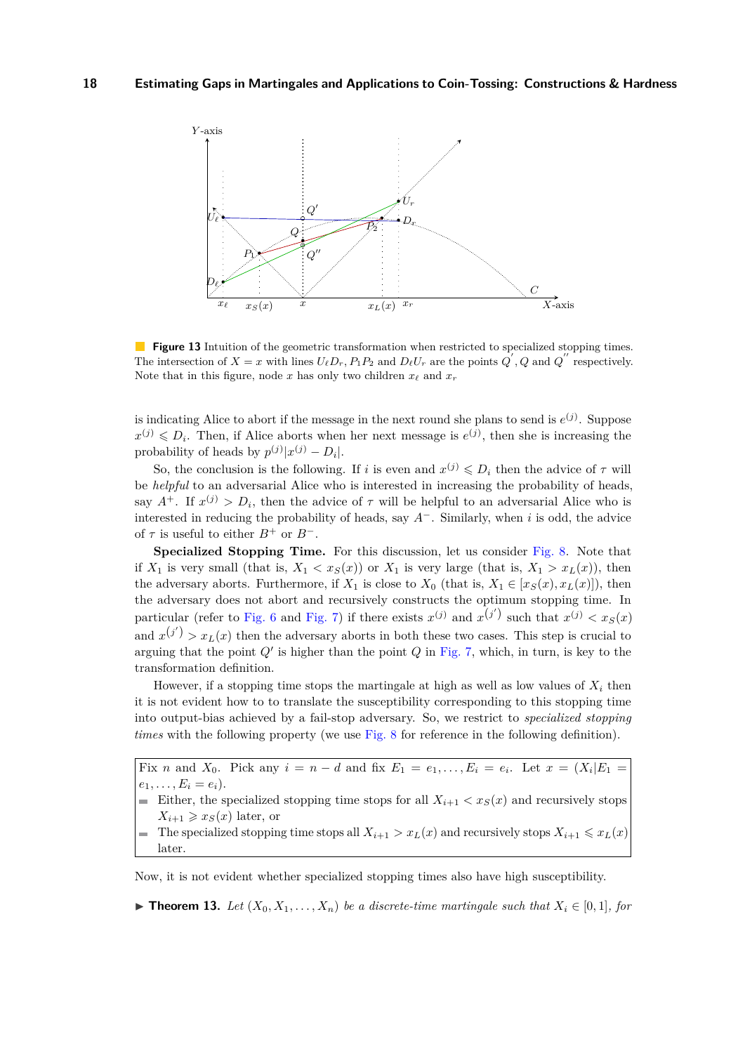<span id="page-20-1"></span>

**Figure 13** Intuition of the geometric transformation when restricted to specialized stopping times. The intersection of  $X = x$  with lines  $U_{\ell}D_r$ ,  $P_1P_2$  and  $D_{\ell}U_r$  are the points  $Q'$ ,  $Q$  and  $Q''$  respectively. Note that in this figure, node *x* has only two children  $x_\ell$  and  $x_r$ 

is indicating Alice to abort if the message in the next round she plans to send is  $e^{(j)}$ . Suppose  $x^{(j)} \leqslant D_i$ . Then, if Alice aborts when her next message is  $e^{(j)}$ , then she is increasing the probability of heads by  $p^{(j)}|x^{(j)} - D_i|$ .

So, the conclusion is the following. If *i* is even and  $x^{(j)} \n\t\le D_i$  then the advice of  $\tau$  will be *helpful* to an adversarial Alice who is interested in increasing the probability of heads, say  $A^+$ . If  $x^{(j)} > D_i$ , then the advice of  $\tau$  will be helpful to an adversarial Alice who is interested in reducing the probability of heads, say *A*<sup>−</sup>. Similarly, when *i* is odd, the advice of  $\tau$  is useful to either  $B^+$  or  $B^-$ .

**Specialized Stopping Time.** For this discussion, let us consider [Fig. 8.](#page-11-0) Note that if  $X_1$  is very small (that is,  $X_1 < x_S(x)$ ) or  $X_1$  is very large (that is,  $X_1 > x_L(x)$ ), then the adversary aborts. Furthermore, if  $X_1$  is close to  $X_0$  (that is,  $X_1 \in [x_S(x), x_L(x)]$ ), then the adversary does not abort and recursively constructs the optimum stopping time. In particular (refer to [Fig. 6](#page-10-0) and [Fig. 7\)](#page-10-1) if there exists  $x^{(j)}$  and  $x^{(j')}$  such that  $x^{(j)} < x_S(x)$ and  $x^{(j')}$  >  $x_L(x)$  then the adversary aborts in both these two cases. This step is crucial to arguing that the point  $Q'$  is higher than the point  $Q$  in [Fig. 7,](#page-10-1) which, in turn, is key to the transformation definition.

However, if a stopping time stops the martingale at high as well as low values of  $X_i$  then it is not evident how to to translate the susceptibility corresponding to this stopping time into output-bias achieved by a fail-stop adversary. So, we restrict to *specialized stopping times* with the following property (we use [Fig. 8](#page-11-0) for reference in the following definition).

Fix *n* and  $X_0$ . Pick any  $i = n - d$  and fix  $E_1 = e_1, \ldots, E_i = e_i$ . Let  $x = (X_i | E_1 = e_1, \ldots, E_i = e_i)$  $e_1, \ldots, E_i = e_i$ .

Either, the specialized stopping time stops for all  $X_{i+1} < x_S(x)$  and recursively stops  $X_{i+1} \geqslant x_S(x)$  later, or

The specialized stopping time stops all  $X_{i+1} > x_L(x)$  and recursively stops  $X_{i+1} \le x_L(x)$ later.

Now, it is not evident whether specialized stopping times also have high susceptibility.

<span id="page-20-0"></span>▶ **Theorem 13.** *Let*  $(X_0, X_1, \ldots, X_n)$  *be a discrete-time martingale such that*  $X_i \in [0,1]$ *, for*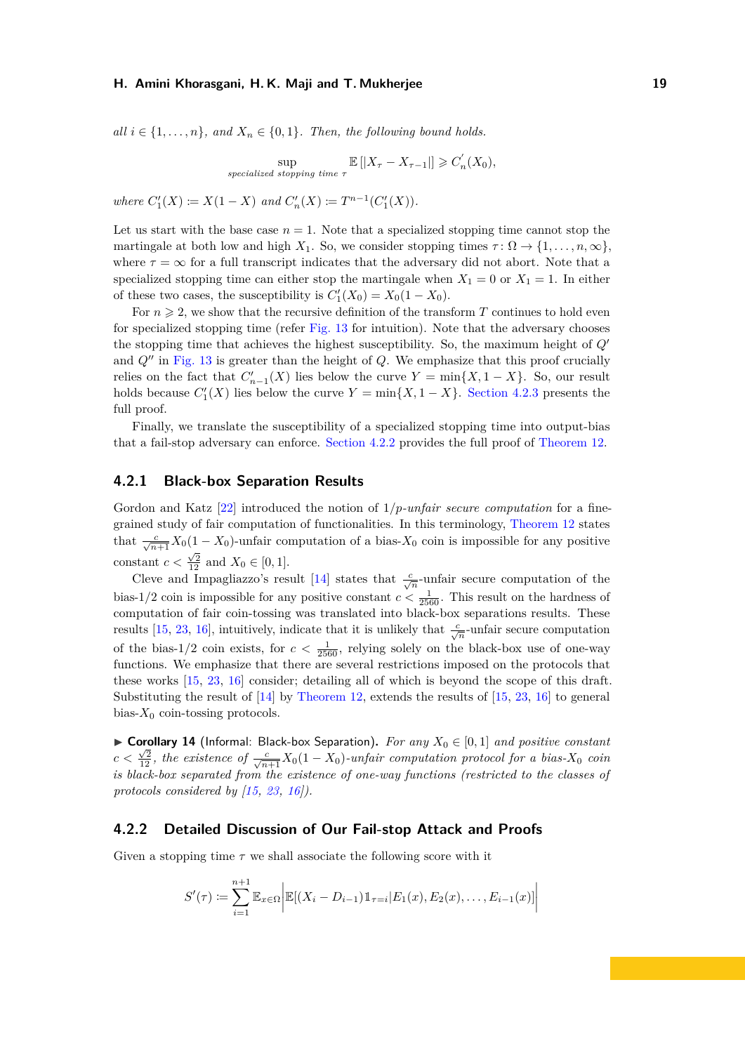*all*  $i \in \{1, \ldots, n\}$ *, and*  $X_n \in \{0, 1\}$ *. Then, the following bound holds.* 

$$
\sup_{\text{specialized stopping time } \tau} \mathbb{E} \left[ |X_{\tau} - X_{\tau-1}| \right] \geqslant C'_n(X_0),
$$

 $where \ C'_1(X) := X(1-X) \ and \ C'_n(X) := T^{n-1}(C'_1(X)).$ 

Let us start with the base case  $n = 1$ . Note that a specialized stopping time cannot stop the martingale at both low and high  $X_1$ . So, we consider stopping times  $\tau : \Omega \to \{1, \ldots, n, \infty\}$ . where  $\tau = \infty$  for a full transcript indicates that the adversary did not abort. Note that a specialized stopping time can either stop the martingale when  $X_1 = 0$  or  $X_1 = 1$ . In either of these two cases, the susceptibility is  $C'_{1}(X_{0}) = X_{0}(1 - X_{0})$ .

For  $n \geq 2$ , we show that the recursive definition of the transform *T* continues to hold even for specialized stopping time (refer [Fig. 13](#page-20-1) for intuition). Note that the adversary chooses the stopping time that achieves the highest susceptibility. So, the maximum height of *Q*<sup>0</sup> and  $Q^{\prime\prime}$  in [Fig. 13](#page-20-1) is greater than the height of  $Q$ . We emphasize that this proof crucially relies on the fact that  $C'_{n-1}(X)$  lies below the curve  $Y = \min\{X, 1 - X\}$ . So, our result holds because  $C'_{1}(X)$  lies below the curve  $Y = \min\{X, 1 - X\}$ . [Section 4.2.3](#page-26-0) presents the full proof.

Finally, we translate the susceptibility of a specialized stopping time into output-bias that a fail-stop adversary can enforce. [Section 4.2.2](#page-21-1) provides the full proof of [Theorem 12.](#page-19-0)

## <span id="page-21-0"></span>**4.2.1 Black-box Separation Results**

Gordon and Katz [\[22\]](#page-33-5) introduced the notion of 1*/p-unfair secure computation* for a finegrained study of fair computation of functionalities. In this terminology, [Theorem 12](#page-19-0) states that  $\frac{c}{\sqrt{n+1}}X_0(1-X_0)$ -unfair computation of a bias- $X_0$  coin is impossible for any positive constant  $c < \frac{\sqrt{2}}{12}$  and  $X_0 \in [0, 1]$ .

Cleve and Impagliazzo's result [\[14\]](#page-33-1) states that  $\frac{c}{\sqrt{n}}$ -unfair secure computation of the bias-1/2 coin is impossible for any positive constant  $c < \frac{1}{2560}$ . This result on the hardness of computation of fair coin-tossing was translated into black-box separations results. These results [\[15,](#page-33-2) [23,](#page-33-3) [16\]](#page-33-4), intuitively, indicate that it is unlikely that  $\frac{c}{\sqrt{n}}$ -unfair secure computation of the bias-1/2 coin exists, for  $c < \frac{1}{2560}$ , relying solely on the black-box use of one-way functions. We emphasize that there are several restrictions imposed on the protocols that these works [\[15,](#page-33-2) [23,](#page-33-3) [16\]](#page-33-4) consider; detailing all of which is beyond the scope of this draft. Substituting the result of  $[14]$  by [Theorem 12,](#page-19-0) extends the results of  $[15, 23, 16]$  $[15, 23, 16]$  $[15, 23, 16]$  $[15, 23, 16]$  $[15, 23, 16]$  to general bias- $X_0$  coin-tossing protocols.

<span id="page-21-2"></span>▶ Corollary 14 (Informal: Black-box Separation). For any  $X_0 \in [0,1]$  and positive constant  $c < \frac{\sqrt{2}}{12}$ , the existence of  $\frac{c}{\sqrt{n+1}}X_0(1-X_0)$ -unfair computation protocol for a bias- $X_0$  coin *is black-box separated from the existence of one-way functions (restricted to the classes of protocols considered by [\[15,](#page-33-2) [23,](#page-33-3) [16\]](#page-33-4)).*

## <span id="page-21-1"></span>**4.2.2 Detailed Discussion of Our Fail-stop Attack and Proofs**

Given a stopping time  $\tau$  we shall associate the following score with it

$$
S'(\tau) := \sum_{i=1}^{n+1} \mathbb{E}_{x \in \Omega} \bigg| \mathbb{E}[(X_i - D_{i-1}) \mathbb{1}_{\tau=i} | E_1(x), E_2(x), \dots, E_{i-1}(x)] \bigg|
$$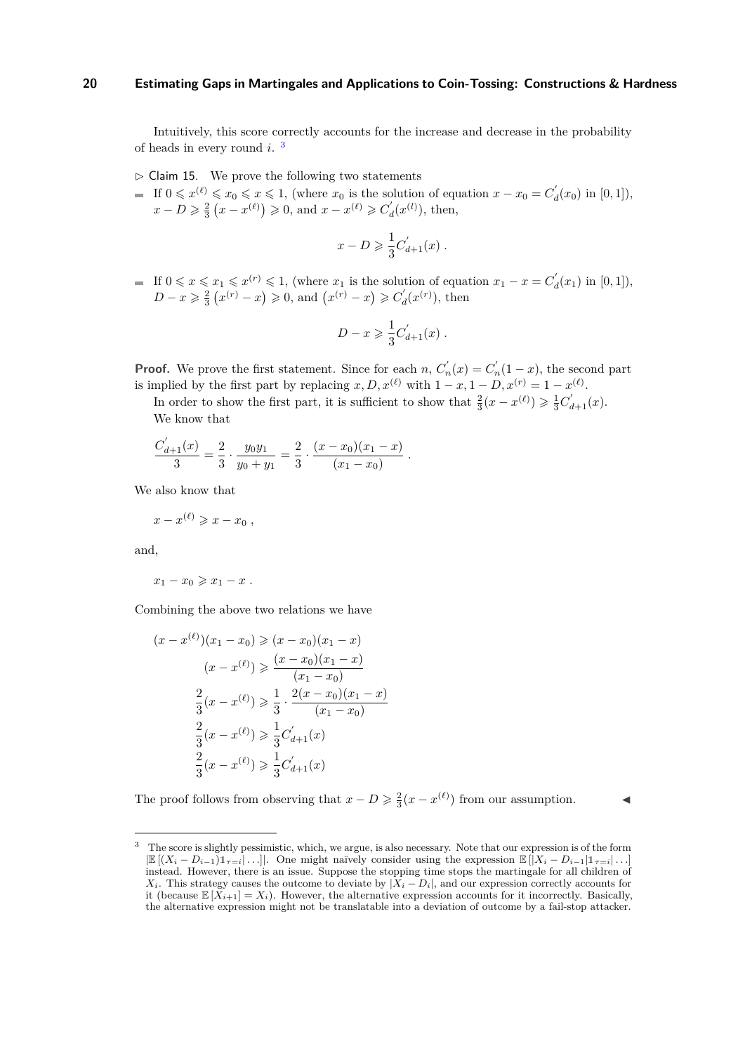Intuitively, this score correctly accounts for the increase and decrease in the probability of heads in every round *i*. [3](#page-22-0)

- <span id="page-22-1"></span> $\triangleright$  Claim 15. We prove the following two statements
- If  $0 \leq x^{(\ell)} \leq x_0 \leq x \leq 1$ , (where  $x_0$  is the solution of equation  $x x_0 = C'_d(x_0)$  in  $[0,1]$ ),  $x - D \geq \frac{2}{3} (x - x^{(\ell)}) \geq 0$ , and  $x - x^{(\ell)} \geq C'_d(x^{(\ell)})$ , then,

$$
x - D \geqslant \frac{1}{3} C'_{d+1}(x) .
$$

If  $0 \leq x \leq x_1 \leq x^{(r)} \leq 1$ , (where  $x_1$  is the solution of equation  $x_1 - x = C'_d(x_1)$  in  $[0,1]$ ),  $D - x \geq \frac{2}{3} (x^{(r)} - x) \geq 0$ , and  $(x^{(r)} - x) \geq C'_d(x^{(r)})$ , then

$$
D - x \geqslant \frac{1}{3} C'_{d+1}(x) .
$$

**Proof.** We prove the first statement. Since for each *n*,  $C'_n(x) = C'_n(1-x)$ , the second part is implied by the first part by replacing  $x, D, x^{(\ell)}$  with  $1 - x, 1 - D, x^{(r)} = 1 - x^{(\ell)}$ .

In order to show the first part, it is sufficient to show that  $\frac{2}{3}(x - x^{(\ell)}) \geq \frac{1}{3}C'_{d+1}(x)$ . We know that

$$
\frac{C_{d+1}(x)}{3} = \frac{2}{3} \cdot \frac{y_0 y_1}{y_0 + y_1} = \frac{2}{3} \cdot \frac{(x - x_0)(x_1 - x)}{(x_1 - x_0)}.
$$

We also know that

 $\overline{\phantom{a}}$ 

$$
x-x^{(\ell)}\geqslant x-x_0 ,
$$

and,

$$
x_1 - x_0 \geqslant x_1 - x \; .
$$

Combining the above two relations we have

$$
(x - x^{(\ell)})(x_1 - x_0) \ge (x - x_0)(x_1 - x)
$$

$$
(x - x^{(\ell)}) \ge \frac{(x - x_0)(x_1 - x)}{(x_1 - x_0)}
$$

$$
\frac{2}{3}(x - x^{(\ell)}) \ge \frac{1}{3} \cdot \frac{2(x - x_0)(x_1 - x)}{(x_1 - x_0)}
$$

$$
\frac{2}{3}(x - x^{(\ell)}) \ge \frac{1}{3}C'_{d+1}(x)
$$

$$
\frac{2}{3}(x - x^{(\ell)}) \ge \frac{1}{3}C'_{d+1}(x)
$$

The proof follows from observing that  $x - D \ge \frac{2}{3}(x - x^{(\ell)})$  from our assumption.

<span id="page-22-0"></span><sup>&</sup>lt;sup>3</sup> The score is slightly pessimistic, which, we argue, is also necessary. Note that our expression is of the form  $|\mathbb{E}[(X_i - D_{i-1})\mathbb{1}_{\tau=i}|\dots]$ . One might naïvely consider using the expression  $\mathbb{E}[|X_i - D_{i-1}|\mathbb{1}_{\tau=i}|\dots]$ instead. However, there is an issue. Suppose the stopping time stops the martingale for all children of *X*<sub>*i*</sub>. This strategy causes the outcome to deviate by  $|\tilde{X}_i - D_i|$ , and our expression correctly accounts for it (because  $\mathbb{E}[\tilde{X}_{i+1}] = X_i$ ). However, the alternative expression accounts for it incorrectly. Basically, the alternative expression might not be translatable into a deviation of outcome by a fail-stop attacker.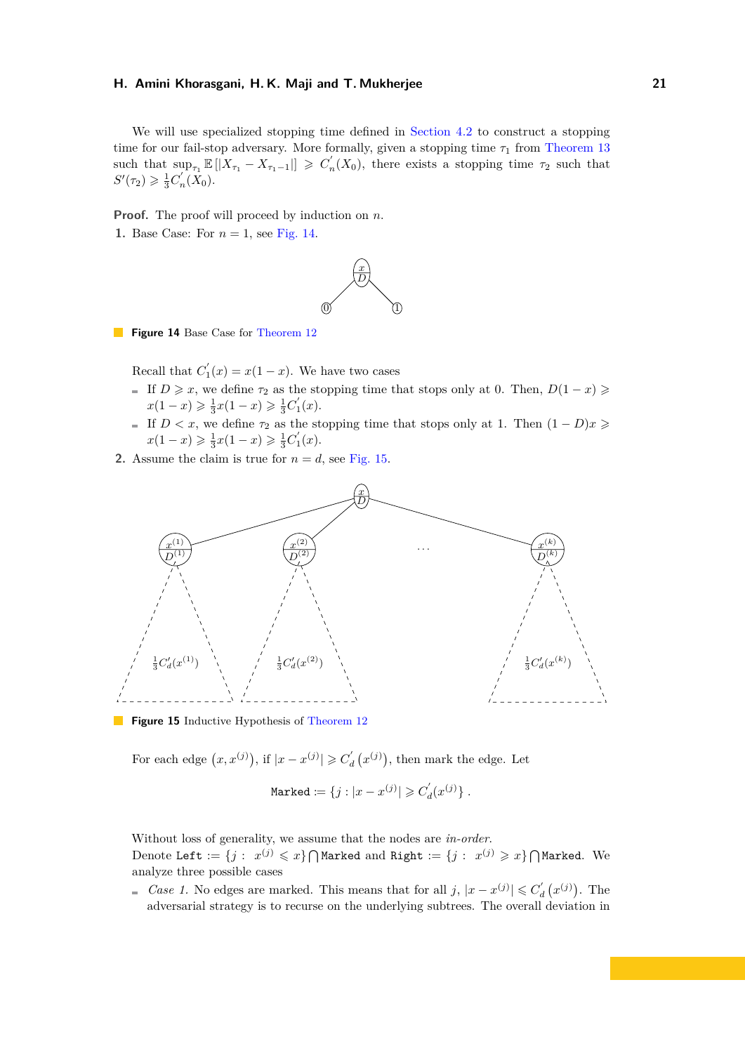We will use specialized stopping time defined in [Section 4.2](#page-18-2) to construct a stopping time for our fail-stop adversary. More formally, given a stopping time  $\tau_1$  from [Theorem 13](#page-20-0) such that  $\sup_{\tau_1} \mathbb{E}[|X_{\tau_1} - X_{\tau_1-1}|] \geqslant C'_n(X_0)$ , there exists a stopping time  $\tau_2$  such that  $S'(\tau_2) \geq \frac{1}{3}C'_n(\bar{X}_0).$ 

**Proof.** The proof will proceed by induction on *n*.

<span id="page-23-0"></span>**1.** Base Case: For *n* = 1, see [Fig. 14.](#page-23-0)



**Figure 14** Base Case for [Theorem 12](#page-19-0)

Recall that  $C'_1(x) = x(1-x)$ . We have two cases

- If  $D \ge x$ , we define  $\tau_2$  as the stopping time that stops only at 0. Then,  $D(1-x) \ge$  $x(1-x) \geq \frac{1}{3}x(1-x) \geq \frac{1}{3}C'_1(x).$
- If  $D < x$ , we define  $\tau_2$  as the stopping time that stops only at 1. Then  $(1 D)x \geq$  $x(1-x) \geq \frac{1}{3}x(1-x) \geq \frac{1}{3}C'_1(x).$
- **2.** Assume the claim is true for  $n = d$ , see [Fig. 15.](#page-23-1)

<span id="page-23-1"></span>

**Figure 15** Inductive Hypothesis of [Theorem 12](#page-19-0)

For each edge  $(x, x^{(j)})$ , if  $|x - x^{(j)}| \geqslant C'_{d}(x^{(j)})$ , then mark the edge. Let

$$
\mathtt{Market} \coloneqq \{j: |x - x^{(j)}| \geqslant C_d^{'}(x^{(j)})\} \; .
$$

Without loss of generality, we assume that the nodes are *in-order*. Denote Left :=  $\{j: \ x^{(j)} \leqslant x\} \bigcap$ Marked and Right :=  $\{j: \ x^{(j)} \geqslant x\} \bigcap$ Marked. We analyze three possible cases

*Case 1.* No edges are marked. This means that for all  $j, |x - x^{(j)}| \leq C'_d(x^{(j)})$ . The adversarial strategy is to recurse on the underlying subtrees. The overall deviation in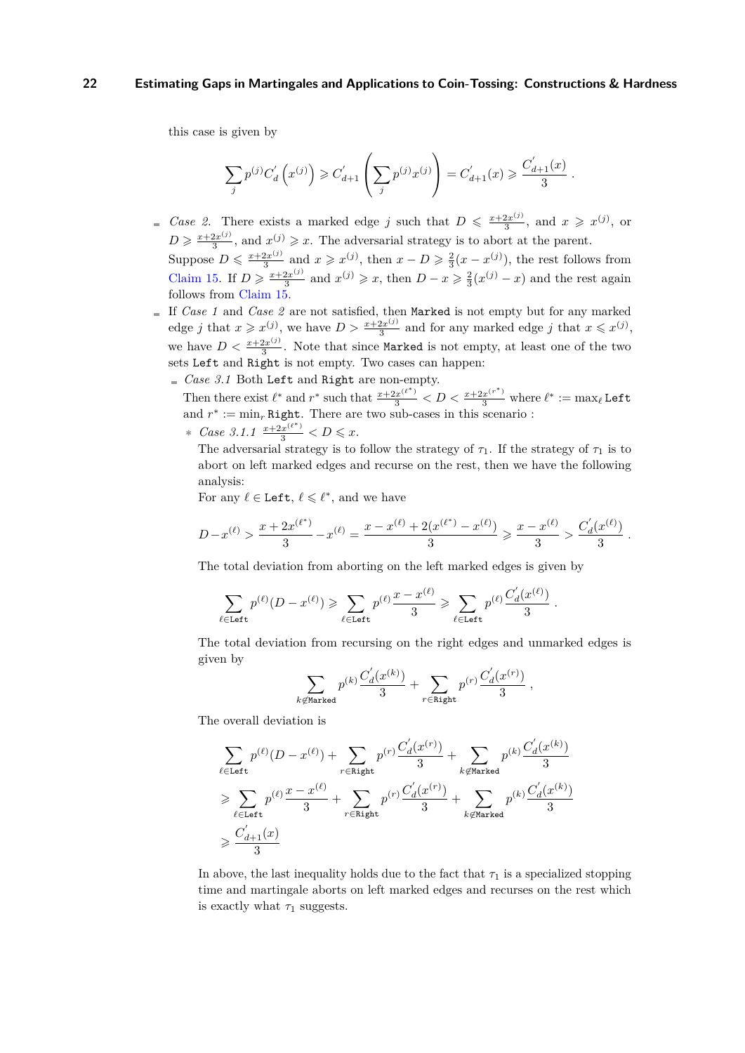this case is given by

$$
\sum_{j} p^{(j)} C'_d \left( x^{(j)} \right) \geq C'_{d+1} \left( \sum_{j} p^{(j)} x^{(j)} \right) = C'_{d+1}(x) \geq \frac{C'_{d+1}(x)}{3}
$$

*.*

- *Case 2.* There exists a marked edge *j* such that  $D \leq \frac{x + 2x^{(j)}}{3}$  $\frac{2x^{(j)}}{3}$ , and  $x \geqslant x^{(j)}$ , or  $D \geqslant \frac{x + 2x^{(j)}}{3}$  $\frac{2x^{(j)}}{3}$ , and  $x^{(j)} \geq x$ . The adversarial strategy is to abort at the parent. Suppose  $D \leqslant \frac{x + 2x^{(j)}}{3}$  $\frac{2x^{(j)}}{3}$  and  $x \geqslant x^{(j)}$ , then  $x - D \geqslant \frac{2}{3}(x - x^{(j)})$ , the rest follows from [Claim 15.](#page-22-1) If  $D \geqslant \frac{x+2x^{(j)}}{3}$  $\frac{2x^{(j)}}{3}$  and  $x^{(j)} \geq x$ , then  $D - x \geq \frac{2}{3}(x^{(j)} - x)$  and the rest again follows from [Claim 15.](#page-22-1)
- If *Case 1* and *Case 2* are not satisfied, then Marked is not empty but for any marked edge *j* that  $x \ge x^{(j)}$ , we have  $D > \frac{x + 2x^{(j)}}{3}$  $\frac{2x^{(j)}}{3}$  and for any marked edge *j* that  $x \leq x^{(j)}$ , we have  $D < \frac{x + 2x^{(j)}}{3}$  $\frac{2x^{(3)}}{3}$ . Note that since Marked is not empty, at least one of the two sets Left and Right is not empty. Two cases can happen:
	- *Case 3.1* Both Left and Right are non-empty.

Then there exist  $\ell^*$  and  $r^*$  such that  $\frac{x+2x^{(\ell^*)}}{3} < D < \frac{x+2x^{(r^*)}}{3}$  where  $\ell^* := \max_{\ell}$  Left and  $r^* := \min_r \text{Right}$ . There are two sub-cases in this scenario :

∗ *Case* 3.1.1  $\frac{x+2x^{(\ell^*)}}{3}$  < D ≤ x.

The adversarial strategy is to follow the strategy of  $\tau_1$ . If the strategy of  $\tau_1$  is to abort on left marked edges and recurse on the rest, then we have the following analysis:

For any  $\ell \in \text{Left}, \, \ell \leq \ell^*$ , and we have

$$
D-x^{(\ell)}>\frac{x+2x^{(\ell^*)}}{3}-x^{(\ell)}=\frac{x-x^{(\ell)}+2(x^{(\ell^*)}-x^{(\ell)})}{3}\geqslant \frac{x-x^{(\ell)}}{3}>\frac{C_d^{'}(x^{(\ell)})}{3}\;.
$$

The total deviation from aborting on the left marked edges is given by

$$
\sum_{\ell \in \texttt{Left}} p^{(\ell)}(D-x^{(\ell)}) \geqslant \sum_{\ell \in \texttt{Left}} p^{(\ell)} \frac{x-x^{(\ell)}}{3} \geqslant \sum_{\ell \in \texttt{Left}} p^{(\ell)} \frac{C_d^{'}(x^{(\ell)})}{3}\;.
$$

The total deviation from recursing on the right edges and unmarked edges is given by

$$
\sum_{k\not\in\text{Marked}} p^{(k)} \frac{C_d^{'}(x^{(k)})}{3} + \sum_{r\in\text{Right}} p^{(r)} \frac{C_d^{'}(x^{(r)})}{3}\:,
$$

The overall deviation is

$$
\begin{aligned} &\sum_{\ell \in \text{Left}} p^{(\ell)}(D-x^{(\ell)}) + \sum_{r \in \text{Right}} p^{(r)} \frac{C_d^{'}(x^{(r)})}{3} + \sum_{k \not \in \text{Marked}} p^{(k)} \frac{C_d^{'}(x^{(k)})}{3}\\ &\geqslant \sum_{\ell \in \text{Left}} p^{(\ell)} \frac{x-x^{(\ell)}}{3} + \sum_{r \in \text{Right}} p^{(r)} \frac{C_d^{'}(x^{(r)})}{3} + \sum_{k \not \in \text{Marked}} p^{(k)} \frac{C_d^{'}(x^{(k)})}{3}\\ &\geqslant \frac{C_{d+1}^{'}(x)}{3} \end{aligned}
$$

In above, the last inequality holds due to the fact that  $\tau_1$  is a specialized stopping time and martingale aborts on left marked edges and recurses on the rest which is exactly what  $\tau_1$  suggests.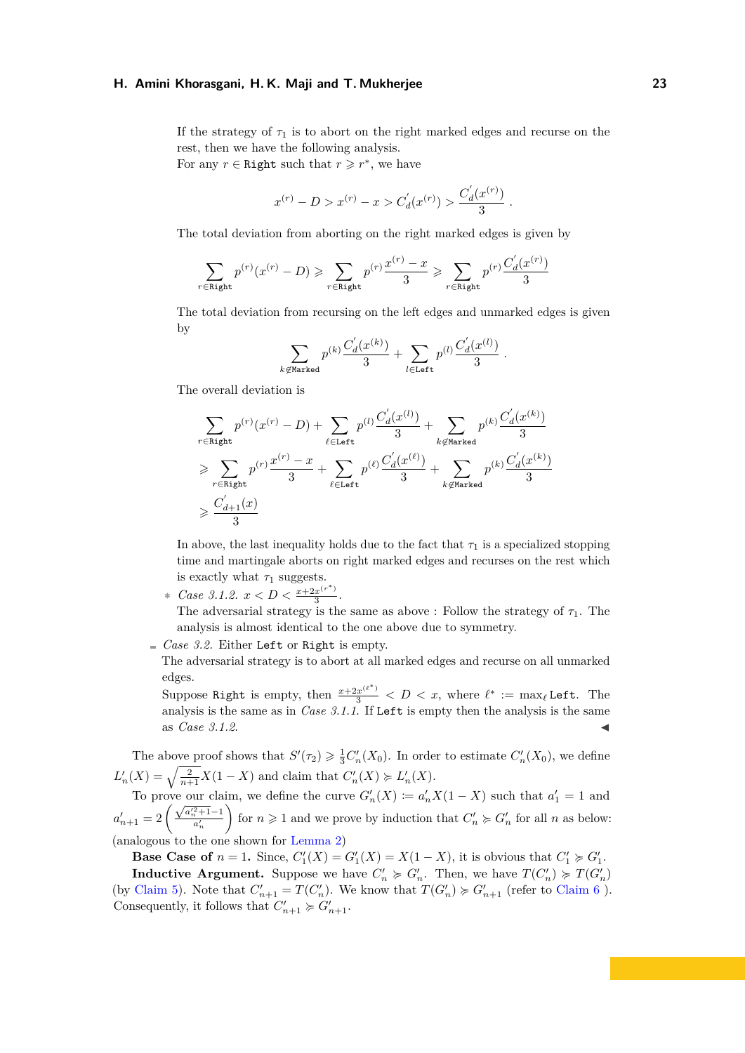If the strategy of  $\tau_1$  is to abort on the right marked edges and recurse on the rest, then we have the following analysis. For any  $r \in$  Right such that  $r \geq r^*$ , we have

$$
x^{(r)} - D > x^{(r)} - x > C_d'(x^{(r)}) > \frac{C_d'(x^{(r)})}{3}.
$$

The total deviation from aborting on the right marked edges is given by

$$
\sum_{r \in \text{Right}} p^{(r)}(x^{(r)} - D) \geqslant \sum_{r \in \text{Right}} p^{(r)} \frac{x^{(r)} - x}{3} \geqslant \sum_{r \in \text{Right}} p^{(r)} \frac{C_d'(x^{(r)})}{3}
$$

The total deviation from recursing on the left edges and unmarked edges is given by

$$
\sum_{k \not\in \text{Market}} p^{(k)} \frac{C_d'(x^{(k)})}{3} + \sum_{l \in \text{Left}} p^{(l)} \frac{C_d'(x^{(l)})}{3}.
$$

The overall deviation is

$$
\begin{aligned} &\sum_{r \in \text{Right}} p^{(r)}(x^{(r)}-D) + \sum_{\ell \in \text{Left}} p^{(l)} \frac{C_d^{'}(x^{(l)})}{3} + \sum_{k \not \in \text{Marked}} p^{(k)} \frac{C_d^{'}(x^{(k)})}{3}\\ &\geqslant \sum_{r \in \text{Right}} p^{(r)} \frac{x^{(r)}-x}{3} + \sum_{\ell \in \text{Left}} p^{(\ell)} \frac{C_d^{'}(x^{(\ell)})}{3} + \sum_{k \not \in \text{Marked}} p^{(k)} \frac{C_d^{'}(x^{(k)})}{3}\\ &\geqslant \frac{C_{d+1}^{'}(x)}{3} \end{aligned}
$$

In above, the last inequality holds due to the fact that  $\tau_1$  is a specialized stopping time and martingale aborts on right marked edges and recurses on the rest which is exactly what  $\tau_1$  suggests.

- ∗ *Case* 3.1.2.  $x < D < \frac{x+2x^{(r^*)}}{3}$  $rac{x^{n}}{3}$ . The adversarial strategy is the same as above : Follow the strategy of  $\tau_1$ . The analysis is almost identical to the one above due to symmetry.
- $\epsilon$  *Case 3.2.* Either Left or Right is empty.

The adversarial strategy is to abort at all marked edges and recurse on all unmarked edges.

Suppose Right is empty, then  $\frac{x+2x^{(\ell^*)}}{3} < D < x$ , where  $\ell^* := \max_{\ell}$  Left. The analysis is the same as in *Case 3.1.1*. If Left is empty then the analysis is the same as *Case 3.1.2*.

The above proof shows that  $S'(\tau_2) \geq \frac{1}{3}C'_n(X_0)$ . In order to estimate  $C'_n(X_0)$ , we define  $L'_n(X) = \sqrt{\frac{2}{n+1}} X(1-X)$  and claim that  $C'_n(X) \ge L'_n(X)$ .

To prove our claim, we define the curve  $G'_n(X) := a'_n X(1 - X)$  such that  $a'_1 = 1$  and  $a'_{n+1} = 2 \left(\frac{\sqrt{2}}{2}\right)$  $\frac{a_n^{\prime 2}+1-1}{a_n^{\prime}}$ for  $n \geq 1$  and we prove by induction that  $C'_n \geq G'_n$  for all *n* as below: (analogous to the one shown for [Lemma 2\)](#page-4-2)

**Base Case of**  $n = 1$ . Since,  $C'_1(X) = G'_1(X) = X(1 - X)$ , it is obvious that  $C'_1 \succcurlyeq G'_1$ . **Inductive Argument.** Suppose we have  $C'_n \ge G'_n$ . Then, we have  $T(C'_n) \ge T(G'_n)$ (by [Claim 5\)](#page-13-0). Note that  $C'_{n+1} = T(C'_{n})$ . We know that  $T(G'_{n}) \geq G'_{n+1}$  (refer to [Claim 6](#page-14-0)). Consequently, it follows that  $C'_{n+1} \succcurlyeq G'_{n+1}$ .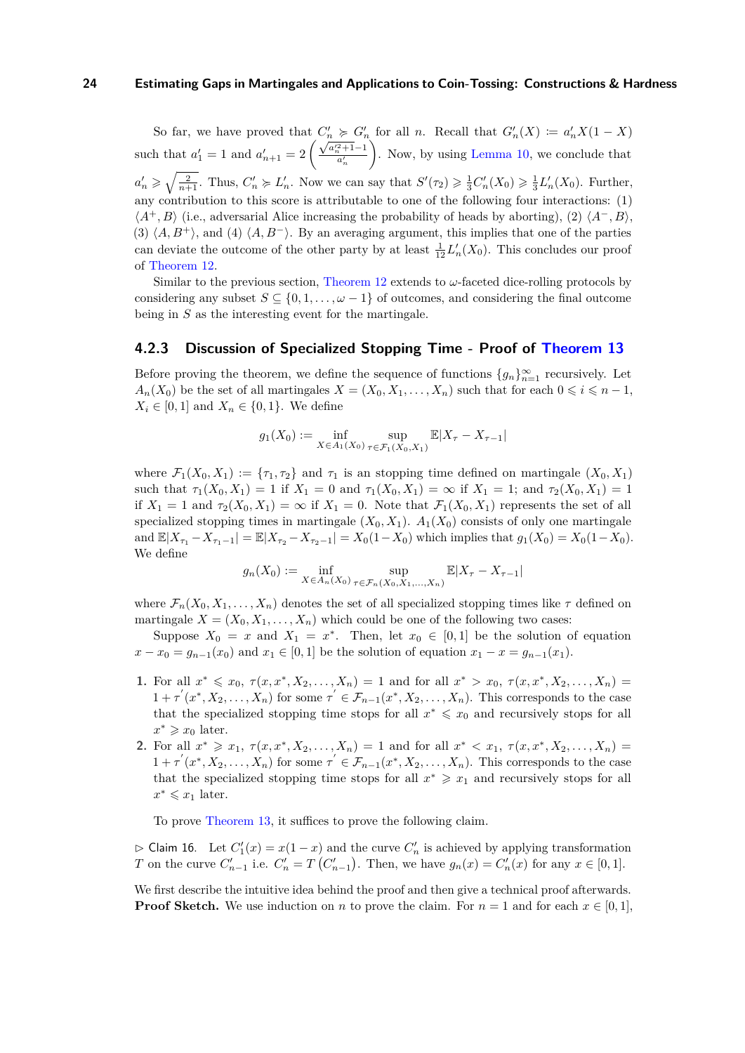So far, we have proved that  $C'_n \geq G'_n$  for all *n*. Recall that  $G'_n(X) := a'_n X(1 - X)$ such that  $a'_1 = 1$  and  $a'_{n+1} = 2 \left(\frac{\sqrt{2}}{2}\right)$  $\frac{a_n^2+1-1}{a_n^{\prime}}$  . Now, by using [Lemma 10,](#page-17-0) we conclude that  $a'_n \geqslant \sqrt{\frac{2}{n+1}}$ . Thus,  $C'_n \geqslant L'_n$ . Now we can say that  $S'(\tau_2) \geqslant \frac{1}{3}C'_n(X_0) \geqslant \frac{1}{3}L'_n(X_0)$ . Further, any contribution to this score is attributable to one of the following four interactions: (1)  $\langle A^+, B \rangle$  (i.e., adversarial Alice increasing the probability of heads by aborting), (2)  $\langle A^-, B \rangle$ , (3)  $\langle A, B^+\rangle$ , and (4)  $\langle A, B^-\rangle$ . By an averaging argument, this implies that one of the parties can deviate the outcome of the other party by at least  $\frac{1}{12}L'_n(X_0)$ . This concludes our proof of [Theorem 12.](#page-19-0)

Similar to the previous section, [Theorem 12](#page-19-0) extends to *ω*-faceted dice-rolling protocols by considering any subset  $S \subseteq \{0, 1, \ldots, \omega - 1\}$  of outcomes, and considering the final outcome being in *S* as the interesting event for the martingale.

## <span id="page-26-0"></span>**4.2.3 Discussion of Specialized Stopping Time - Proof of [Theorem 13](#page-20-0)**

Before proving the theorem, we define the sequence of functions  ${g_n}_{n=1}^{\infty}$  recursively. Let  $A_n(X_0)$  be the set of all martingales  $X = (X_0, X_1, \ldots, X_n)$  such that for each  $0 \leq i \leq n-1$ , *X*<sup>*i*</sup> ∈ [0*,* 1] and *X*<sup>*n*</sup> ∈ {0*,* 1}. We define

$$
g_1(X_0) := \inf_{X \in A_1(X_0)} \sup_{\tau \in \mathcal{F}_1(X_0, X_1)} \mathbb{E}|X_{\tau} - X_{\tau-1}|
$$

where  $\mathcal{F}_1(X_0, X_1) := \{\tau_1, \tau_2\}$  and  $\tau_1$  is an stopping time defined on martingale  $(X_0, X_1)$ such that  $\tau_1(X_0, X_1) = 1$  if  $X_1 = 0$  and  $\tau_1(X_0, X_1) = \infty$  if  $X_1 = 1$ ; and  $\tau_2(X_0, X_1) = 1$ if  $X_1 = 1$  and  $\tau_2(X_0, X_1) = \infty$  if  $X_1 = 0$ . Note that  $\mathcal{F}_1(X_0, X_1)$  represents the set of all specialized stopping times in martingale  $(X_0, X_1)$ .  $A_1(X_0)$  consists of only one martingale and  $\mathbb{E}|X_{\tau_1} - X_{\tau_1 - 1}| = \mathbb{E}|X_{\tau_2} - X_{\tau_2 - 1}| = X_0(1 - X_0)$  which implies that  $g_1(X_0) = X_0(1 - X_0)$ . We define

$$
g_n(X_0) := \inf_{X \in A_n(X_0)} \sup_{\tau \in \mathcal{F}_n(X_0, X_1, ..., X_n)} \mathbb{E}|X_{\tau} - X_{\tau-1}|
$$

where  $\mathcal{F}_n(X_0, X_1, \ldots, X_n)$  denotes the set of all specialized stopping times like  $\tau$  defined on martingale  $X = (X_0, X_1, \ldots, X_n)$  which could be one of the following two cases:

Suppose  $X_0 = x$  and  $X_1 = x^*$ . Then, let  $x_0 \in [0,1]$  be the solution of equation  $x - x_0 = g_{n-1}(x_0)$  and  $x_1 \in [0,1]$  be the solution of equation  $x_1 - x = g_{n-1}(x_1)$ .

- **1.** For all  $x^* \le x_0, \tau(x, x^*, X_2, \ldots, X_n) = 1$  and for all  $x^* > x_0, \tau(x, x^*, X_2, \ldots, X_n) =$  $1 + \tau'(x^*, X_2, \ldots, X_n)$  for some  $\tau' \in \mathcal{F}_{n-1}(x^*, X_2, \ldots, X_n)$ . This corresponds to the case that the specialized stopping time stops for all  $x^* \leq x_0$  and recursively stops for all  $x^* \geq x_0$  later.
- **2.** For all  $x^* \ge x_1, \tau(x, x^*, X_2, \ldots, X_n) = 1$  and for all  $x^* < x_1, \tau(x, x^*, X_2, \ldots, X_n) =$  $1 + \tau'(x^*, X_2, \ldots, X_n)$  for some  $\tau' \in \mathcal{F}_{n-1}(x^*, X_2, \ldots, X_n)$ . This corresponds to the case that the specialized stopping time stops for all  $x^* \geq x_1$  and recursively stops for all  $x^* \leqslant x_1$  later.

To prove [Theorem 13,](#page-20-0) it suffices to prove the following claim.

 $\triangleright$  Claim 16. Let  $C'_1(x) = x(1-x)$  and the curve  $C'_n$  is achieved by applying transformation *T* on the curve  $C'_{n-1}$  i.e.  $C'_{n} = T(C'_{n-1})$ . Then, we have  $g_n(x) = C'_{n}(x)$  for any  $x \in [0,1]$ .

We first describe the intuitive idea behind the proof and then give a technical proof afterwards. **Proof Sketch.** We use induction on *n* to prove the claim. For  $n = 1$  and for each  $x \in [0, 1]$ ,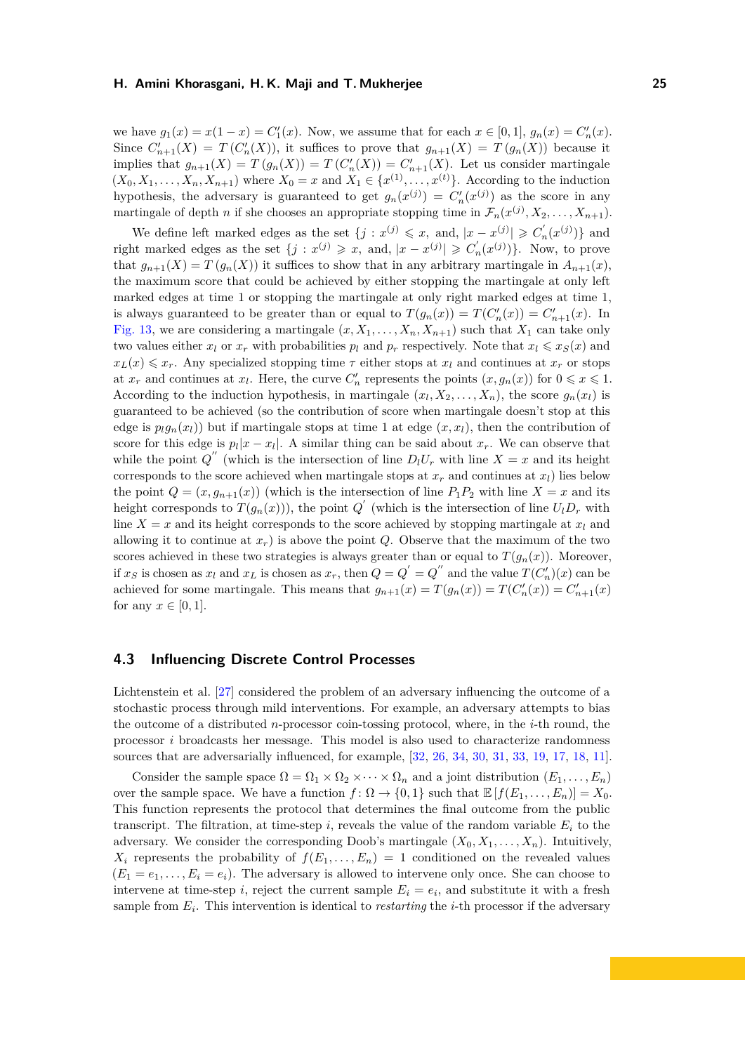we have  $g_1(x) = x(1-x) = C'_1(x)$ . Now, we assume that for each  $x \in [0,1]$ ,  $g_n(x) = C'_n(x)$ . Since  $C'_{n+1}(X) = T(C'_{n}(X))$ , it suffices to prove that  $g_{n+1}(X) = T(g_{n}(X))$  because it implies that  $g_{n+1}(X) = T(g_n(X)) = T(C'_n(X)) = C'_{n+1}(X)$ . Let us consider martingale  $(X_0, X_1, \ldots, X_n, X_{n+1})$  where  $X_0 = x$  and  $X_1 \in \{x^{(1)}, \ldots, x^{(t)}\}$ . According to the induction hypothesis, the adversary is guaranteed to get  $g_n(x^{(j)}) = C'_n(x^{(j)})$  as the score in any martingale of depth *n* if she chooses an appropriate stopping time in  $\mathcal{F}_n(x^{(j)}, X_2, \ldots, X_{n+1})$ .

We define left marked edges as the set  $\{j : x^{(j)} \leq x$ , and,  $|x - x^{(j)}| \geq C'_n(x^{(j)})\}$  and right marked edges as the set  $\{j : x^{(j)} \geq x$ , and,  $|x - x^{(j)}| \geq C'_n(x^{(j)})\}$ . Now, to prove that  $g_{n+1}(X) = T(g_n(X))$  it suffices to show that in any arbitrary martingale in  $A_{n+1}(x)$ , the maximum score that could be achieved by either stopping the martingale at only left marked edges at time 1 or stopping the martingale at only right marked edges at time 1, is always guaranteed to be greater than or equal to  $T(g_n(x)) = T(C'_n(x)) = C'_{n+1}(x)$ . In [Fig. 13,](#page-20-1) we are considering a martingale  $(x, X_1, \ldots, X_n, X_{n+1})$  such that  $X_1$  can take only two values either  $x_l$  or  $x_r$  with probabilities  $p_l$  and  $p_r$  respectively. Note that  $x_l \leqslant x_S(x)$  and  $x_L(x) \leq x_r$ . Any specialized stopping time  $\tau$  either stops at  $x_l$  and continues at  $x_r$  or stops at  $x_r$  and continues at  $x_l$ . Here, the curve  $C'_n$  represents the points  $(x, g_n(x))$  for  $0 \leq x \leq 1$ . According to the induction hypothesis, in martingale  $(x_l, X_2, \ldots, X_n)$ , the score  $g_n(x_l)$  is guaranteed to be achieved (so the contribution of score when martingale doesn't stop at this edge is  $p_lq_n(x_l)$  but if martingale stops at time 1 at edge  $(x, x_l)$ , then the contribution of score for this edge is  $p_l|x - x_l|$ . A similar thing can be said about  $x_r$ . We can observe that while the point  $Q''$  (which is the intersection of line  $D_l U_r$  with line  $X = x$  and its height corresponds to the score achieved when martingale stops at  $x_r$  and continues at  $x_l$ ) lies below the point  $Q = (x, g_{n+1}(x))$  (which is the intersection of line  $P_1P_2$  with line  $X = x$  and its height corresponds to  $T(g_n(x))$ , the point  $Q'$  (which is the intersection of line  $U_l D_r$  with line  $X = x$  and its height corresponds to the score achieved by stopping martingale at  $x_l$  and allowing it to continue at  $x_r$ ) is above the point *Q*. Observe that the maximum of the two scores achieved in these two strategies is always greater than or equal to  $T(g_n(x))$ . Moreover, if  $x_S$  is chosen as  $x_l$  and  $x_L$  is chosen as  $x_r$ , then  $Q = Q' = Q''$  and the value  $T(C'_n)(x)$  can be achieved for some martingale. This means that  $g_{n+1}(x) = T(g_n(x)) = T(C'_n(x)) = C'_{n+1}(x)$ for any  $x \in [0, 1]$ .

## <span id="page-27-0"></span>**4.3 Influencing Discrete Control Processes**

Lichtenstein et al. [\[27\]](#page-34-3) considered the problem of an adversary influencing the outcome of a stochastic process through mild interventions. For example, an adversary attempts to bias the outcome of a distributed *n*-processor coin-tossing protocol, where, in the *i*-th round, the processor *i* broadcasts her message. This model is also used to characterize randomness sources that are adversarially influenced, for example, [\[32,](#page-34-4) [26,](#page-33-9) [34,](#page-34-5) [30,](#page-34-6) [31,](#page-34-7) [33,](#page-34-8) [19,](#page-33-10) [17,](#page-33-11) [18,](#page-33-12) [11\]](#page-32-12).

Consider the sample space  $\Omega = \Omega_1 \times \Omega_2 \times \cdots \times \Omega_n$  and a joint distribution  $(E_1, \ldots, E_n)$ over the sample space. We have a function  $f: \Omega \to \{0,1\}$  such that  $\mathbb{E}[f(E_1, \ldots, E_n)] = X_0$ . This function represents the protocol that determines the final outcome from the public transcript. The filtration, at time-step  $i$ , reveals the value of the random variable  $E_i$  to the adversary. We consider the corresponding Doob's martingale  $(X_0, X_1, \ldots, X_n)$ . Intuitively,  $X_i$  represents the probability of  $f(E_1, \ldots, E_n) = 1$  conditioned on the revealed values  $(E_1 = e_1, \ldots, E_i = e_i)$ . The adversary is allowed to intervene only once. She can choose to intervene at time-step *i*, reject the current sample  $E_i = e_i$ , and substitute it with a fresh sample from *E<sup>i</sup>* . This intervention is identical to *restarting* the *i*-th processor if the adversary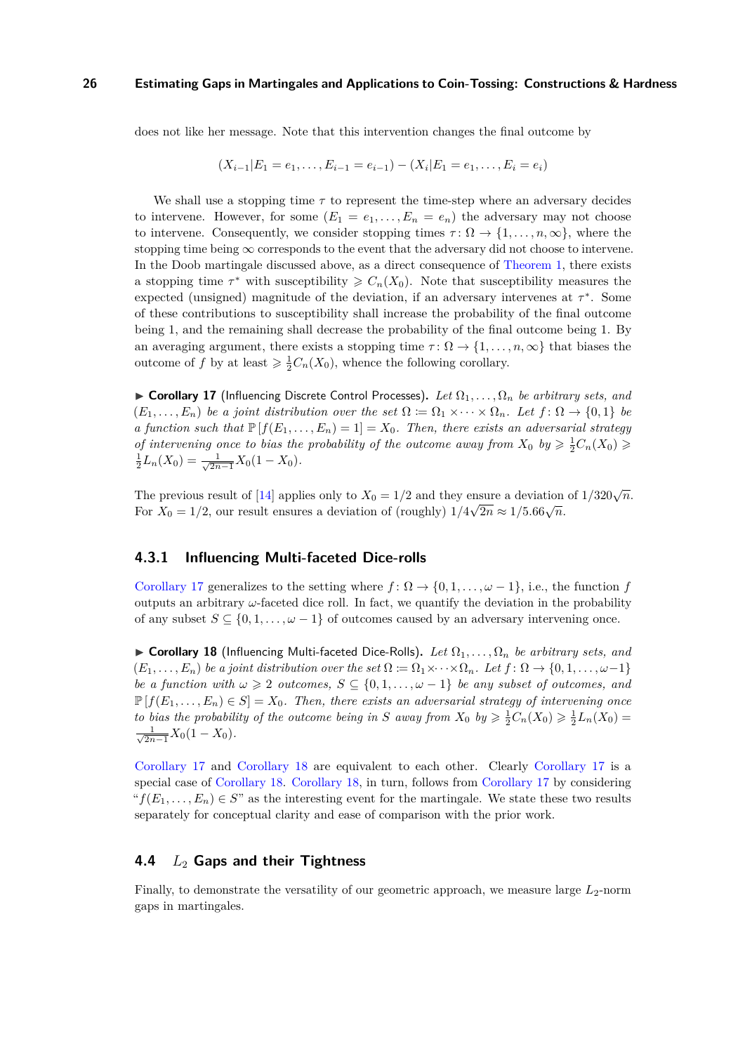does not like her message. Note that this intervention changes the final outcome by

$$
(X_{i-1}|E_1=e_1,\ldots,E_{i-1}=e_{i-1})-(X_i|E_1=e_1,\ldots,E_i=e_i)
$$

We shall use a stopping time  $\tau$  to represent the time-step where an adversary decides to intervene. However, for some  $(E_1 = e_1, \ldots, E_n = e_n)$  the adversary may not choose to intervene. Consequently, we consider stopping times  $\tau : \Omega \to \{1, \ldots, n, \infty\}$ , where the stopping time being  $\infty$  corresponds to the event that the adversary did not choose to intervene. In the Doob martingale discussed above, as a direct consequence of [Theorem 1,](#page-4-1) there exists a stopping time  $\tau^*$  with susceptibility  $\geq C_n(X_0)$ . Note that susceptibility measures the expected (unsigned) magnitude of the deviation, if an adversary intervenes at  $\tau^*$ . Some of these contributions to susceptibility shall increase the probability of the final outcome being 1, and the remaining shall decrease the probability of the final outcome being 1. By an averaging argument, there exists a stopping time  $\tau : \Omega \to \{1, \ldots, n, \infty\}$  that biases the outcome of *f* by at least  $\geq \frac{1}{2}C_n(X_0)$ , whence the following corollary.

<span id="page-28-2"></span> $\triangleright$  **Corollary 17** (Influencing Discrete Control Processes). Let  $\Omega_1, \ldots, \Omega_n$  be arbitrary sets, and  $(E_1, \ldots, E_n)$  *be a joint distribution over the set*  $\Omega := \Omega_1 \times \cdots \times \Omega_n$ *. Let*  $f: \Omega \to \{0,1\}$  *be a function such that*  $\mathbb{P}[f(E_1, \ldots, E_n) = 1] = X_0$ . Then, there exists an adversarial strategy *of intervening once to bias the probability of the outcome away from*  $X_0$  by  $\geq \frac{1}{2}C_n(X_0) \geq \frac{1}{2}L_n(X_0) = \frac{1}{\sqrt{2n-1}}X_0(1-X_0)$ .  $\frac{1}{2n-1}X_0(1-X_0)$ .

The previous result of [\[14\]](#page-33-1) applies only to  $X_0 = 1/2$  and they ensure a deviation of  $1/320\sqrt{n}$ . For  $X_0 = 1/2$ , our result ensures a deviation of (roughly)  $1/4\sqrt{2n} \approx 1/5.66\sqrt{n}$ .

#### <span id="page-28-0"></span>**4.3.1 Influencing Multi-faceted Dice-rolls**

[Corollary 17](#page-28-2) generalizes to the setting where  $f: \Omega \to \{0, 1, \ldots, \omega - 1\}$ , i.e., the function *f* outputs an arbitrary  $\omega$ -faceted dice roll. In fact, we quantify the deviation in the probability of any subset  $S \subseteq \{0, 1, \ldots, \omega - 1\}$  of outcomes caused by an adversary intervening once.

<span id="page-28-3"></span>► Corollary 18 (Influencing Multi-faceted Dice-Rolls). Let  $\Omega_1, \ldots, \Omega_n$  be arbitrary sets, and  $(E_1, \ldots, E_n)$  *be a joint distribution over the set*  $\Omega := \Omega_1 \times \cdots \times \Omega_n$ *. Let*  $f: \Omega \to \{0, 1, \ldots, \omega-1\}$ *be a function with*  $\omega \geq 2$  *outcomes,*  $S \subseteq \{0, 1, \ldots, \omega - 1\}$  *be any subset of outcomes, and*  $\mathbb{P}[f(E_1, \ldots, E_n) \in S] = X_0$ . Then, there exists an adversarial strategy of intervening once *to bias the probability of the outcome being in S away from*  $X_0$  *by*  $\geq \frac{1}{2}C_n(X_0) \geq \frac{1}{2}L_n(X_0)$  $\frac{1}{\sqrt{2}}$  $\frac{1}{2n-1}X_0(1-X_0)$ .

[Corollary 17](#page-28-2) and [Corollary 18](#page-28-3) are equivalent to each other. Clearly [Corollary 17](#page-28-2) is a special case of [Corollary 18.](#page-28-3) [Corollary 18,](#page-28-3) in turn, follows from [Corollary 17](#page-28-2) by considering  ${}^{\alpha}f(E_1,\ldots,E_n)\in S$ " as the interesting event for the martingale. We state these two results separately for conceptual clarity and ease of comparison with the prior work.

## <span id="page-28-1"></span>**4.4** *L*<sup>2</sup> **Gaps and their Tightness**

Finally, to demonstrate the versatility of our geometric approach, we measure large  $L_2$ -norm gaps in martingales.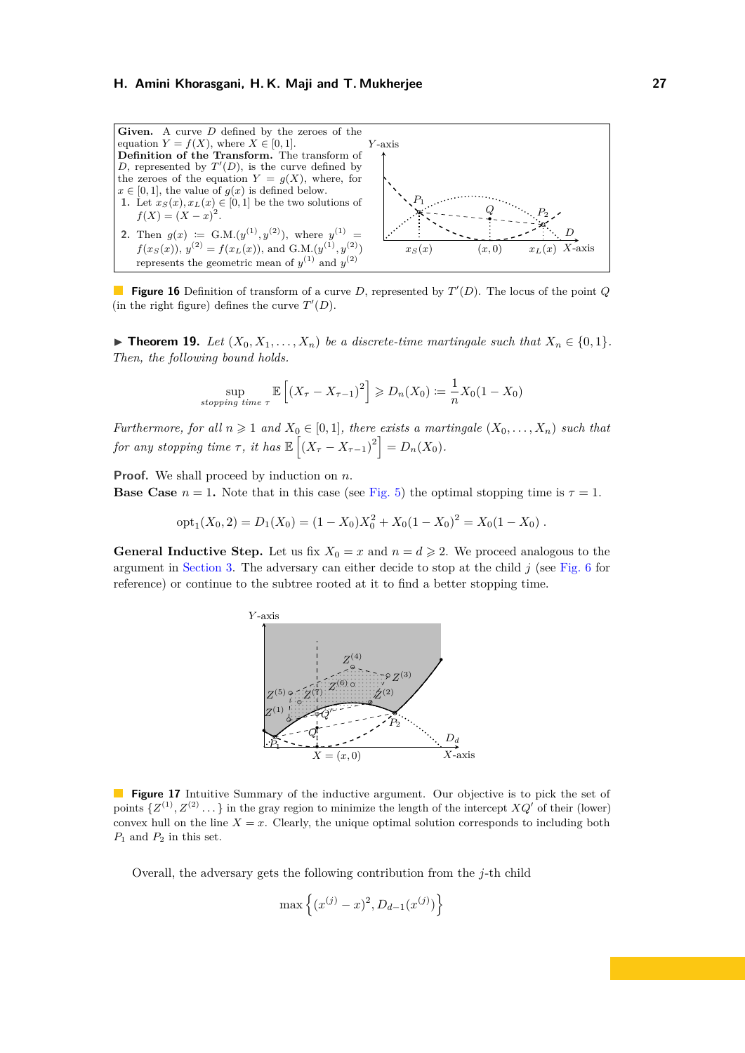<span id="page-29-1"></span>

**Figure 16** Definition of transform of a curve *D*, represented by  $T'(D)$ . The locus of the point *Q* (in the right figure) defines the curve  $T'(D)$ .

<span id="page-29-2"></span>▶ **Theorem 19.** *Let*  $(X_0, X_1, \ldots, X_n)$  *be a discrete-time martingale such that*  $X_n \in \{0, 1\}$ *. Then, the following bound holds.*

$$
\sup_{stopping\ time \ \tau} \mathbb{E}\left[\left(X_{\tau} - X_{\tau-1}\right)^2\right] \geqslant D_n(X_0) \coloneqq \frac{1}{n} X_0 (1 - X_0)
$$

*Furthermore, for all*  $n \geq 1$  *and*  $X_0 \in [0,1]$ *, there exists a martingale*  $(X_0, \ldots, X_n)$  *such that for any stopping time*  $\tau$ , *it has*  $\mathbb{E}\left[\left(X_{\tau}-X_{\tau-1}\right)^{2}\right]=D_{n}(X_{0}).$ 

**Proof.** We shall proceed by induction on *n*.

**Base Case**  $n = 1$ . Note that in this case (see [Fig. 5\)](#page-9-1) the optimal stopping time is  $\tau = 1$ .

$$
opt1(X0, 2) = D1(X0) = (1 - X0)X02 + X0(1 - X0)2 = X0(1 - X0) .
$$

<span id="page-29-0"></span>**General Inductive Step.** Let us fix  $X_0 = x$  and  $n = d \ge 2$ . We proceed analogous to the argument in [Section 3.](#page-8-0) The adversary can either decide to stop at the child *j* (see [Fig. 6](#page-10-0) for reference) or continue to the subtree rooted at it to find a better stopping time.



**Figure 17** Intuitive Summary of the inductive argument. Our objective is to pick the set of points  $\{Z^{(1)}, Z^{(2)}\dots\}$  in the gray region to minimize the length of the intercept  $XQ'$  of their (lower) convex hull on the line  $X = x$ . Clearly, the unique optimal solution corresponds to including both  $P_1$  and  $P_2$  in this set.

Overall, the adversary gets the following contribution from the *j*-th child

$$
\max\left\{(x^{(j)} - x)^2, D_{d-1}(x^{(j)})\right\}
$$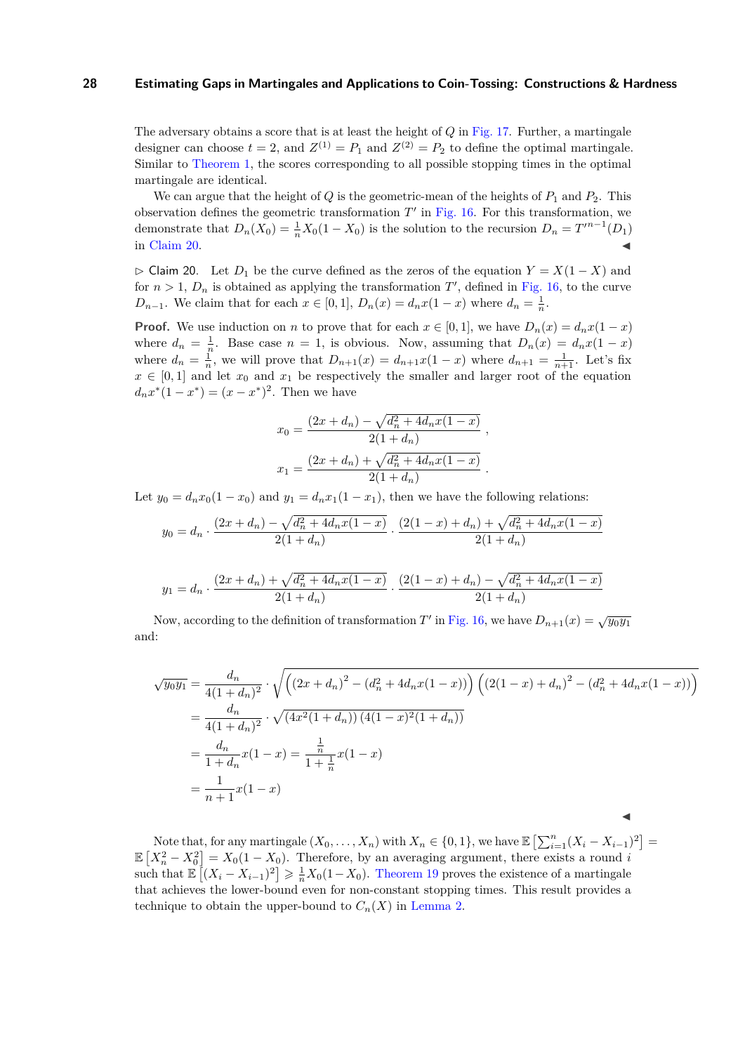The adversary obtains a score that is at least the height of *Q* in [Fig. 17.](#page-29-0) Further, a martingale designer can choose  $t = 2$ , and  $Z^{(1)} = P_1$  and  $Z^{(2)} = P_2$  to define the optimal martingale. Similar to [Theorem 1,](#page-4-1) the scores corresponding to all possible stopping times in the optimal martingale are identical.

We can argue that the height of *Q* is the geometric-mean of the heights of  $P_1$  and  $P_2$ . This observation defines the geometric transformation  $T'$  in [Fig. 16.](#page-29-1) For this transformation, we demonstrate that  $D_n(X_0) = \frac{1}{n}X_0(1 - X_0)$  is the solution to the recursion  $D_n = T'^{n-1}(D_1)$ in Claim  $20$ .

<span id="page-30-0"></span> $\triangleright$  Claim 20. Let  $D_1$  be the curve defined as the zeros of the equation  $Y = X(1 - X)$  and for  $n > 1$ ,  $D_n$  is obtained as applying the transformation  $T'$ , defined in [Fig. 16,](#page-29-1) to the curve *D*<sub>*n*−1</sub>. We claim that for each  $x \in [0, 1]$ ,  $D_n(x) = d_n x (1 - x)$  where  $d_n = \frac{1}{n}$ .

**Proof.** We use induction on *n* to prove that for each  $x \in [0, 1]$ , we have  $D_n(x) = d_n x(1 - x)$ where  $d_n = \frac{1}{n}$ . Base case  $n = 1$ , is obvious. Now, assuming that  $D_n(x) = d_n x(1-x)$ where  $d_n = \frac{1}{n}$ , we will prove that  $D_{n+1}(x) = d_{n+1}x(1-x)$  where  $d_{n+1} = \frac{1}{n+1}$ . Let's fix  $x \in [0,1]$  and let  $x_0$  and  $x_1$  be respectively the smaller and larger root of the equation  $d_n x^* (1 - x^*) = (x - x^*)^2$ . Then we have

$$
x_0 = \frac{(2x + d_n) - \sqrt{d_n^2 + 4d_nx(1 - x)}}{2(1 + d_n)},
$$
  

$$
x_1 = \frac{(2x + d_n) + \sqrt{d_n^2 + 4d_nx(1 - x)}}{2(1 + d_n)}.
$$

Let  $y_0 = d_n x_0 (1 - x_0)$  and  $y_1 = d_n x_1 (1 - x_1)$ , then we have the following relations:

$$
y_0 = d_n \cdot \frac{(2x + d_n) - \sqrt{d_n^2 + 4d_nx(1 - x)}}{2(1 + d_n)} \cdot \frac{(2(1 - x) + d_n) + \sqrt{d_n^2 + 4d_nx(1 - x)}}{2(1 + d_n)}
$$

$$
y_1 = d_n \cdot \frac{(2x + d_n) + \sqrt{d_n^2 + 4d_nx(1 - x)}}{2(1 + d_n)} \cdot \frac{(2(1 - x) + d_n) - \sqrt{d_n^2 + 4d_nx(1 - x)}}{2(1 + d_n)}
$$

Now, according to the definition of transformation *T'* in [Fig. 16,](#page-29-1) we have  $D_{n+1}(x) = \sqrt{y_0 y_1}$ and:

$$
\sqrt{y_0 y_1} = \frac{d_n}{4(1+d_n)^2} \cdot \sqrt{\left( (2x+d_n)^2 - (d_n^2 + 4d_n x(1-x)) \right) \left( (2(1-x) + d_n)^2 - (d_n^2 + 4d_n x(1-x)) \right)}
$$
  
= 
$$
\frac{d_n}{4(1+d_n)^2} \cdot \sqrt{(4x^2(1+d_n)) (4(1-x)^2(1+d_n))}
$$
  
= 
$$
\frac{d_n}{1+d_n} x(1-x) = \frac{\frac{1}{n}}{1+\frac{1}{n}} x(1-x)
$$
  
= 
$$
\frac{1}{n+1} x(1-x)
$$

Note that, for any martingale  $(X_0, \ldots, X_n)$  with  $X_n \in \{0, 1\}$ , we have  $\mathbb{E}\left[\sum_{i=1}^n (X_i - X_{i-1})^2\right] =$  $\mathbb{E}\left[X_n^2 - X_0^2\right] = X_0(1 - X_0)$ . Therefore, by an averaging argument, there exists a round *i* such that  $\mathbb{E}\left[ (X_i - X_{i-1})^2 \right] \geq \frac{1}{n} X_0 (1 - X_0)$ . [Theorem 19](#page-29-2) proves the existence of a martingale that achieves the lower-bound even for non-constant stopping times. This result provides a technique to obtain the upper-bound to  $C_n(X)$  in [Lemma 2.](#page-4-2)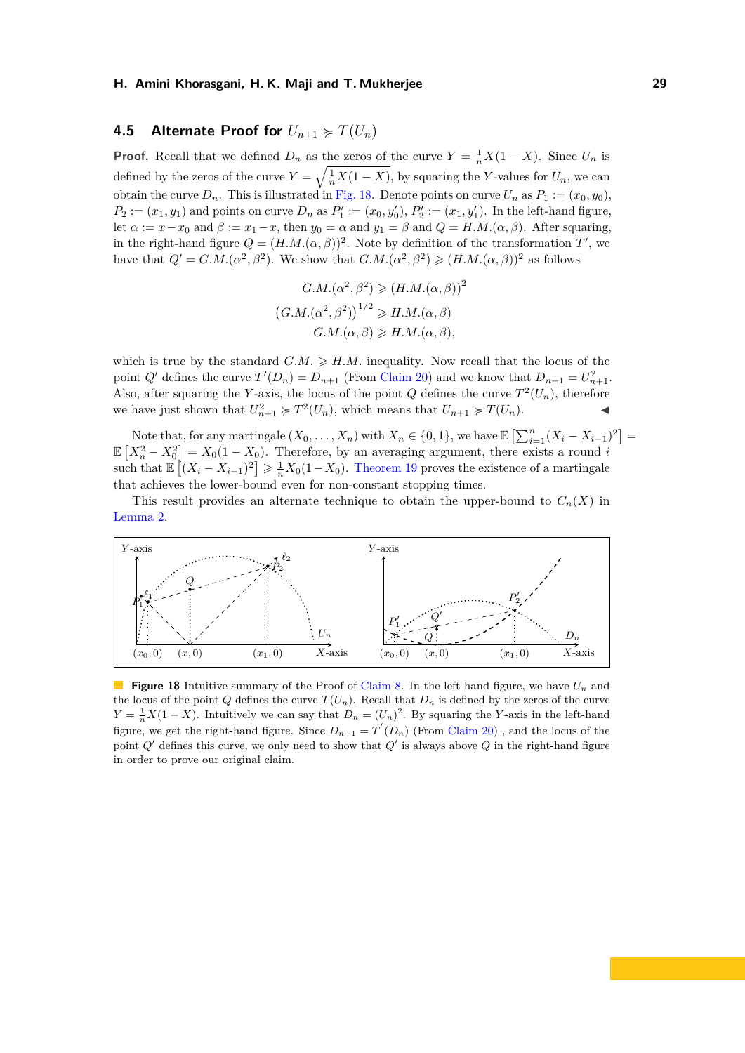## <span id="page-31-0"></span>**4.5 Alternate Proof for**  $U_{n+1} \ge T(U_n)$

**Proof.** Recall that we defined  $D_n$  as the zeros of the curve  $Y = \frac{1}{n}X(1 - X)$ . Since  $U_n$  is defined by the zeros of the curve  $Y = \sqrt{\frac{1}{n}X(1 - X)}$ , by squaring the *Y*-values for  $U_n$ , we can obtain the curve  $D_n$ . This is illustrated in [Fig. 18.](#page-31-1) Denote points on curve  $U_n$  as  $P_1 := (x_0, y_0)$ ,  $P_2 := (x_1, y_1)$  and points on curve  $D_n$  as  $P'_1 := (x_0, y'_0), P'_2 := (x_1, y'_1)$ . In the left-hand figure, let  $\alpha := x - x_0$  and  $\beta := x_1 - x$ , then  $y_0 = \alpha$  and  $y_1 = \beta$  and  $Q = H.M.(\alpha, \beta)$ . After squaring, in the right-hand figure  $Q = (H.M.(\alpha, \beta))^2$ . Note by definition of the transformation *T*', we have that  $Q' = G.M.(\alpha^2, \beta^2)$ . We show that  $G.M.(\alpha^2, \beta^2) \geq (H.M.(\alpha, \beta))^2$  as follows

$$
G.M.(\alpha^2, \beta^2) \ge (H.M.(\alpha, \beta))^2
$$

$$
(G.M.(\alpha^2, \beta^2))^{1/2} \ge H.M.(\alpha, \beta)
$$

$$
G.M.(\alpha, \beta) \ge H.M.(\alpha, \beta),
$$

which is true by the standard  $G.M. \geq H.M.$  inequality. Now recall that the locus of the point  $Q'$  defines the curve  $T'(D_n) = D_{n+1}$  (From [Claim 20\)](#page-30-0) and we know that  $D_{n+1} = U_{n+1}^2$ . Also, after squaring the *Y*-axis, the locus of the point *Q* defines the curve  $T^2(U_n)$ , therefore we have just shown that  $U_{n+1}^2 \succcurlyeq T^2(U_n)$ , which means that  $U_{n+1} \succcurlyeq T(U_n)$ .

Note that, for any martingale  $(X_0, \ldots, X_n)$  with  $X_n \in \{0, 1\}$ , we have  $\mathbb{E}\left[\sum_{i=1}^n (X_i - X_{i-1})^2\right] =$  $\mathbb{E}\left[X_n^2 - X_0^2\right] = X_0(1 - X_0)$ . Therefore, by an averaging argument, there exists a round *i* such that  $\mathbb{E}\left[ (X_i - X_{i-1})^2 \right] \geq \frac{1}{n} X_0 (1 - X_0)$ . [Theorem 19](#page-29-2) proves the existence of a martingale that achieves the lower-bound even for non-constant stopping times.

This result provides an alternate technique to obtain the upper-bound to  $C_n(X)$  in [Lemma 2.](#page-4-2)

<span id="page-31-1"></span>

**Figure 18** Intuitive summary of the Proof of [Claim 8.](#page-16-0) In the left-hand figure, we have *U<sup>n</sup>* and the locus of the point *Q* defines the curve  $T(U_n)$ . Recall that  $D_n$  is defined by the zeros of the curve  $Y = \frac{1}{n}X(1 - X)$ . Intuitively we can say that  $D_n = (U_n)^2$ . By squaring the *Y*-axis in the left-hand figure, we get the right-hand figure. Since  $D_{n+1} = T'(D_n)$  (From [Claim 20\)](#page-30-0), and the locus of the point *Q*' defines this curve, we only need to show that *Q*' is always above *Q* in the right-hand figure in order to prove our original claim.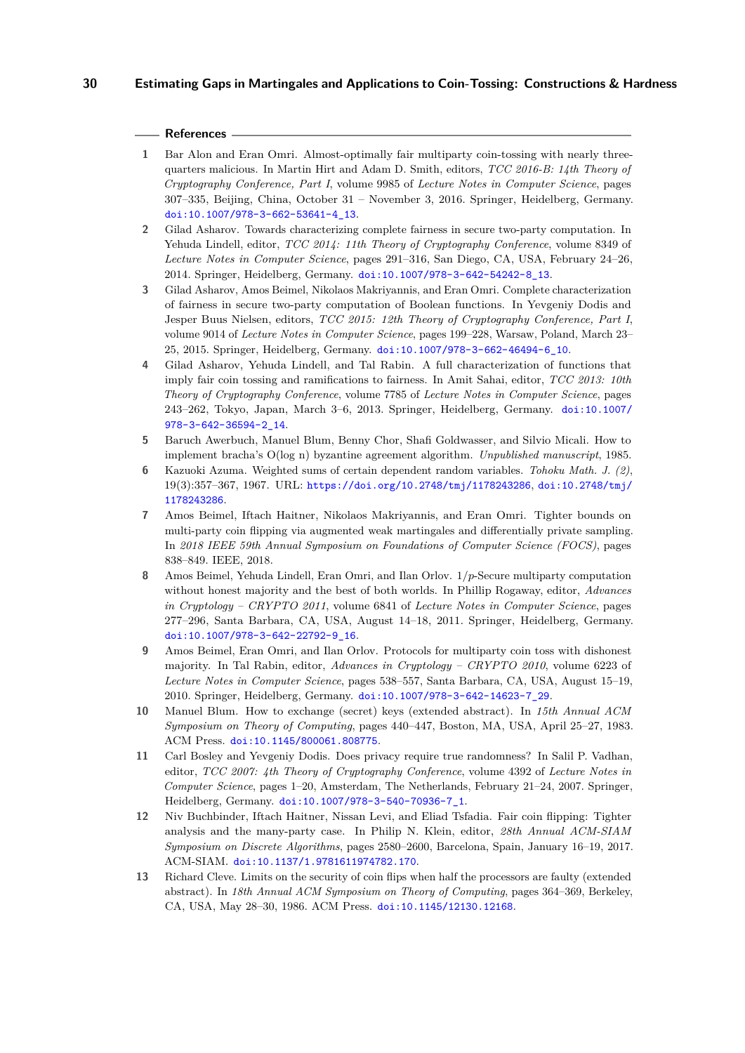#### **References**

- <span id="page-32-10"></span>**1** Bar Alon and Eran Omri. Almost-optimally fair multiparty coin-tossing with nearly threequarters malicious. In Martin Hirt and Adam D. Smith, editors, *TCC 2016-B: 14th Theory of Cryptography Conference, Part I*, volume 9985 of *Lecture Notes in Computer Science*, pages 307–335, Beijing, China, October 31 – November 3, 2016. Springer, Heidelberg, Germany. [doi:10.1007/978-3-662-53641-4\\_13](http://dx.doi.org/10.1007/978-3-662-53641-4_13).
- <span id="page-32-7"></span>**2** Gilad Asharov. Towards characterizing complete fairness in secure two-party computation. In Yehuda Lindell, editor, *TCC 2014: 11th Theory of Cryptography Conference*, volume 8349 of *Lecture Notes in Computer Science*, pages 291–316, San Diego, CA, USA, February 24–26, 2014. Springer, Heidelberg, Germany. [doi:10.1007/978-3-642-54242-8\\_13](http://dx.doi.org/10.1007/978-3-642-54242-8_13).
- <span id="page-32-8"></span>**3** Gilad Asharov, Amos Beimel, Nikolaos Makriyannis, and Eran Omri. Complete characterization of fairness in secure two-party computation of Boolean functions. In Yevgeniy Dodis and Jesper Buus Nielsen, editors, *TCC 2015: 12th Theory of Cryptography Conference, Part I*, volume 9014 of *Lecture Notes in Computer Science*, pages 199–228, Warsaw, Poland, March 23– 25, 2015. Springer, Heidelberg, Germany. [doi:10.1007/978-3-662-46494-6\\_10](http://dx.doi.org/10.1007/978-3-662-46494-6_10).
- <span id="page-32-6"></span>**4** Gilad Asharov, Yehuda Lindell, and Tal Rabin. A full characterization of functions that imply fair coin tossing and ramifications to fairness. In Amit Sahai, editor, *TCC 2013: 10th Theory of Cryptography Conference*, volume 7785 of *Lecture Notes in Computer Science*, pages 243–262, Tokyo, Japan, March 3–6, 2013. Springer, Heidelberg, Germany. [doi:10.1007/](http://dx.doi.org/10.1007/978-3-642-36594-2_14) [978-3-642-36594-2\\_14](http://dx.doi.org/10.1007/978-3-642-36594-2_14).
- <span id="page-32-1"></span>**5** Baruch Awerbuch, Manuel Blum, Benny Chor, Shafi Goldwasser, and Silvio Micali. How to implement bracha's O(log n) byzantine agreement algorithm. *Unpublished manuscript*, 1985.
- <span id="page-32-3"></span>**6** Kazuoki Azuma. Weighted sums of certain dependent random variables. *Tohoku Math. J. (2)*, 19(3):357–367, 1967. URL: <https://doi.org/10.2748/tmj/1178243286>, [doi:10.2748/tmj/](http://dx.doi.org/10.2748/tmj/1178243286) [1178243286](http://dx.doi.org/10.2748/tmj/1178243286).
- <span id="page-32-4"></span>**7** Amos Beimel, Iftach Haitner, Nikolaos Makriyannis, and Eran Omri. Tighter bounds on multi-party coin flipping via augmented weak martingales and differentially private sampling. In *2018 IEEE 59th Annual Symposium on Foundations of Computer Science (FOCS)*, pages 838–849. IEEE, 2018.
- <span id="page-32-5"></span>**8** Amos Beimel, Yehuda Lindell, Eran Omri, and Ilan Orlov. 1*/p*-Secure multiparty computation without honest majority and the best of both worlds. In Phillip Rogaway, editor, *Advances in Cryptology – CRYPTO 2011*, volume 6841 of *Lecture Notes in Computer Science*, pages 277–296, Santa Barbara, CA, USA, August 14–18, 2011. Springer, Heidelberg, Germany. [doi:10.1007/978-3-642-22792-9\\_16](http://dx.doi.org/10.1007/978-3-642-22792-9_16).
- <span id="page-32-9"></span>**9** Amos Beimel, Eran Omri, and Ilan Orlov. Protocols for multiparty coin toss with dishonest majority. In Tal Rabin, editor, *Advances in Cryptology – CRYPTO 2010*, volume 6223 of *Lecture Notes in Computer Science*, pages 538–557, Santa Barbara, CA, USA, August 15–19, 2010. Springer, Heidelberg, Germany. [doi:10.1007/978-3-642-14623-7\\_29](http://dx.doi.org/10.1007/978-3-642-14623-7_29).
- <span id="page-32-0"></span>**10** Manuel Blum. How to exchange (secret) keys (extended abstract). In *15th Annual ACM Symposium on Theory of Computing*, pages 440–447, Boston, MA, USA, April 25–27, 1983. ACM Press. [doi:10.1145/800061.808775](http://dx.doi.org/10.1145/800061.808775).
- <span id="page-32-12"></span>**11** Carl Bosley and Yevgeniy Dodis. Does privacy require true randomness? In Salil P. Vadhan, editor, *TCC 2007: 4th Theory of Cryptography Conference*, volume 4392 of *Lecture Notes in Computer Science*, pages 1–20, Amsterdam, The Netherlands, February 21–24, 2007. Springer, Heidelberg, Germany. [doi:10.1007/978-3-540-70936-7\\_1](http://dx.doi.org/10.1007/978-3-540-70936-7_1).
- <span id="page-32-11"></span>**12** Niv Buchbinder, Iftach Haitner, Nissan Levi, and Eliad Tsfadia. Fair coin flipping: Tighter analysis and the many-party case. In Philip N. Klein, editor, *28th Annual ACM-SIAM Symposium on Discrete Algorithms*, pages 2580–2600, Barcelona, Spain, January 16–19, 2017. ACM-SIAM. [doi:10.1137/1.9781611974782.170](http://dx.doi.org/10.1137/1.9781611974782.170).
- <span id="page-32-2"></span>**13** Richard Cleve. Limits on the security of coin flips when half the processors are faulty (extended abstract). In *18th Annual ACM Symposium on Theory of Computing*, pages 364–369, Berkeley, CA, USA, May 28–30, 1986. ACM Press. [doi:10.1145/12130.12168](http://dx.doi.org/10.1145/12130.12168).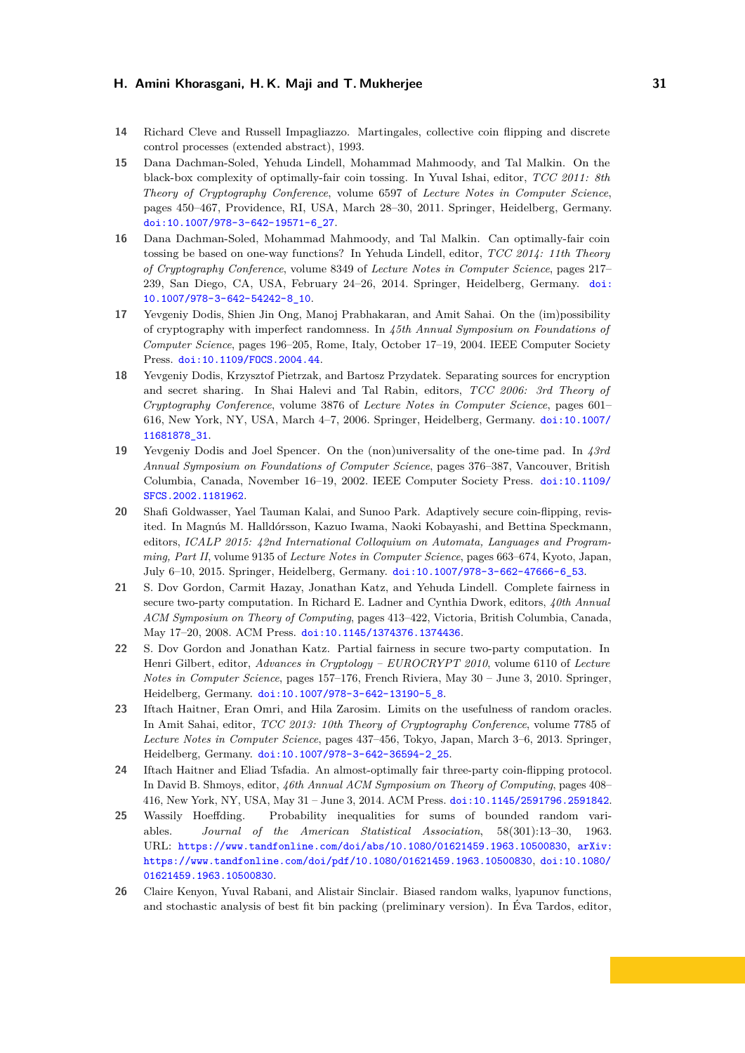- <span id="page-33-1"></span>**14** Richard Cleve and Russell Impagliazzo. Martingales, collective coin flipping and discrete control processes (extended abstract), 1993.
- <span id="page-33-2"></span>**15** Dana Dachman-Soled, Yehuda Lindell, Mohammad Mahmoody, and Tal Malkin. On the black-box complexity of optimally-fair coin tossing. In Yuval Ishai, editor, *TCC 2011: 8th Theory of Cryptography Conference*, volume 6597 of *Lecture Notes in Computer Science*, pages 450–467, Providence, RI, USA, March 28–30, 2011. Springer, Heidelberg, Germany. [doi:10.1007/978-3-642-19571-6\\_27](http://dx.doi.org/10.1007/978-3-642-19571-6_27).
- <span id="page-33-4"></span>**16** Dana Dachman-Soled, Mohammad Mahmoody, and Tal Malkin. Can optimally-fair coin tossing be based on one-way functions? In Yehuda Lindell, editor, *TCC 2014: 11th Theory of Cryptography Conference*, volume 8349 of *Lecture Notes in Computer Science*, pages 217– 239, San Diego, CA, USA, February 24–26, 2014. Springer, Heidelberg, Germany. [doi:](http://dx.doi.org/10.1007/978-3-642-54242-8_10) [10.1007/978-3-642-54242-8\\_10](http://dx.doi.org/10.1007/978-3-642-54242-8_10).
- <span id="page-33-11"></span>**17** Yevgeniy Dodis, Shien Jin Ong, Manoj Prabhakaran, and Amit Sahai. On the (im)possibility of cryptography with imperfect randomness. In *45th Annual Symposium on Foundations of Computer Science*, pages 196–205, Rome, Italy, October 17–19, 2004. IEEE Computer Society Press. [doi:10.1109/FOCS.2004.44](http://dx.doi.org/10.1109/FOCS.2004.44).
- <span id="page-33-12"></span>**18** Yevgeniy Dodis, Krzysztof Pietrzak, and Bartosz Przydatek. Separating sources for encryption and secret sharing. In Shai Halevi and Tal Rabin, editors, *TCC 2006: 3rd Theory of Cryptography Conference*, volume 3876 of *Lecture Notes in Computer Science*, pages 601– 616, New York, NY, USA, March 4–7, 2006. Springer, Heidelberg, Germany. [doi:10.1007/](http://dx.doi.org/10.1007/11681878_31) [11681878\\_31](http://dx.doi.org/10.1007/11681878_31).
- <span id="page-33-10"></span>**19** Yevgeniy Dodis and Joel Spencer. On the (non)universality of the one-time pad. In *43rd Annual Symposium on Foundations of Computer Science*, pages 376–387, Vancouver, British Columbia, Canada, November 16–19, 2002. IEEE Computer Society Press. [doi:10.1109/](http://dx.doi.org/10.1109/SFCS.2002.1181962) [SFCS.2002.1181962](http://dx.doi.org/10.1109/SFCS.2002.1181962).
- <span id="page-33-0"></span>**20** Shafi Goldwasser, Yael Tauman Kalai, and Sunoo Park. Adaptively secure coin-flipping, revisited. In Magnús M. Halldórsson, Kazuo Iwama, Naoki Kobayashi, and Bettina Speckmann, editors, *ICALP 2015: 42nd International Colloquium on Automata, Languages and Programming, Part II*, volume 9135 of *Lecture Notes in Computer Science*, pages 663–674, Kyoto, Japan, July 6–10, 2015. Springer, Heidelberg, Germany. [doi:10.1007/978-3-662-47666-6\\_53](http://dx.doi.org/10.1007/978-3-662-47666-6_53).
- <span id="page-33-7"></span>**21** S. Dov Gordon, Carmit Hazay, Jonathan Katz, and Yehuda Lindell. Complete fairness in secure two-party computation. In Richard E. Ladner and Cynthia Dwork, editors, *40th Annual ACM Symposium on Theory of Computing*, pages 413–422, Victoria, British Columbia, Canada, May 17–20, 2008. ACM Press. [doi:10.1145/1374376.1374436](http://dx.doi.org/10.1145/1374376.1374436).
- <span id="page-33-5"></span>**22** S. Dov Gordon and Jonathan Katz. Partial fairness in secure two-party computation. In Henri Gilbert, editor, *Advances in Cryptology – EUROCRYPT 2010*, volume 6110 of *Lecture Notes in Computer Science*, pages 157–176, French Riviera, May 30 – June 3, 2010. Springer, Heidelberg, Germany. [doi:10.1007/978-3-642-13190-5\\_8](http://dx.doi.org/10.1007/978-3-642-13190-5_8).
- <span id="page-33-3"></span>**23** Iftach Haitner, Eran Omri, and Hila Zarosim. Limits on the usefulness of random oracles. In Amit Sahai, editor, *TCC 2013: 10th Theory of Cryptography Conference*, volume 7785 of *Lecture Notes in Computer Science*, pages 437–456, Tokyo, Japan, March 3–6, 2013. Springer, Heidelberg, Germany. [doi:10.1007/978-3-642-36594-2\\_25](http://dx.doi.org/10.1007/978-3-642-36594-2_25).
- <span id="page-33-8"></span>**24** Iftach Haitner and Eliad Tsfadia. An almost-optimally fair three-party coin-flipping protocol. In David B. Shmoys, editor, *46th Annual ACM Symposium on Theory of Computing*, pages 408– 416, New York, NY, USA, May 31 – June 3, 2014. ACM Press. [doi:10.1145/2591796.2591842](http://dx.doi.org/10.1145/2591796.2591842).
- <span id="page-33-6"></span>**25** Wassily Hoeffding. Probability inequalities for sums of bounded random variables. *Journal of the American Statistical Association*, 58(301):13–30, 1963. URL: <https://www.tandfonline.com/doi/abs/10.1080/01621459.1963.10500830>, [arXiv:](http://arxiv.org/abs/https://www.tandfonline.com/doi/pdf/10.1080/01621459.1963.10500830) [https://www.tandfonline.com/doi/pdf/10.1080/01621459.1963.10500830](http://arxiv.org/abs/https://www.tandfonline.com/doi/pdf/10.1080/01621459.1963.10500830), [doi:10.1080/](http://dx.doi.org/10.1080/01621459.1963.10500830) [01621459.1963.10500830](http://dx.doi.org/10.1080/01621459.1963.10500830).
- <span id="page-33-9"></span>**26** Claire Kenyon, Yuval Rabani, and Alistair Sinclair. Biased random walks, lyapunov functions, and stochastic analysis of best fit bin packing (preliminary version). In Éva Tardos, editor,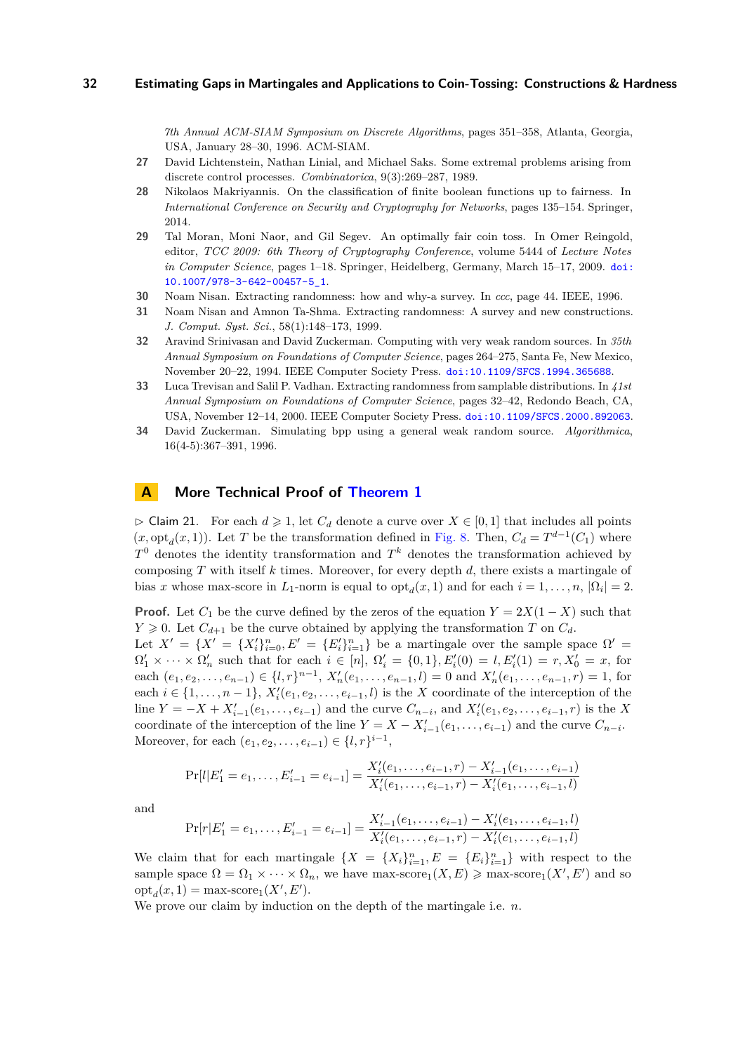*7th Annual ACM-SIAM Symposium on Discrete Algorithms*, pages 351–358, Atlanta, Georgia, USA, January 28–30, 1996. ACM-SIAM.

- <span id="page-34-3"></span>**27** David Lichtenstein, Nathan Linial, and Michael Saks. Some extremal problems arising from discrete control processes. *Combinatorica*, 9(3):269–287, 1989.
- <span id="page-34-1"></span>**28** Nikolaos Makriyannis. On the classification of finite boolean functions up to fairness. In *International Conference on Security and Cryptography for Networks*, pages 135–154. Springer, 2014.
- <span id="page-34-2"></span>**29** Tal Moran, Moni Naor, and Gil Segev. An optimally fair coin toss. In Omer Reingold, editor, *TCC 2009: 6th Theory of Cryptography Conference*, volume 5444 of *Lecture Notes in Computer Science*, pages 1–18. Springer, Heidelberg, Germany, March 15–17, 2009. [doi:](http://dx.doi.org/10.1007/978-3-642-00457-5_1) [10.1007/978-3-642-00457-5\\_1](http://dx.doi.org/10.1007/978-3-642-00457-5_1).
- <span id="page-34-6"></span>**30** Noam Nisan. Extracting randomness: how and why-a survey. In *ccc*, page 44. IEEE, 1996.
- <span id="page-34-7"></span>**31** Noam Nisan and Amnon Ta-Shma. Extracting randomness: A survey and new constructions. *J. Comput. Syst. Sci.*, 58(1):148–173, 1999.
- <span id="page-34-4"></span>**32** Aravind Srinivasan and David Zuckerman. Computing with very weak random sources. In *35th Annual Symposium on Foundations of Computer Science*, pages 264–275, Santa Fe, New Mexico, November 20–22, 1994. IEEE Computer Society Press. [doi:10.1109/SFCS.1994.365688](http://dx.doi.org/10.1109/SFCS.1994.365688).
- <span id="page-34-8"></span>**33** Luca Trevisan and Salil P. Vadhan. Extracting randomness from samplable distributions. In *41st Annual Symposium on Foundations of Computer Science*, pages 32–42, Redondo Beach, CA, USA, November 12–14, 2000. IEEE Computer Society Press. [doi:10.1109/SFCS.2000.892063](http://dx.doi.org/10.1109/SFCS.2000.892063).
- <span id="page-34-5"></span>**34** David Zuckerman. Simulating bpp using a general weak random source. *Algorithmica*, 16(4-5):367–391, 1996.

## <span id="page-34-0"></span>**A More Technical Proof of [Theorem 1](#page-4-1)**

 $\triangleright$  Claim 21. For each  $d \geq 1$ , let  $C_d$  denote a curve over  $X \in [0,1]$  that includes all points  $(x, \text{opt}_d(x, 1))$ . Let *T* be the transformation defined in [Fig. 8.](#page-11-0) Then,  $C_d = T^{d-1}(C_1)$  where *T* <sup>0</sup> denotes the identity transformation and *T <sup>k</sup>* denotes the transformation achieved by composing *T* with itself *k* times. Moreover, for every depth *d*, there exists a martingale of bias *x* whose max-score in  $L_1$ -norm is equal to  $\text{opt}_d(x, 1)$  and for each  $i = 1, \ldots, n$ ,  $|\Omega_i| = 2$ .

**Proof.** Let  $C_1$  be the curve defined by the zeros of the equation  $Y = 2X(1 - X)$  such that  $Y \geq 0$ . Let  $C_{d+1}$  be the curve obtained by applying the transformation *T* on  $C_d$ . Let  $X' = \{X' = \{X'_i\}_{i=0}^n, E' = \{E'_i\}_{i=1}^n\}$  be a martingale over the sample space  $\Omega' =$  $\Omega'_1 \times \cdots \times \Omega'_n$  such that for each  $i \in [n]$ ,  $\Omega'_i = \{0, 1\}$ ,  $E'_i(0) = l$ ,  $E'_i(1) = r$ ,  $X'_0 = x$ , for each  $(e_1, e_2, \ldots, e_{n-1}) \in \{l, r\}^{n-1}, X'_n(e_1, \ldots, e_{n-1}, l) = 0$  and  $X'_n(e_1, \ldots, e_{n-1}, r) = 1$ , for each  $i \in \{1, \ldots, n-1\}$ ,  $X_i'(e_1, e_2, \ldots, e_{i-1}, l)$  is the *X* coordinate of the interception of the line  $Y = -X + X'_{i-1}(e_1, \ldots, e_{i-1})$  and the curve  $C_{n-i}$ , and  $X'_{i}(e_1, e_2, \ldots, e_{i-1}, r)$  is the X coordinate of the interception of the line  $Y = X - X'_{i-1}(e_1, \ldots, e_{i-1})$  and the curve  $C_{n-i}$ . Moreover, for each  $(e_1, e_2, \ldots, e_{i-1}) \in \{l, r\}^{i-1}$ ,

$$
Pr[l|E'_{1} = e_{1},..., E'_{i-1} = e_{i-1}] = \frac{X'_{i}(e_{1},...,e_{i-1},r) - X'_{i-1}(e_{1},...,e_{i-1})}{X'_{i}(e_{1},...,e_{i-1},r) - X'_{i}(e_{1},...,e_{i-1},l)}
$$

and

$$
\Pr[r|E'_1 = e_1, \dots, E'_{i-1} = e_{i-1}] = \frac{X'_{i-1}(e_1, \dots, e_{i-1}) - X'_{i}(e_1, \dots, e_{i-1}, l)}{X'_{i}(e_1, \dots, e_{i-1}, r) - X'_{i}(e_1, \dots, e_{i-1}, l)}
$$

We claim that for each martingale  $\{X = \{X_i\}_{i=1}^n, E = \{E_i\}_{i=1}^n\}$  with respect to the sample space  $\Omega = \Omega_1 \times \cdots \times \Omega_n$ , we have max-score<sub>1</sub> $(X, E) \geq \max$ -score<sub>1</sub> $(X', E')$  and so  $opt_d(x, 1) = \max$ -score<sub>1</sub>(*X'*, *E'*).

We prove our claim by induction on the depth of the martingale i.e. *n*.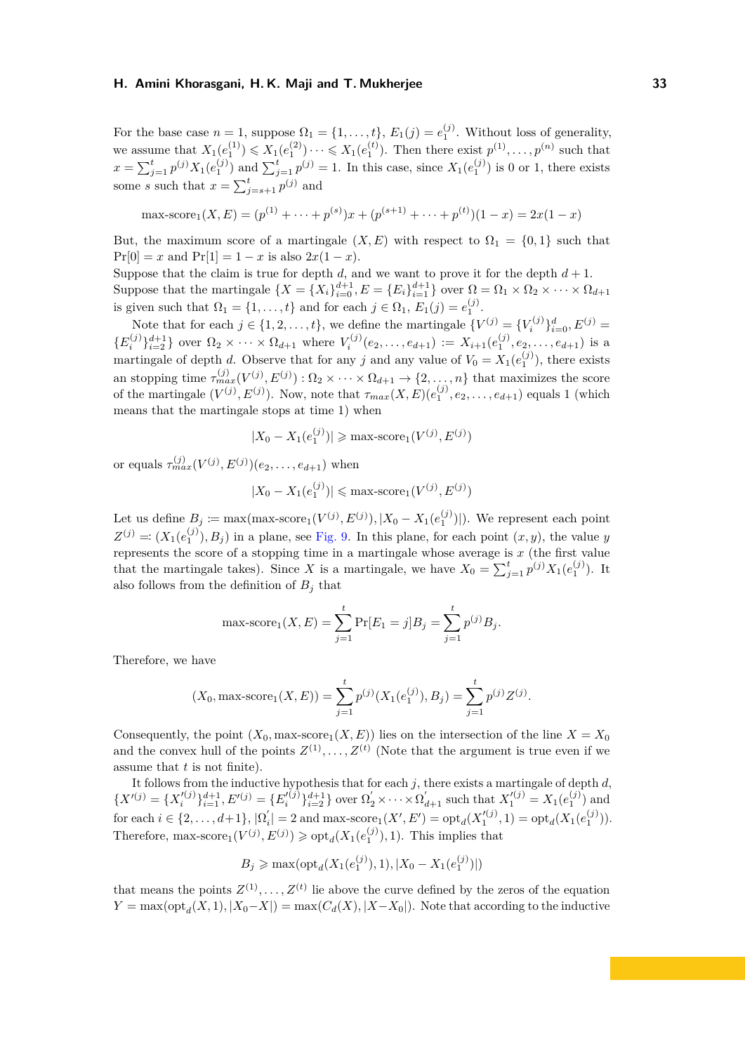For the base case  $n = 1$ , suppose  $\Omega_1 = \{1, \ldots, t\}$ ,  $E_1(j) = e_1^{(j)}$ . Without loss of generality, we assume that  $X_1(e_1^{(1)}) \leq X_1(e_1^{(2)}) \cdots \leq X_1(e_1^{(t)})$ . Then there exist  $p^{(1)}, \ldots, p^{(n)}$  such that  $x = \sum_{j=1}^{t} p^{(j)} X_1(e_1^{(j)})$  and  $\sum_{j=1}^{t} p^{(j)} = 1$ . In this case, since  $X_1(e_1^{(j)})$  is 0 or 1, there exists some *s* such that  $x = \sum_{j=s+1}^{t} p^{(j)}$  and

$$
\max\text{-score}_1(X,E) = (p^{(1)} + \dots + p^{(s)})x + (p^{(s+1)} + \dots + p^{(t)})(1-x) = 2x(1-x)
$$

But, the maximum score of a martingale  $(X, E)$  with respect to  $\Omega_1 = \{0, 1\}$  such that  $Pr[0] = x$  and  $Pr[1] = 1 - x$  is also  $2x(1 - x)$ .

Suppose that the claim is true for depth  $d$ , and we want to prove it for the depth  $d + 1$ . Suppose that the martingale  $\{X = \{X_i\}_{i=0}^{d+1}, E = \{E_i\}_{i=1}^{d+1}\}$  over  $\Omega = \Omega_1 \times \Omega_2 \times \cdots \times \Omega_{d+1}$ is given such that  $\Omega_1 = \{1, \ldots, t\}$  and for each  $j \in \Omega_1$ ,  $E_1(j) = e_1^{(j)}$ .

Note that for each  $j \in \{1, 2, \ldots, t\}$ , we define the martingale  $\{V^{(j)} = \{V_i^{(j)}\}_{i=0}^d, E^{(j)} = \}$  ${E_i^{(j)}\}_{i=2}^{d+1}$  over  $\Omega_2 \times \cdots \times \Omega_{d+1}$  where  $V_i^{(j)}(e_2,\ldots,e_{d+1}) := X_{i+1}(e_1^{(j)},e_2,\ldots,e_{d+1})$  is a martingale of depth *d*. Observe that for any *j* and any value of  $V_0 = X_1(e_1^{(j)})$ , there exists an stopping time  $\tau_{max}^{(j)}(V^{(j)}, E^{(j)})$ :  $\Omega_2 \times \cdots \times \Omega_{d+1} \to \{2, \ldots, n\}$  that maximizes the score of the martingale  $(V^{(j)}, E^{(j)})$ . Now, note that  $\tau_{max}(X, E)(e_1^{(j)}, e_2, \ldots, e_{d+1})$  equals 1 (which means that the martingale stops at time 1) when

$$
|X_0 - X_1(e_1^{(j)})| \ge \max\{\text{score}_1(V^{(j)}, E^{(j)})\}
$$

or equals  $\tau_{max}^{(j)}(V^{(j)}, E^{(j)})(e_2, \ldots, e_{d+1})$  when

$$
|X_0 - X_1(e_1^{(j)})| \le \max\text{-score}_1(V^{(j)}, E^{(j)})
$$

Let us define  $B_j := \max(\max{\text{-}score}_1(V^{(j)}, E^{(j)}), |X_0 - X_1(e_1^{(j)})|)$ . We represent each point  $Z^{(j)} =: (X_1(e_1^{(j)}), B_j)$  in a plane, see [Fig. 9.](#page-12-1) In this plane, for each point  $(x, y)$ , the value *y* represents the score of a stopping time in a martingale whose average is *x* (the first value that the martingale takes). Since *X* is a martingale, we have  $X_0 = \sum_{j=1}^t p^{(j)} X_1(e_1^{(j)})$ . It also follows from the definition of  $B_j$  that

max-score<sub>1</sub>(X, E) = 
$$
\sum_{j=1}^{t} Pr[E_1 = j]B_j = \sum_{j=1}^{t} p^{(j)}B_j
$$
.

Therefore, we have

$$
(X_0, \max\text{-score}_1(X, E)) = \sum_{j=1}^t p^{(j)}(X_1(e_1^{(j)}), B_j) = \sum_{j=1}^t p^{(j)} Z^{(j)}.
$$

Consequently, the point  $(X_0, \text{max-score}_1(X, E))$  lies on the intersection of the line  $X = X_0$ and the convex hull of the points  $Z^{(1)}, \ldots, Z^{(t)}$  (Note that the argument is true even if we assume that *t* is not finite).

It follows from the inductive hypothesis that for each *j*, there exists a martingale of depth *d*,  ${X'}^{(j)} = {X'}^{(j)}_{i=1}^{d+1}, E'^{(j)} = {E'}^{(j)}_{i=2}^{d+1}$  over  $\Omega'_{2} \times \cdots \times \Omega'_{d+1}$  such that  $X'_{1}^{(j)} = X_{1}(e_{1}^{(j)})$  and  $\text{for each } i \in \{2, \ldots, d+1\}, |\Omega'_i| = 2 \text{ and } \text{max-score}_1(X', E') = \text{opt}_d(X'^{(j)}_1, 1) = \text{opt}_d(X_1(e_1^{(j)})).$ Therefore, max-score<sub>1</sub> $(V^{(j)}, E^{(j)}) \geq \text{opt}_d(X_1(e_1^{(j)}), 1)$ . This implies that

$$
B_j \ge \max(\text{opt}_d(X_1(e_1^{(j)}), 1), |X_0 - X_1(e_1^{(j)})|)
$$

that means the points  $Z^{(1)}, \ldots, Z^{(t)}$  lie above the curve defined by the zeros of the equation  $Y = \max(\text{opt}_d(X, 1), |X_0 - X|) = \max(C_d(X), |X - X_0|)$ . Note that according to the inductive